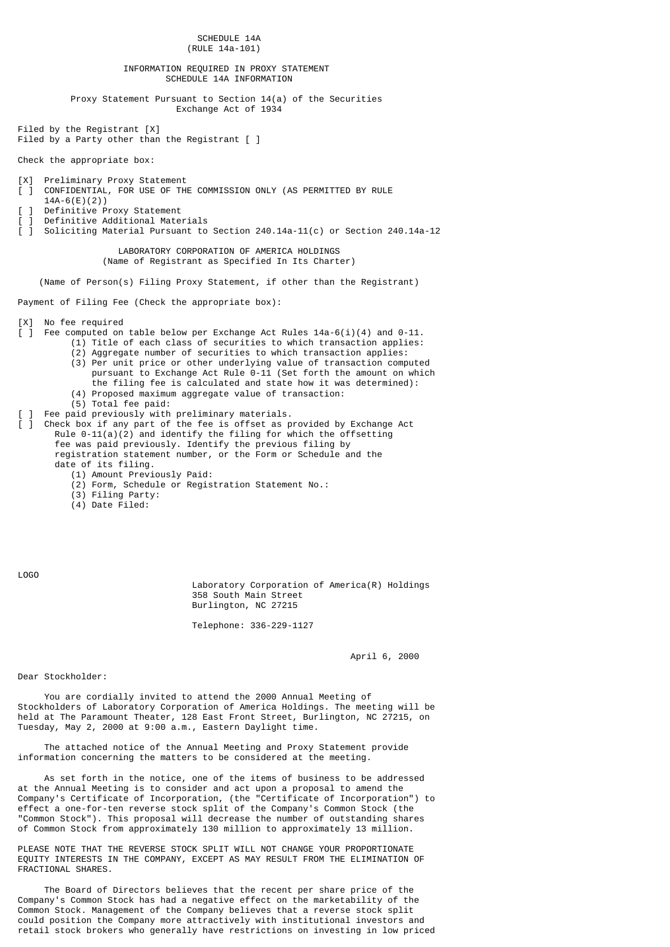SCHEDULE 14A (RULE 14a-101) INFORMATION REQUIRED IN PROXY STATEMENT SCHEDULE 14A INFORMATION Proxy Statement Pursuant to Section 14(a) of the Securities Exchange Act of 1934 Filed by the Registrant [X] Filed by a Party other than the Registrant [ ] Check the appropriate box: [X] Preliminary Proxy Statement  $\overline{1}$  CONFIDENTIAL, FOR USE OF THE COMMISSION ONLY (AS PERMITTED BY RULE 14A-6(E)(2)) Definitive Proxy Statement Definitive Additional Materials  $\overline{1}$  Soliciting Material Pursuant to Section 240.14a-11(c) or Section 240.14a-12 LABORATORY CORPORATION OF AMERICA HOLDINGS (Name of Registrant as Specified In Its Charter) (Name of Person(s) Filing Proxy Statement, if other than the Registrant) Payment of Filing Fee (Check the appropriate box): [X] No fee required  $\lceil$  ] Fee computed on table below per Exchange Act Rules 14a-6(i)(4) and 0-11. (1) Title of each class of securities to which transaction applies: (2) Aggregate number of securities to which transaction applies: (3) Per unit price or other underlying value of transaction computed pursuant to Exchange Act Rule 0-11 (Set forth the amount on which the filing fee is calculated and state how it was determined): (4) Proposed maximum aggregate value of transaction: (5) Total fee paid: Fee paid previously with preliminary materials. check box if any part of the fee is offset as provided by Exchange Act Rule  $0-11(a)(2)$  and identify the filing for which the offsetting fee was paid previously. Identify the previous filing by registration statement number, or the Form or Schedule and the date of its filing. (1) Amount Previously Paid: (2) Form, Schedule or Registration Statement No.: (3) Filing Party: (4) Date Filed:

LOGO

 Laboratory Corporation of America(R) Holdings 358 South Main Street Burlington, NC 27215

Telephone: 336-229-1127

April 6, 2000

Dear Stockholder:

 You are cordially invited to attend the 2000 Annual Meeting of Stockholders of Laboratory Corporation of America Holdings. The meeting will be held at The Paramount Theater, 128 East Front Street, Burlington, NC 27215, on Tuesday, May 2, 2000 at 9:00 a.m., Eastern Daylight time.

 The attached notice of the Annual Meeting and Proxy Statement provide information concerning the matters to be considered at the meeting.

 As set forth in the notice, one of the items of business to be addressed at the Annual Meeting is to consider and act upon a proposal to amend the Company's Certificate of Incorporation, (the "Certificate of Incorporation") to effect a one-for-ten reverse stock split of the Company's Common Stock (the "Common Stock"). This proposal will decrease the number of outstanding shares of Common Stock from approximately 130 million to approximately 13 million.

PLEASE NOTE THAT THE REVERSE STOCK SPLIT WILL NOT CHANGE YOUR PROPORTIONATE EQUITY INTERESTS IN THE COMPANY, EXCEPT AS MAY RESULT FROM THE ELIMINATION OF FRACTIONAL SHARES.

 The Board of Directors believes that the recent per share price of the Company's Common Stock has had a negative effect on the marketability of the Common Stock. Management of the Company believes that a reverse stock split could position the Company more attractively with institutional investors and retail stock brokers who generally have restrictions on investing in low priced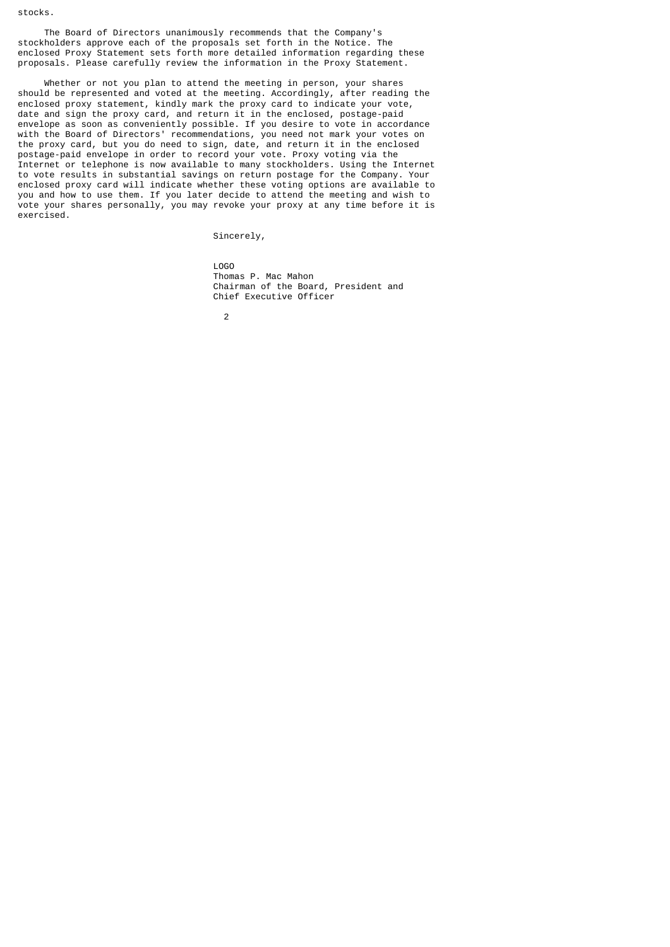stocks.

 The Board of Directors unanimously recommends that the Company's stockholders approve each of the proposals set forth in the Notice. The enclosed Proxy Statement sets forth more detailed information regarding these proposals. Please carefully review the information in the Proxy Statement.

 Whether or not you plan to attend the meeting in person, your shares should be represented and voted at the meeting. Accordingly, after reading the enclosed proxy statement, kindly mark the proxy card to indicate your vote, date and sign the proxy card, and return it in the enclosed, postage-paid envelope as soon as conveniently possible. If you desire to vote in accordance with the Board of Directors' recommendations, you need not mark your votes on the proxy card, but you do need to sign, date, and return it in the enclosed postage-paid envelope in order to record your vote. Proxy voting via the Internet or telephone is now available to many stockholders. Using the Internet to vote results in substantial savings on return postage for the Company. Your enclosed proxy card will indicate whether these voting options are available to you and how to use them. If you later decide to attend the meeting and wish to vote your shares personally, you may revoke your proxy at any time before it is exercised.

Sincerely,

 LOGO Thomas P. Mac Mahon Chairman of the Board, President and Chief Executive Officer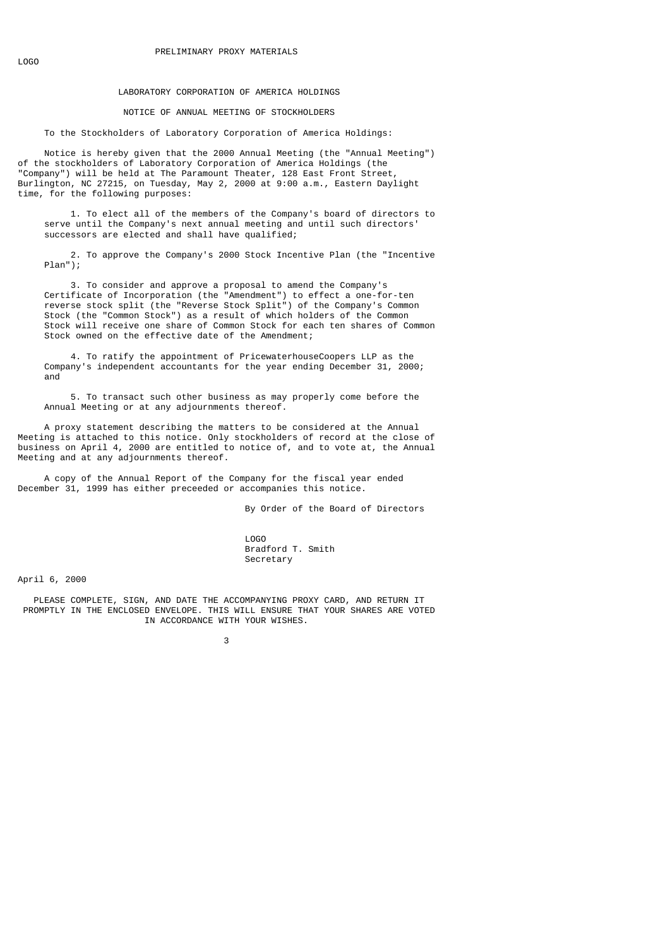## LABORATORY CORPORATION OF AMERICA HOLDINGS

NOTICE OF ANNUAL MEETING OF STOCKHOLDERS

To the Stockholders of Laboratory Corporation of America Holdings:

 Notice is hereby given that the 2000 Annual Meeting (the "Annual Meeting") of the stockholders of Laboratory Corporation of America Holdings (the "Company") will be held at The Paramount Theater, 128 East Front Street, Burlington, NC 27215, on Tuesday, May 2, 2000 at 9:00 a.m., Eastern Daylight time, for the following purposes:

 1. To elect all of the members of the Company's board of directors to serve until the Company's next annual meeting and until such directors' successors are elected and shall have qualified;

 2. To approve the Company's 2000 Stock Incentive Plan (the "Incentive Plan");

 3. To consider and approve a proposal to amend the Company's Certificate of Incorporation (the "Amendment") to effect a one-for-ten reverse stock split (the "Reverse Stock Split") of the Company's Common Stock (the "Common Stock") as a result of which holders of the Common Stock will receive one share of Common Stock for each ten shares of Common Stock owned on the effective date of the Amendment;

 4. To ratify the appointment of PricewaterhouseCoopers LLP as the Company's independent accountants for the year ending December 31, 2000; and

 5. To transact such other business as may properly come before the Annual Meeting or at any adjournments thereof.

 A proxy statement describing the matters to be considered at the Annual Meeting is attached to this notice. Only stockholders of record at the close of business on April 4, 2000 are entitled to notice of, and to vote at, the Annual Meeting and at any adjournments thereof.

 A copy of the Annual Report of the Company for the fiscal year ended December 31, 1999 has either preceeded or accompanies this notice.

By Order of the Board of Directors

 LOGO Bradford T. Smith Secretary

April 6, 2000

 PLEASE COMPLETE, SIGN, AND DATE THE ACCOMPANYING PROXY CARD, AND RETURN IT PROMPTLY IN THE ENCLOSED ENVELOPE. THIS WILL ENSURE THAT YOUR SHARES ARE VOTED IN ACCORDANCE WITH YOUR WISHES.

 $\sim$  3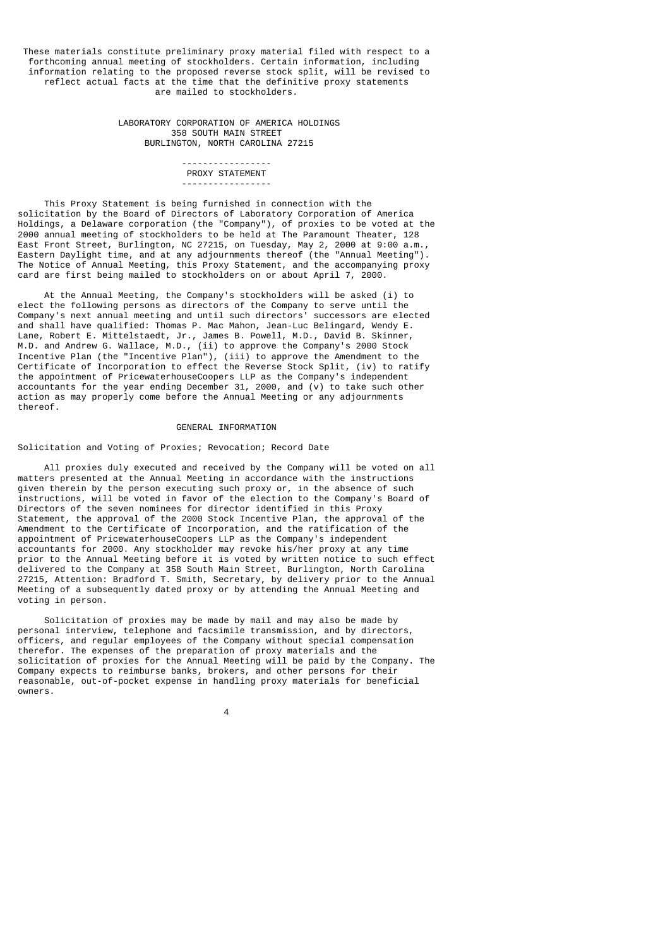These materials constitute preliminary proxy material filed with respect to a forthcoming annual meeting of stockholders. Certain information, including information relating to the proposed reverse stock split, will be revised to reflect actual facts at the time that the definitive proxy statements are mailed to stockholders.

> LABORATORY CORPORATION OF AMERICA HOLDINGS 358 SOUTH MAIN STREET BURLINGTON, NORTH CAROLINA 27215

 ----------------- PROXY STATEMENT -----------------

 This Proxy Statement is being furnished in connection with the solicitation by the Board of Directors of Laboratory Corporation of America Holdings, a Delaware corporation (the "Company"), of proxies to be voted at the 2000 annual meeting of stockholders to be held at The Paramount Theater, 128 East Front Street, Burlington, NC 27215, on Tuesday, May 2, 2000 at 9:00 a.m., Eastern Daylight time, and at any adjournments thereof (the "Annual Meeting"). The Notice of Annual Meeting, this Proxy Statement, and the accompanying proxy card are first being mailed to stockholders on or about April 7, 2000.

 At the Annual Meeting, the Company's stockholders will be asked (i) to elect the following persons as directors of the Company to serve until the Company's next annual meeting and until such directors' successors are elected and shall have qualified: Thomas P. Mac Mahon, Jean-Luc Belingard, Wendy E. Lane, Robert E. Mittelstaedt, Jr., James B. Powell, M.D., David B. Skinner, M.D. and Andrew G. Wallace, M.D., (ii) to approve the Company's 2000 Stock Incentive Plan (the "Incentive Plan"), (iii) to approve the Amendment to the Certificate of Incorporation to effect the Reverse Stock Split, (iv) to ratify the appointment of PricewaterhouseCoopers LLP as the Company's independent accountants for the year ending December 31, 2000, and (v) to take such other action as may properly come before the Annual Meeting or any adjournments thereof.

## GENERAL INFORMATION

## Solicitation and Voting of Proxies; Revocation; Record Date

 All proxies duly executed and received by the Company will be voted on all matters presented at the Annual Meeting in accordance with the instructions given therein by the person executing such proxy or, in the absence of such instructions, will be voted in favor of the election to the Company's Board of Directors of the seven nominees for director identified in this Proxy Statement, the approval of the 2000 Stock Incentive Plan, the approval of the Amendment to the Certificate of Incorporation, and the ratification of the appointment of PricewaterhouseCoopers LLP as the Company's independent accountants for 2000. Any stockholder may revoke his/her proxy at any time prior to the Annual Meeting before it is voted by written notice to such effect delivered to the Company at 358 South Main Street, Burlington, North Carolina 27215, Attention: Bradford T. Smith, Secretary, by delivery prior to the Annual Meeting of a subsequently dated proxy or by attending the Annual Meeting and voting in person.

 Solicitation of proxies may be made by mail and may also be made by personal interview, telephone and facsimile transmission, and by directors, officers, and regular employees of the Company without special compensation therefor. The expenses of the preparation of proxy materials and the solicitation of proxies for the Annual Meeting will be paid by the Company. The Company expects to reimburse banks, brokers, and other persons for their reasonable, out-of-pocket expense in handling proxy materials for beneficial owners.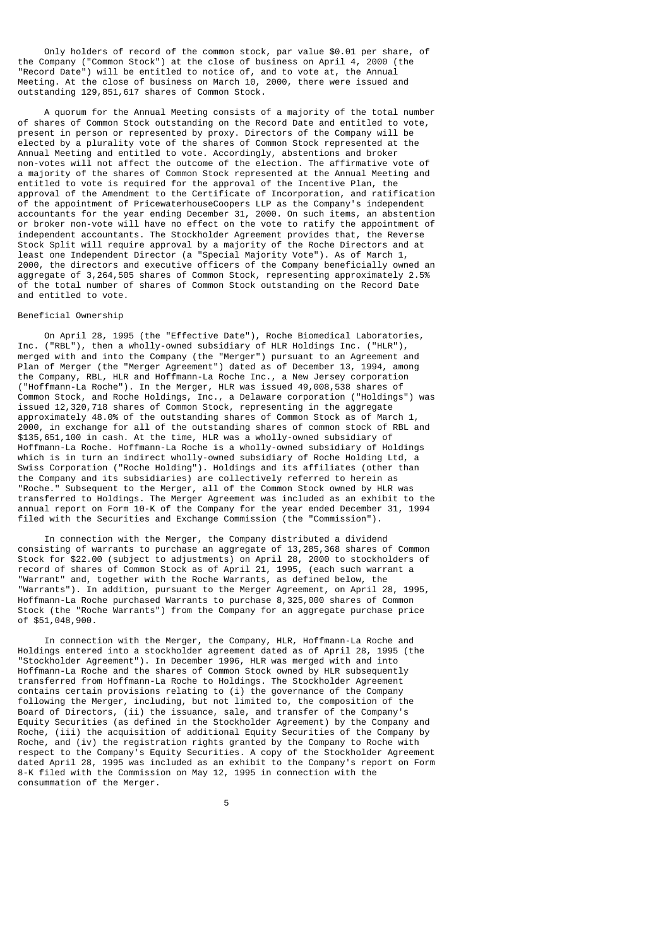Only holders of record of the common stock, par value \$0.01 per share, of the Company ("Common Stock") at the close of business on April 4, 2000 (the "Record Date") will be entitled to notice of, and to vote at, the Annual Meeting. At the close of business on March 10, 2000, there were issued and outstanding 129,851,617 shares of Common Stock.

 A quorum for the Annual Meeting consists of a majority of the total number of shares of Common Stock outstanding on the Record Date and entitled to vote, present in person or represented by proxy. Directors of the Company will be elected by a plurality vote of the shares of Common Stock represented at the Annual Meeting and entitled to vote. Accordingly, abstentions and broker non-votes will not affect the outcome of the election. The affirmative vote of a majority of the shares of Common Stock represented at the Annual Meeting and entitled to vote is required for the approval of the Incentive Plan, the approval of the Amendment to the Certificate of Incorporation, and ratification of the appointment of PricewaterhouseCoopers LLP as the Company's independent accountants for the year ending December 31, 2000. On such items, an abstention or broker non-vote will have no effect on the vote to ratify the appointment of independent accountants. The Stockholder Agreement provides that, the Reverse Stock Split will require approval by a majority of the Roche Directors and at least one Independent Director (a "Special Majority Vote"). As of March 1, 2000, the directors and executive officers of the Company beneficially owned an aggregate of 3,264,505 shares of Common Stock, representing approximately 2.5% of the total number of shares of Common Stock outstanding on the Record Date and entitled to vote.

## Beneficial Ownership

 On April 28, 1995 (the "Effective Date"), Roche Biomedical Laboratories, Inc. ("RBL"), then a wholly-owned subsidiary of HLR Holdings Inc. ("HLR"), merged with and into the Company (the "Merger") pursuant to an Agreement and Plan of Merger (the "Merger Agreement") dated as of December 13, 1994, among the Company, RBL, HLR and Hoffmann-La Roche Inc., a New Jersey corporation ("Hoffmann-La Roche"). In the Merger, HLR was issued 49,008,538 shares of Common Stock, and Roche Holdings, Inc., a Delaware corporation ("Holdings") was issued 12,320,718 shares of Common Stock, representing in the aggregate approximately 48.0% of the outstanding shares of Common Stock as of March 1, 2000, in exchange for all of the outstanding shares of common stock of RBL and \$135,651,100 in cash. At the time, HLR was a wholly-owned subsidiary of Hoffmann-La Roche. Hoffmann-La Roche is a wholly-owned subsidiary of Holdings which is in turn an indirect wholly-owned subsidiary of Roche Holding Ltd, a Swiss Corporation ("Roche Holding"). Holdings and its affiliates (other than the Company and its subsidiaries) are collectively referred to herein as "Roche." Subsequent to the Merger, all of the Common Stock owned by HLR was transferred to Holdings. The Merger Agreement was included as an exhibit to the annual report on Form 10-K of the Company for the year ended December 31, 1994 filed with the Securities and Exchange Commission (the "Commission").

 In connection with the Merger, the Company distributed a dividend consisting of warrants to purchase an aggregate of 13,285,368 shares of Common Stock for \$22.00 (subject to adjustments) on April 28, 2000 to stockholders of record of shares of Common Stock as of April 21, 1995, (each such warrant a "Warrant" and, together with the Roche Warrants, as defined below, the "Warrants"). In addition, pursuant to the Merger Agreement, on April 28, 1995, Hoffmann-La Roche purchased Warrants to purchase 8,325,000 shares of Common Stock (the "Roche Warrants") from the Company for an aggregate purchase price of \$51,048,900.

 In connection with the Merger, the Company, HLR, Hoffmann-La Roche and Holdings entered into a stockholder agreement dated as of April 28, 1995 (the "Stockholder Agreement"). In December 1996, HLR was merged with and into Hoffmann-La Roche and the shares of Common Stock owned by HLR subsequently transferred from Hoffmann-La Roche to Holdings. The Stockholder Agreement contains certain provisions relating to (i) the governance of the Company following the Merger, including, but not limited to, the composition of the Board of Directors, (ii) the issuance, sale, and transfer of the Company's Equity Securities (as defined in the Stockholder Agreement) by the Company and Roche, (iii) the acquisition of additional Equity Securities of the Company by Roche, and (iv) the registration rights granted by the Company to Roche with respect to the Company's Equity Securities. A copy of the Stockholder Agreement dated April 28, 1995 was included as an exhibit to the Company's report on Form 8-K filed with the Commission on May 12, 1995 in connection with the consummation of the Merger.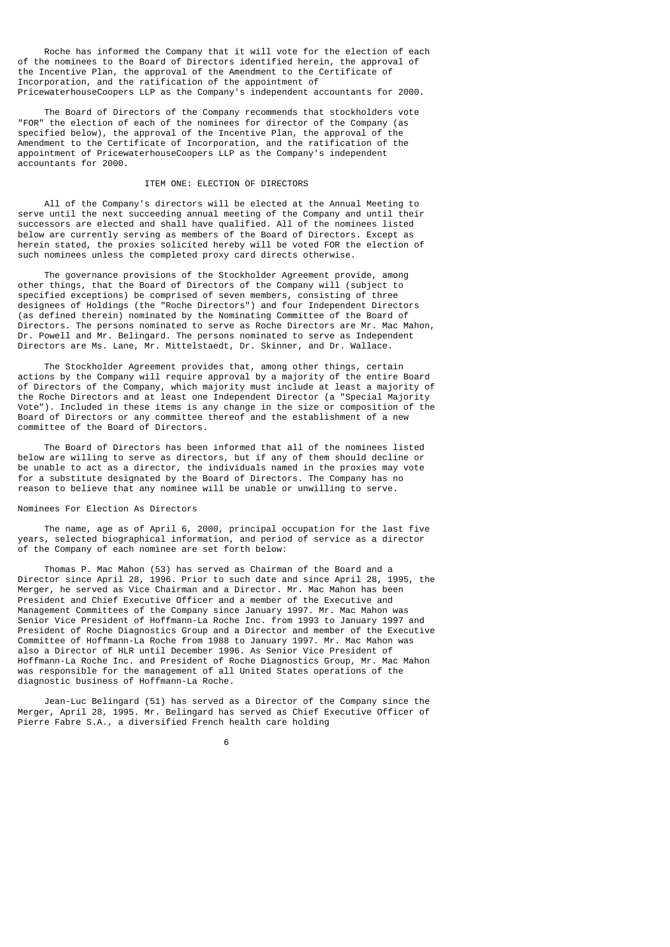Roche has informed the Company that it will vote for the election of each of the nominees to the Board of Directors identified herein, the approval of the Incentive Plan, the approval of the Amendment to the Certificate of Incorporation, and the ratification of the appointment of PricewaterhouseCoopers LLP as the Company's independent accountants for 2000.

 The Board of Directors of the Company recommends that stockholders vote "FOR" the election of each of the nominees for director of the Company (as specified below), the approval of the Incentive Plan, the approval of the Amendment to the Certificate of Incorporation, and the ratification of the appointment of PricewaterhouseCoopers LLP as the Company's independent accountants for 2000.

## ITEM ONE: ELECTION OF DIRECTORS

 All of the Company's directors will be elected at the Annual Meeting to serve until the next succeeding annual meeting of the Company and until their successors are elected and shall have qualified. All of the nominees listed below are currently serving as members of the Board of Directors. Except as herein stated, the proxies solicited hereby will be voted FOR the election of such nominees unless the completed proxy card directs otherwise.

 The governance provisions of the Stockholder Agreement provide, among other things, that the Board of Directors of the Company will (subject to specified exceptions) be comprised of seven members, consisting of three designees of Holdings (the "Roche Directors") and four Independent Directors (as defined therein) nominated by the Nominating Committee of the Board of Directors. The persons nominated to serve as Roche Directors are Mr. Mac Mahon, Dr. Powell and Mr. Belingard. The persons nominated to serve as Independent Directors are Ms. Lane, Mr. Mittelstaedt, Dr. Skinner, and Dr. Wallace.

 The Stockholder Agreement provides that, among other things, certain actions by the Company will require approval by a majority of the entire Board of Directors of the Company, which majority must include at least a majority of the Roche Directors and at least one Independent Director (a "Special Majority Vote"). Included in these items is any change in the size or composition of the Board of Directors or any committee thereof and the establishment of a new committee of the Board of Directors.

 The Board of Directors has been informed that all of the nominees listed below are willing to serve as directors, but if any of them should decline or be unable to act as a director, the individuals named in the proxies may vote for a substitute designated by the Board of Directors. The Company has no reason to believe that any nominee will be unable or unwilling to serve.

## Nominees For Election As Directors

 The name, age as of April 6, 2000, principal occupation for the last five years, selected biographical information, and period of service as a director of the Company of each nominee are set forth below:

 Thomas P. Mac Mahon (53) has served as Chairman of the Board and a Director since April 28, 1996. Prior to such date and since April 28, 1995, the Merger, he served as Vice Chairman and a Director. Mr. Mac Mahon has been President and Chief Executive Officer and a member of the Executive and Management Committees of the Company since January 1997. Mr. Mac Mahon was Senior Vice President of Hoffmann-La Roche Inc. from 1993 to January 1997 and President of Roche Diagnostics Group and a Director and member of the Executive Committee of Hoffmann-La Roche from 1988 to January 1997. Mr. Mac Mahon was also a Director of HLR until December 1996. As Senior Vice President of Hoffmann-La Roche Inc. and President of Roche Diagnostics Group, Mr. Mac Mahon was responsible for the management of all United States operations of the diagnostic business of Hoffmann-La Roche.

 Jean-Luc Belingard (51) has served as a Director of the Company since the Merger, April 28, 1995. Mr. Belingard has served as Chief Executive Officer of Pierre Fabre S.A., a diversified French health care holding

 $\sim$  6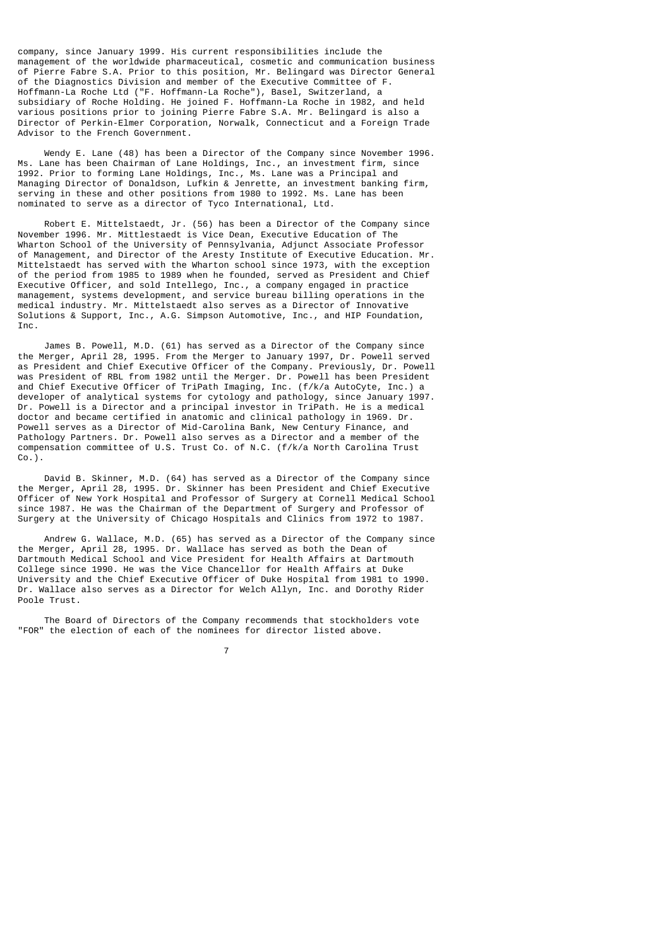company, since January 1999. His current responsibilities include the management of the worldwide pharmaceutical, cosmetic and communication business of Pierre Fabre S.A. Prior to this position, Mr. Belingard was Director General of the Diagnostics Division and member of the Executive Committee of F. Hoffmann-La Roche Ltd ("F. Hoffmann-La Roche"), Basel, Switzerland, a subsidiary of Roche Holding. He joined F. Hoffmann-La Roche in 1982, and held various positions prior to joining Pierre Fabre S.A. Mr. Belingard is also a Director of Perkin-Elmer Corporation, Norwalk, Connecticut and a Foreign Trade Advisor to the French Government.

 Wendy E. Lane (48) has been a Director of the Company since November 1996. Ms. Lane has been Chairman of Lane Holdings, Inc., an investment firm, since 1992. Prior to forming Lane Holdings, Inc., Ms. Lane was a Principal and Managing Director of Donaldson, Lufkin & Jenrette, an investment banking firm, serving in these and other positions from 1980 to 1992. Ms. Lane has been nominated to serve as a director of Tyco International, Ltd.

 Robert E. Mittelstaedt, Jr. (56) has been a Director of the Company since November 1996. Mr. Mittlestaedt is Vice Dean, Executive Education of The Wharton School of the University of Pennsylvania, Adjunct Associate Professor of Management, and Director of the Aresty Institute of Executive Education. Mr. Mittelstaedt has served with the Wharton school since 1973, with the exception of the period from 1985 to 1989 when he founded, served as President and Chief Executive Officer, and sold Intellego, Inc., a company engaged in practice management, systems development, and service bureau billing operations in the medical industry. Mr. Mittelstaedt also serves as a Director of Innovative Solutions & Support, Inc., A.G. Simpson Automotive, Inc., and HIP Foundation, Inc.

 James B. Powell, M.D. (61) has served as a Director of the Company since the Merger, April 28, 1995. From the Merger to January 1997, Dr. Powell served as President and Chief Executive Officer of the Company. Previously, Dr. Powell was President of RBL from 1982 until the Merger. Dr. Powell has been President and Chief Executive Officer of TriPath Imaging, Inc. (f/k/a AutoCyte, Inc.) a developer of analytical systems for cytology and pathology, since January 1997. Dr. Powell is a Director and a principal investor in TriPath. He is a medical doctor and became certified in anatomic and clinical pathology in 1969. Dr. Powell serves as a Director of Mid-Carolina Bank, New Century Finance, and Pathology Partners. Dr. Powell also serves as a Director and a member of the compensation committee of U.S. Trust Co. of N.C. (f/k/a North Carolina Trust  $Co.$ ).

 David B. Skinner, M.D. (64) has served as a Director of the Company since the Merger, April 28, 1995. Dr. Skinner has been President and Chief Executive Officer of New York Hospital and Professor of Surgery at Cornell Medical School since 1987. He was the Chairman of the Department of Surgery and Professor of Surgery at the University of Chicago Hospitals and Clinics from 1972 to 1987.

 Andrew G. Wallace, M.D. (65) has served as a Director of the Company since the Merger, April 28, 1995. Dr. Wallace has served as both the Dean of Dartmouth Medical School and Vice President for Health Affairs at Dartmouth College since 1990. He was the Vice Chancellor for Health Affairs at Duke University and the Chief Executive Officer of Duke Hospital from 1981 to 1990. Dr. Wallace also serves as a Director for Welch Allyn, Inc. and Dorothy Rider Poole Trust.

 The Board of Directors of the Company recommends that stockholders vote "FOR" the election of each of the nominees for director listed above.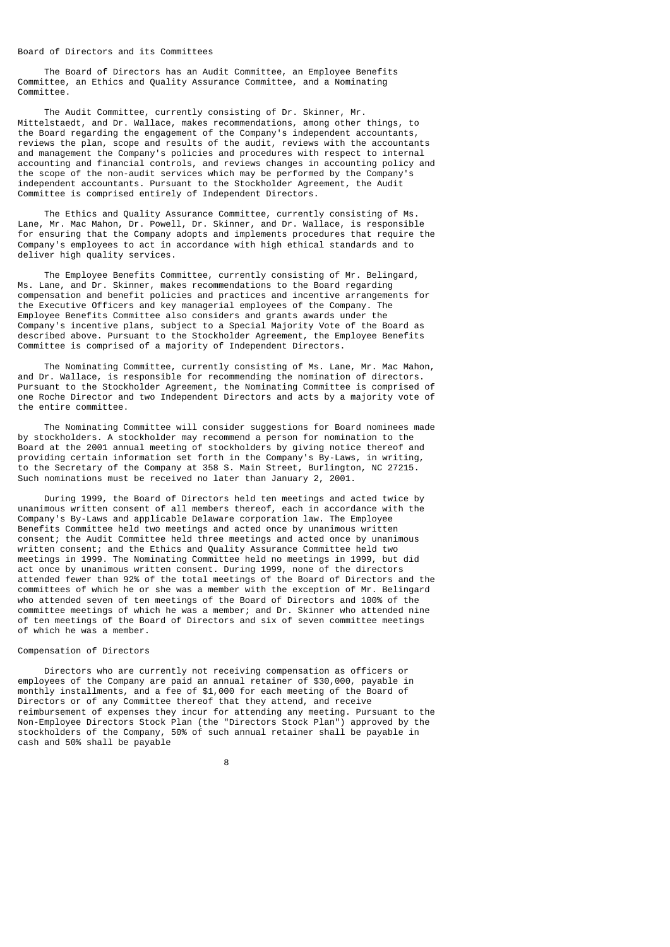#### Board of Directors and its Committees

 The Board of Directors has an Audit Committee, an Employee Benefits Committee, an Ethics and Quality Assurance Committee, and a Nominating Committee.

 The Audit Committee, currently consisting of Dr. Skinner, Mr. Mittelstaedt, and Dr. Wallace, makes recommendations, among other things, to the Board regarding the engagement of the Company's independent accountants, reviews the plan, scope and results of the audit, reviews with the accountants and management the Company's policies and procedures with respect to internal accounting and financial controls, and reviews changes in accounting policy and the scope of the non-audit services which may be performed by the Company's independent accountants. Pursuant to the Stockholder Agreement, the Audit Committee is comprised entirely of Independent Directors.

 The Ethics and Quality Assurance Committee, currently consisting of Ms. Lane, Mr. Mac Mahon, Dr. Powell, Dr. Skinner, and Dr. Wallace, is responsible for ensuring that the Company adopts and implements procedures that require the Company's employees to act in accordance with high ethical standards and to deliver high quality services.

 The Employee Benefits Committee, currently consisting of Mr. Belingard, Ms. Lane, and Dr. Skinner, makes recommendations to the Board regarding compensation and benefit policies and practices and incentive arrangements for the Executive Officers and key managerial employees of the Company. The Employee Benefits Committee also considers and grants awards under the Company's incentive plans, subject to a Special Majority Vote of the Board as described above. Pursuant to the Stockholder Agreement, the Employee Benefits Committee is comprised of a majority of Independent Directors.

 The Nominating Committee, currently consisting of Ms. Lane, Mr. Mac Mahon, and Dr. Wallace, is responsible for recommending the nomination of directors. Pursuant to the Stockholder Agreement, the Nominating Committee is comprised of one Roche Director and two Independent Directors and acts by a majority vote of the entire committee.

 The Nominating Committee will consider suggestions for Board nominees made by stockholders. A stockholder may recommend a person for nomination to the Board at the 2001 annual meeting of stockholders by giving notice thereof and providing certain information set forth in the Company's By-Laws, in writing, to the Secretary of the Company at 358 S. Main Street, Burlington, NC 27215. Such nominations must be received no later than January 2, 2001.

 During 1999, the Board of Directors held ten meetings and acted twice by unanimous written consent of all members thereof, each in accordance with the Company's By-Laws and applicable Delaware corporation law. The Employee Benefits Committee held two meetings and acted once by unanimous written consent; the Audit Committee held three meetings and acted once by unanimous written consent; and the Ethics and Quality Assurance Committee held two meetings in 1999. The Nominating Committee held no meetings in 1999, but did act once by unanimous written consent. During 1999, none of the directors attended fewer than 92% of the total meetings of the Board of Directors and the committees of which he or she was a member with the exception of Mr. Belingard who attended seven of ten meetings of the Board of Directors and 100% of the committee meetings of which he was a member; and Dr. Skinner who attended nine of ten meetings of the Board of Directors and six of seven committee meetings of which he was a member.

## Compensation of Directors

 Directors who are currently not receiving compensation as officers or employees of the Company are paid an annual retainer of \$30,000, payable in monthly installments, and a fee of \$1,000 for each meeting of the Board of Directors or of any Committee thereof that they attend, and receive reimbursement of expenses they incur for attending any meeting. Pursuant to the Non-Employee Directors Stock Plan (the "Directors Stock Plan") approved by the stockholders of the Company, 50% of such annual retainer shall be payable in cash and 50% shall be payable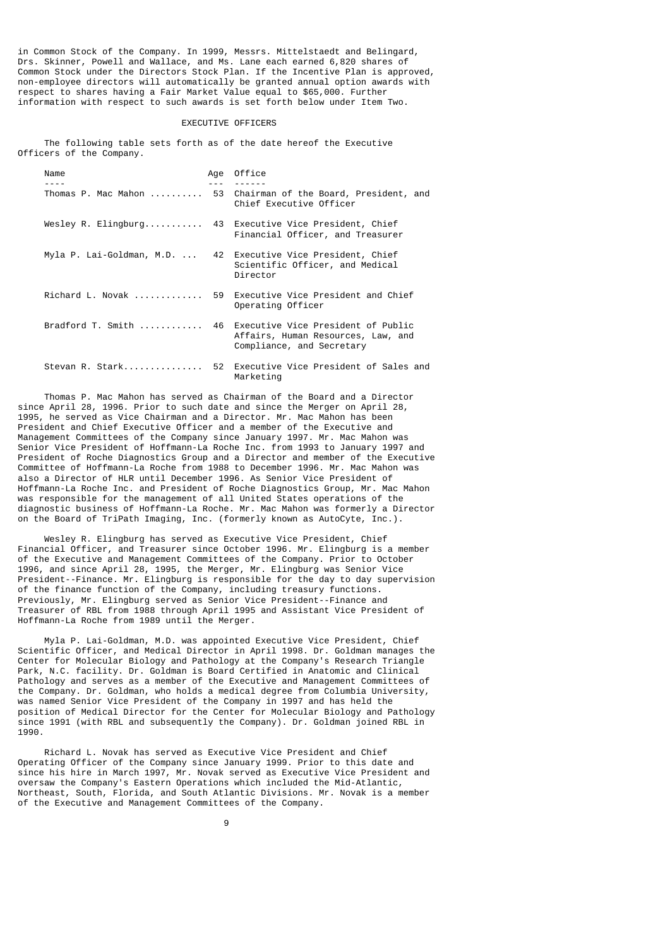in Common Stock of the Company. In 1999, Messrs. Mittelstaedt and Belingard, Drs. Skinner, Powell and Wallace, and Ms. Lane each earned 6,820 shares of Common Stock under the Directors Stock Plan. If the Incentive Plan is approved, non-employee directors will automatically be granted annual option awards with respect to shares having a Fair Market Value equal to \$65,000. Further information with respect to such awards is set forth below under Item Two.

#### EXECUTIVE OFFICERS

 The following table sets forth as of the date hereof the Executive Officers of the Company.

| Name                                       | Age | Office                                                                                                   |
|--------------------------------------------|-----|----------------------------------------------------------------------------------------------------------|
| Thomas P. Mac Mahon                        |     | 53 Chairman of the Board, President, and<br>Chief Executive Officer                                      |
| Wesley R. Elingburg                        |     | 43 Executive Vice President, Chief<br>Financial Officer, and Treasurer                                   |
| Myla P. Lai-Goldman, M.D.                  |     | 42 Executive Vice President, Chief<br>Scientific Officer, and Medical<br>Director                        |
| Richard L. Novak                           |     | 59 Executive Vice President and Chief<br>Operating Officer                                               |
| $Bradford$ T. Smith $\ldots \ldots \ldots$ |     | 46 Executive Vice President of Public<br>Affairs, Human Resources, Law, and<br>Compliance, and Secretary |
|                                            |     | Stevan R. Stark 52 Executive Vice President of Sales and<br>Marketing                                    |

 Thomas P. Mac Mahon has served as Chairman of the Board and a Director since April 28, 1996. Prior to such date and since the Merger on April 28, 1995, he served as Vice Chairman and a Director. Mr. Mac Mahon has been President and Chief Executive Officer and a member of the Executive and Management Committees of the Company since January 1997. Mr. Mac Mahon was Senior Vice President of Hoffmann-La Roche Inc. from 1993 to January 1997 and President of Roche Diagnostics Group and a Director and member of the Executive Committee of Hoffmann-La Roche from 1988 to December 1996. Mr. Mac Mahon was also a Director of HLR until December 1996. As Senior Vice President of Hoffmann-La Roche Inc. and President of Roche Diagnostics Group, Mr. Mac Mahon was responsible for the management of all United States operations of the diagnostic business of Hoffmann-La Roche. Mr. Mac Mahon was formerly a Director on the Board of TriPath Imaging, Inc. (formerly known as AutoCyte, Inc.).

 Wesley R. Elingburg has served as Executive Vice President, Chief Financial Officer, and Treasurer since October 1996. Mr. Elingburg is a member of the Executive and Management Committees of the Company. Prior to October 1996, and since April 28, 1995, the Merger, Mr. Elingburg was Senior Vice President--Finance. Mr. Elingburg is responsible for the day to day supervision of the finance function of the Company, including treasury functions. Previously, Mr. Elingburg served as Senior Vice President--Finance and Treasurer of RBL from 1988 through April 1995 and Assistant Vice President of Hoffmann-La Roche from 1989 until the Merger.

 Myla P. Lai-Goldman, M.D. was appointed Executive Vice President, Chief Scientific Officer, and Medical Director in April 1998. Dr. Goldman manages the Center for Molecular Biology and Pathology at the Company's Research Triangle Park, N.C. facility. Dr. Goldman is Board Certified in Anatomic and Clinical Pathology and serves as a member of the Executive and Management Committees of the Company. Dr. Goldman, who holds a medical degree from Columbia University, was named Senior Vice President of the Company in 1997 and has held the position of Medical Director for the Center for Molecular Biology and Pathology since 1991 (with RBL and subsequently the Company). Dr. Goldman joined RBL in 1990.

 Richard L. Novak has served as Executive Vice President and Chief Operating Officer of the Company since January 1999. Prior to this date and since his hire in March 1997, Mr. Novak served as Executive Vice President and oversaw the Company's Eastern Operations which included the Mid-Atlantic, Northeast, South, Florida, and South Atlantic Divisions. Mr. Novak is a member of the Executive and Management Committees of the Company.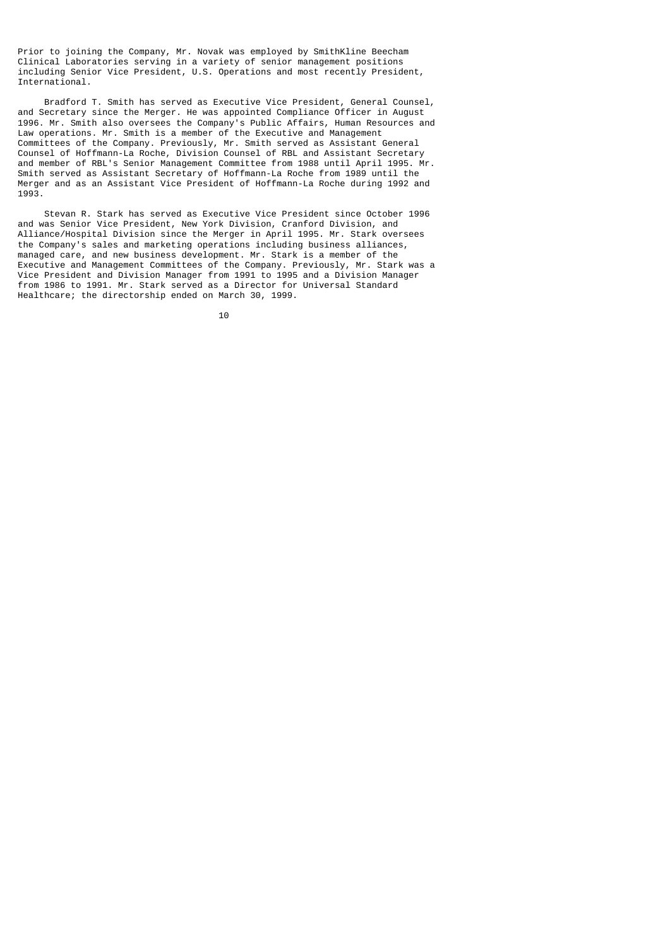Prior to joining the Company, Mr. Novak was employed by SmithKline Beecham Clinical Laboratories serving in a variety of senior management positions including Senior Vice President, U.S. Operations and most recently President, International.

 Bradford T. Smith has served as Executive Vice President, General Counsel, and Secretary since the Merger. He was appointed Compliance Officer in August 1996. Mr. Smith also oversees the Company's Public Affairs, Human Resources and Law operations. Mr. Smith is a member of the Executive and Management Committees of the Company. Previously, Mr. Smith served as Assistant General Counsel of Hoffmann-La Roche, Division Counsel of RBL and Assistant Secretary and member of RBL's Senior Management Committee from 1988 until April 1995. Mr. Smith served as Assistant Secretary of Hoffmann-La Roche from 1989 until the Merger and as an Assistant Vice President of Hoffmann-La Roche during 1992 and 1993.

 Stevan R. Stark has served as Executive Vice President since October 1996 and was Senior Vice President, New York Division, Cranford Division, and Alliance/Hospital Division since the Merger in April 1995. Mr. Stark oversees the Company's sales and marketing operations including business alliances, managed care, and new business development. Mr. Stark is a member of the Executive and Management Committees of the Company. Previously, Mr. Stark was a Vice President and Division Manager from 1991 to 1995 and a Division Manager from 1986 to 1991. Mr. Stark served as a Director for Universal Standard Healthcare; the directorship ended on March 30, 1999.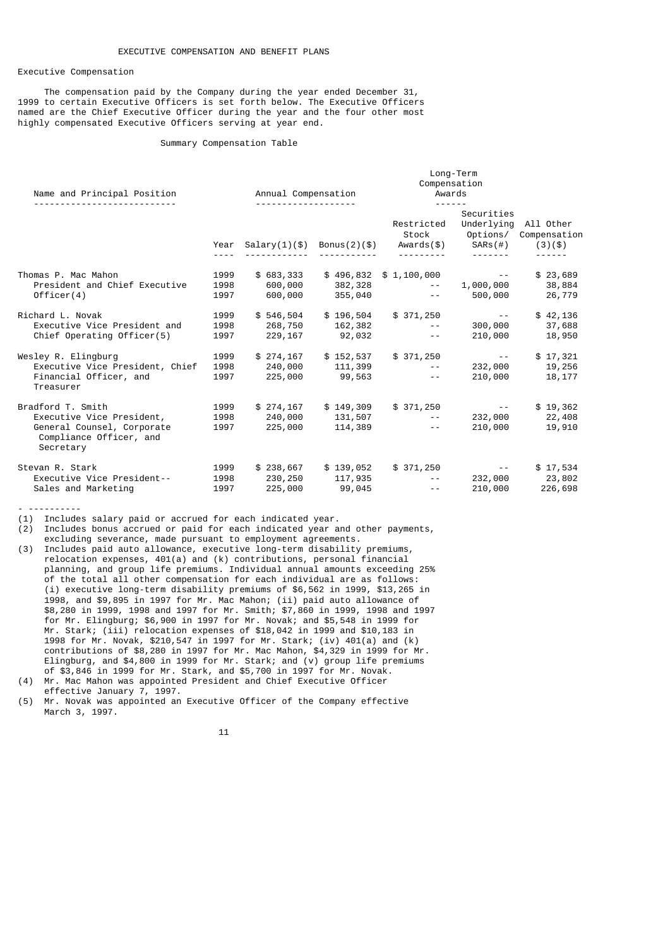## Executive Compensation

 The compensation paid by the Company during the year ended December 31, 1999 to certain Executive Officers is set forth below. The Executive Officers named are the Chief Executive Officer during the year and the four other most highly compensated Executive Officers serving at year end.

# Summary Compensation Table

| Name and Principal Position                                                                                          | Annual Compensation<br><u>.</u> |                                  |                    | Long-Term<br>Compensation<br>Awards<br>$- - - - - -$                                                                             |                                 |                                               |
|----------------------------------------------------------------------------------------------------------------------|---------------------------------|----------------------------------|--------------------|----------------------------------------------------------------------------------------------------------------------------------|---------------------------------|-----------------------------------------------|
|                                                                                                                      |                                 |                                  |                    | Restricted<br>Year Salary(1)(\$) Bonus(2)(\$) Awards(\$) SARs(#) (3)(\$)                                                         | Securities<br>Underlying        | All Other<br>Stock Options/ Compensation      |
| Thomas P. Mac Mahon<br>President and Chief Executive<br>Officer(4)                                                   | 1999<br>1998<br>1997            | \$683,333<br>600,000<br>600,000  | 382,328            | $$496,832 \quad $1,100,000$ --<br>and the contract of the con-<br>355,040 -- 500,000 26,779                                      |                                 | \$23,689<br>1,000,000 38,884                  |
| Richard L. Novak<br>Executive Vice President and<br>Chief Operating Officer(5)                                       | 1999<br>1998<br>1997            | \$546,504<br>268,750<br>229, 167 | 92,032             | $$196,504$ $$371,250$ --<br>$162,382$ --<br>$\sim$ $  \sim$                                                                      | 210,000                         | \$42,136<br>300,000 37,688<br>18,950          |
| Wesley R. Elingburg<br>Executive Vice President, Chief<br>Financial Officer, and<br>Treasurer                        | 1999<br>1998<br>1997            | \$274,167<br>240,000<br>225,000  | 111,399<br>99,563  | $$152,537$ $$371,250$<br>$\mathcal{L}_{\text{max}}$ and $\mathcal{L}_{\text{max}}$ . The set of<br>and the contract of the state | and the state of the<br>210,000 | \$17,321<br>232,000 19,256<br>18,177          |
| Bradford T. Smith<br>Executive Vice President,<br>General Counsel, Corporate<br>Compliance Officer, and<br>Secretary | 1999<br>1998<br>1997            | \$274,167<br>240,000<br>225,000  | 131,507<br>114,389 | $$149,309$ $$371,250$ --<br>and the state of the state of the<br>and the contract of the con-                                    | 210,000                         | \$19,362<br>232,000 22,408<br>19,910          |
| Stevan R. Stark<br>Executive Vice President--<br>Sales and Marketing                                                 | 1999<br>1998<br>1997            | 230,250<br>225,000               | 117,935<br>99,045  | \$238,667 \$139,052 \$371,250<br>and the contract of the contract of<br>and the contract of the state                            | and the state of the            | \$17,534<br>232,000 23,802<br>210,000 226,698 |

- ----------

(1) Includes salary paid or accrued for each indicated year.

(2) Includes bonus accrued or paid for each indicated year and other payments, excluding severance, made pursuant to employment agreements.

- (3) Includes paid auto allowance, executive long-term disability premiums, relocation expenses, 401(a) and (k) contributions, personal financial planning, and group life premiums. Individual annual amounts exceeding 25% of the total all other compensation for each individual are as follows: (i) executive long-term disability premiums of \$6,562 in 1999, \$13,265 in 1998, and \$9,895 in 1997 for Mr. Mac Mahon; (ii) paid auto allowance of \$8,280 in 1999, 1998 and 1997 for Mr. Smith; \$7,860 in 1999, 1998 and 1997 for Mr. Elingburg; \$6,900 in 1997 for Mr. Novak; and \$5,548 in 1999 for Mr. Stark; (iii) relocation expenses of \$18,042 in 1999 and \$10,183 in 1998 for Mr. Novak, \$210,547 in 1997 for Mr. Stark; (iv) 401(a) and (k) contributions of \$8,280 in 1997 for Mr. Mac Mahon, \$4,329 in 1999 for Mr. Elingburg, and \$4,800 in 1999 for Mr. Stark; and (v) group life premiums of \$3,846 in 1999 for Mr. Stark, and \$5,700 in 1997 for Mr. Novak. (4) Mr. Mac Mahon was appointed President and Chief Executive Officer
- effective January 7, 1997.
- (5) Mr. Novak was appointed an Executive Officer of the Company effective March 3, 1997.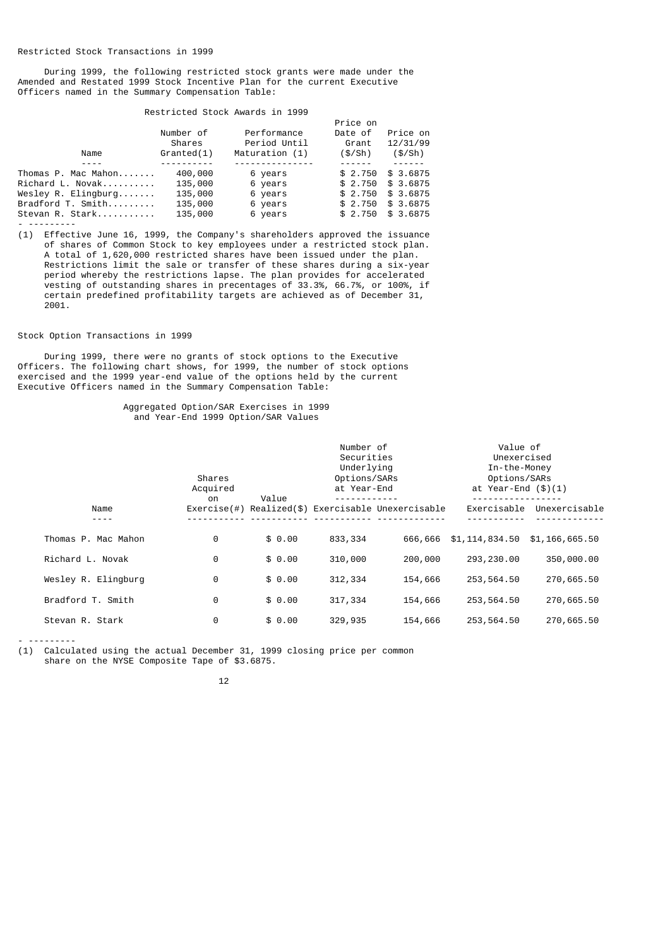During 1999, the following restricted stock grants were made under the Amended and Restated 1999 Stock Incentive Plan for the current Executive Officers named in the Summary Compensation Table:

## Restricted Stock Awards in 1999

|                     |            |                | Price on |           |
|---------------------|------------|----------------|----------|-----------|
|                     | Number of  | Performance    | Date of  | Price on  |
|                     | Shares     | Period Until   | Grant    | 12/31/99  |
| Name                | Granded(1) | Maturation (1) | (\$/Sh)  | (\$/Sh)   |
|                     |            |                |          |           |
| Thomas P. Mac Mahon | 400,000    | 6 years        | \$2.750  | \$3.6875  |
| Richard L. Novak    | 135,000    | 6 years        | \$2.750  | \$3.6875  |
| Wesley R. Elinaburg | 135,000    | 6 years        | \$2.750  | \$3.6875  |
| Bradford T. Smith   | 135,000    | 6 years        | \$2.750  | \$3.6875  |
| Stevan R. Stark     | 135,000    | 6 years        | \$2.750  | \$ 3,6875 |
|                     |            |                |          |           |

(1) Effective June 16, 1999, the Company's shareholders approved the issuance of shares of Common Stock to key employees under a restricted stock plan. A total of 1,620,000 restricted shares have been issued under the plan. Restrictions limit the sale or transfer of these shares during a six-year period whereby the restrictions lapse. The plan provides for accelerated vesting of outstanding shares in precentages of 33.3%, 66.7%, or 100%, if certain predefined profitability targets are achieved as of December 31, 2001.

## Stock Option Transactions in 1999

 During 1999, there were no grants of stock options to the Executive Officers. The following chart shows, for 1999, the number of stock options exercised and the 1999 year-end value of the options held by the current Executive Officers named in the Summary Compensation Table:

## Aggregated Option/SAR Exercises in 1999 and Year-End 1999 Option/SAR Values

|                     | Shares<br>Acquired<br>on | Value  | Number of<br>Securities<br>Underlying<br>Options/SARs<br>at Year-End |                                                    | Value of<br>Unexercised<br>In-the-Money<br>Options/SARs<br>at Year-End $(\$)(1)$ |                |
|---------------------|--------------------------|--------|----------------------------------------------------------------------|----------------------------------------------------|----------------------------------------------------------------------------------|----------------|
| Name                |                          |        |                                                                      | Exercise(#) Realized(\$) Exercisable Unexercisable | Exercisable                                                                      | Unexercisable  |
| Thomas P. Mac Mahon | 0                        | \$0.00 | 833, 334                                                             | 666,666                                            | \$1,114,834.50                                                                   | \$1,166,665.50 |
| Richard L. Novak    | 0                        | \$0.00 | 310,000                                                              | 200,000                                            | 293, 230.00                                                                      | 350,000.00     |
| Wesley R. Elingburg | $\Theta$                 | \$0.00 | 312, 334                                                             | 154,666                                            | 253,564.50                                                                       | 270,665.50     |
| Bradford T. Smith   | 0                        | \$0.00 | 317,334                                                              | 154,666                                            | 253,564.50                                                                       | 270,665.50     |
| Stevan R. Stark     | 0                        | \$0.00 | 329,935                                                              | 154,666                                            | 253, 564.50                                                                      | 270,665.50     |

- ---------

(1) Calculated using the actual December 31, 1999 closing price per common share on the NYSE Composite Tape of \$3.6875.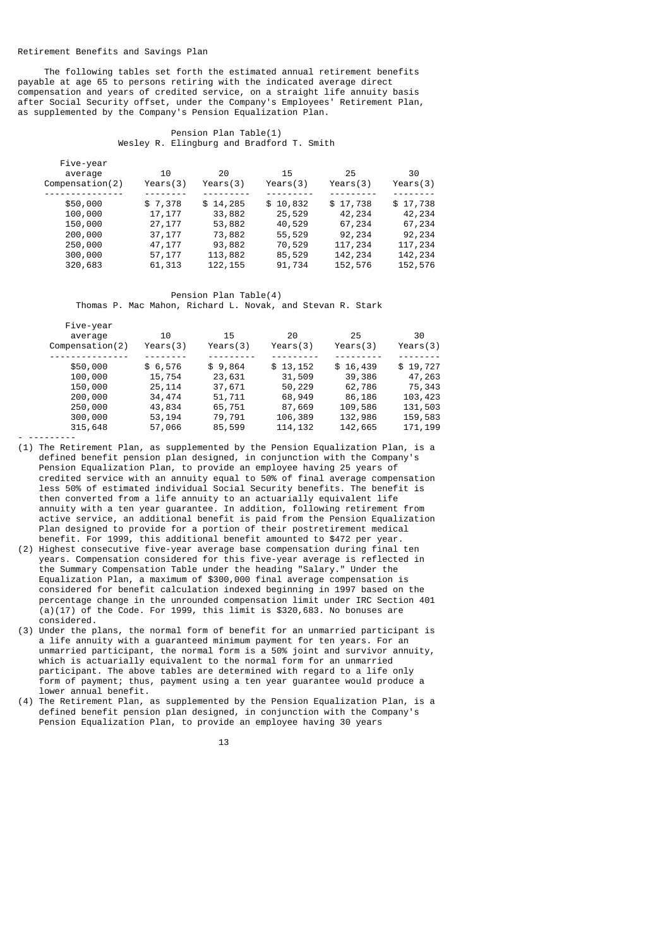#### Retirement Benefits and Savings Plan

 The following tables set forth the estimated annual retirement benefits payable at age 65 to persons retiring with the indicated average direct compensation and years of credited service, on a straight life annuity basis after Social Security offset, under the Company's Employees' Retirement Plan, as supplemented by the Company's Pension Equalization Plan.

## Pension Plan Table(1) Wesley R. Elingburg and Bradford T. Smith

| Compenstation(2)<br>Years(3)<br>Years(3)<br>Years(3)                                                                                                                                                                                                        | Years(3)<br>Years(3)                                                                                                         |
|-------------------------------------------------------------------------------------------------------------------------------------------------------------------------------------------------------------------------------------------------------------|------------------------------------------------------------------------------------------------------------------------------|
| \$50,000<br>\$7,378<br>\$14,285<br>\$10,832<br>33,882<br>100,000<br>17,177<br>25,529<br>150,000<br>27, 177<br>53,882<br>40,529<br>200,000<br>37, 177<br>73,882<br>55,529<br>250,000<br>93,882<br>70,529<br>47,177<br>300,000<br>113,882<br>57,177<br>85,529 | \$17,738<br>\$17,738<br>42,234<br>42,234<br>67,234<br>67,234<br>92,234<br>92,234<br>117,234<br>117,234<br>142,234<br>142,234 |

 Pension Plan Table(4) Thomas P. Mac Mahon, Richard L. Novak, and Stevan R. Stark

| Five-year        |          |          |          |          |          |
|------------------|----------|----------|----------|----------|----------|
| average          | 10       | 15       | 20       | 25       | 30       |
| Compenstation(2) | Years(3) | Years(3) | Years(3) | Years(3) | Years(3) |
|                  |          |          |          |          |          |
| \$50,000         | \$6,576  | \$9,864  | \$13,152 | \$16,439 | \$19,727 |
| 100,000          | 15,754   | 23,631   | 31,509   | 39,386   | 47,263   |
| 150,000          | 25, 114  | 37,671   | 50,229   | 62,786   | 75,343   |
| 200,000          | 34,474   | 51,711   | 68,949   | 86,186   | 103,423  |
| 250,000          | 43,834   | 65,751   | 87,669   | 109,586  | 131,503  |
| 300,000          | 53, 194  | 79,791   | 106,389  | 132,986  | 159,583  |
| 315,648          | 57,066   | 85,599   | 114, 132 | 142,665  | 171, 199 |
|                  |          |          |          |          |          |

(1) The Retirement Plan, as supplemented by the Pension Equalization Plan, is a defined benefit pension plan designed, in conjunction with the Company's Pension Equalization Plan, to provide an employee having 25 years of credited service with an annuity equal to 50% of final average compensation less 50% of estimated individual Social Security benefits. The benefit is then converted from a life annuity to an actuarially equivalent life annuity with a ten year guarantee. In addition, following retirement from active service, an additional benefit is paid from the Pension Equalization Plan designed to provide for a portion of their postretirement medical benefit. For 1999, this additional benefit amounted to \$472 per year.

- (2) Highest consecutive five-year average base compensation during final ten years. Compensation considered for this five-year average is reflected in the Summary Compensation Table under the heading "Salary." Under the Equalization Plan, a maximum of \$300,000 final average compensation is considered for benefit calculation indexed beginning in 1997 based on the percentage change in the unrounded compensation limit under IRC Section 401  $(a)(17)$  of the Code. For 1999, this limit is \$320,683. No bonuses are considered.
- (3) Under the plans, the normal form of benefit for an unmarried participant is a life annuity with a guaranteed minimum payment for ten years. For an unmarried participant, the normal form is a 50% joint and survivor annuity, which is actuarially equivalent to the normal form for an unmarried participant. The above tables are determined with regard to a life only form of payment; thus, payment using a ten year guarantee would produce a lower annual benefit.
- (4) The Retirement Plan, as supplemented by the Pension Equalization Plan, is a defined benefit pension plan designed, in conjunction with the Company's Pension Equalization Plan, to provide an employee having 30 years

13 and 13 and 13 and 13 and 13 and 13 and 13 and 13 and 13 and 13 and 13 and 13 and 13 and 13 and 13 and 13 an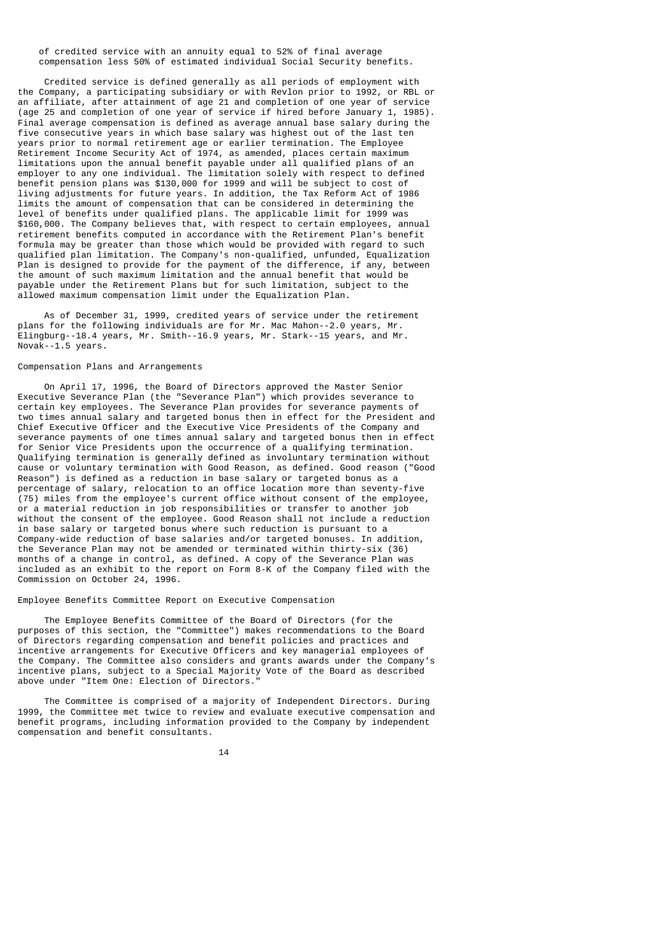## of credited service with an annuity equal to 52% of final average compensation less 50% of estimated individual Social Security benefits.

 Credited service is defined generally as all periods of employment with the Company, a participating subsidiary or with Revlon prior to 1992, or RBL or an affiliate, after attainment of age 21 and completion of one year of service (age 25 and completion of one year of service if hired before January 1, 1985). Final average compensation is defined as average annual base salary during the five consecutive years in which base salary was highest out of the last ten years prior to normal retirement age or earlier termination. The Employee Retirement Income Security Act of 1974, as amended, places certain maximum limitations upon the annual benefit payable under all qualified plans of an employer to any one individual. The limitation solely with respect to defined benefit pension plans was \$130,000 for 1999 and will be subject to cost of living adjustments for future years. In addition, the Tax Reform Act of 1986 limits the amount of compensation that can be considered in determining the level of benefits under qualified plans. The applicable limit for 1999 was \$160,000. The Company believes that, with respect to certain employees, annual retirement benefits computed in accordance with the Retirement Plan's benefit formula may be greater than those which would be provided with regard to such qualified plan limitation. The Company's non-qualified, unfunded, Equalization Plan is designed to provide for the payment of the difference, if any, between the amount of such maximum limitation and the annual benefit that would be payable under the Retirement Plans but for such limitation, subject to the allowed maximum compensation limit under the Equalization Plan.

 As of December 31, 1999, credited years of service under the retirement plans for the following individuals are for Mr. Mac Mahon--2.0 years, Mr. Elingburg--18.4 years, Mr. Smith--16.9 years, Mr. Stark--15 years, and Mr. Novak--1.5 years.

## Compensation Plans and Arrangements

 On April 17, 1996, the Board of Directors approved the Master Senior Executive Severance Plan (the "Severance Plan") which provides severance to certain key employees. The Severance Plan provides for severance payments of two times annual salary and targeted bonus then in effect for the President and Chief Executive Officer and the Executive Vice Presidents of the Company and severance payments of one times annual salary and targeted bonus then in effect for Senior Vice Presidents upon the occurrence of a qualifying termination. Qualifying termination is generally defined as involuntary termination without cause or voluntary termination with Good Reason, as defined. Good reason ("Good Reason") is defined as a reduction in base salary or targeted bonus as a percentage of salary, relocation to an office location more than seventy-five (75) miles from the employee's current office without consent of the employee, or a material reduction in job responsibilities or transfer to another job without the consent of the employee. Good Reason shall not include a reduction in base salary or targeted bonus where such reduction is pursuant to a Company-wide reduction of base salaries and/or targeted bonuses. In addition, the Severance Plan may not be amended or terminated within thirty-six (36) months of a change in control, as defined. A copy of the Severance Plan was included as an exhibit to the report on Form 8-K of the Company filed with the Commission on October 24, 1996.

# Employee Benefits Committee Report on Executive Compensation

 The Employee Benefits Committee of the Board of Directors (for the purposes of this section, the "Committee") makes recommendations to the Board of Directors regarding compensation and benefit policies and practices and incentive arrangements for Executive Officers and key managerial employees of the Company. The Committee also considers and grants awards under the Company's incentive plans, subject to a Special Majority Vote of the Board as described above under "Item One: Election of Directors."

 The Committee is comprised of a majority of Independent Directors. During 1999, the Committee met twice to review and evaluate executive compensation and benefit programs, including information provided to the Company by independent compensation and benefit consultants.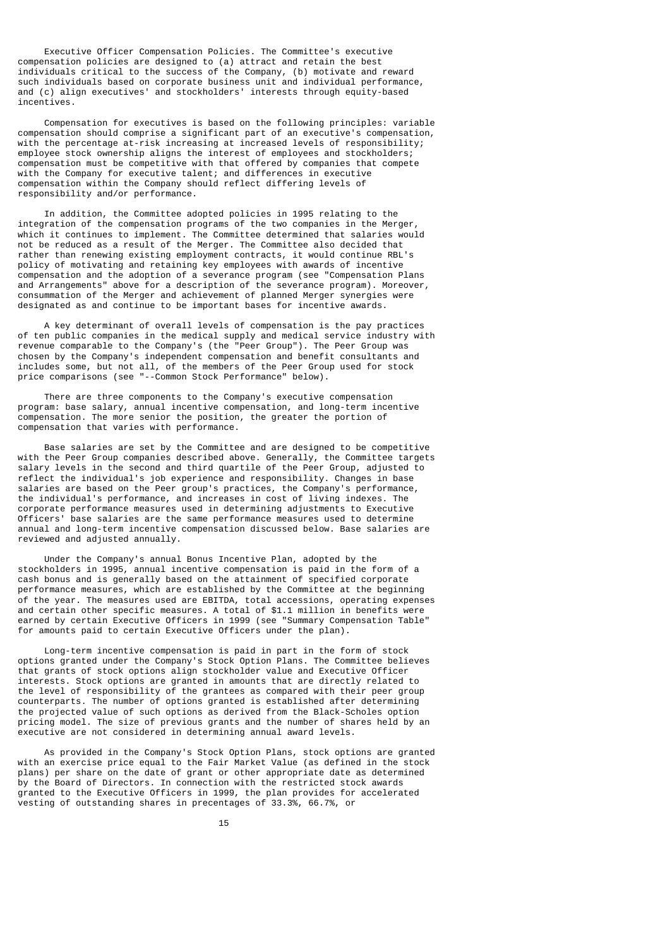Executive Officer Compensation Policies. The Committee's executive compensation policies are designed to (a) attract and retain the best individuals critical to the success of the Company, (b) motivate and reward such individuals based on corporate business unit and individual performance, and (c) align executives' and stockholders' interests through equity-based incentives.

 Compensation for executives is based on the following principles: variable compensation should comprise a significant part of an executive's compensation, with the percentage at-risk increasing at increased levels of responsibility; employee stock ownership aligns the interest of employees and stockholders; compensation must be competitive with that offered by companies that compete with the Company for executive talent; and differences in executive compensation within the Company should reflect differing levels of responsibility and/or performance.

 In addition, the Committee adopted policies in 1995 relating to the integration of the compensation programs of the two companies in the Merger, which it continues to implement. The Committee determined that salaries would not be reduced as a result of the Merger. The Committee also decided that rather than renewing existing employment contracts, it would continue RBL's policy of motivating and retaining key employees with awards of incentive compensation and the adoption of a severance program (see "Compensation Plans and Arrangements" above for a description of the severance program). Moreover, consummation of the Merger and achievement of planned Merger synergies were designated as and continue to be important bases for incentive awards.

 A key determinant of overall levels of compensation is the pay practices of ten public companies in the medical supply and medical service industry with revenue comparable to the Company's (the "Peer Group"). The Peer Group was chosen by the Company's independent compensation and benefit consultants and includes some, but not all, of the members of the Peer Group used for stock price comparisons (see "--Common Stock Performance" below).

 There are three components to the Company's executive compensation program: base salary, annual incentive compensation, and long-term incentive compensation. The more senior the position, the greater the portion of compensation that varies with performance.

 Base salaries are set by the Committee and are designed to be competitive with the Peer Group companies described above. Generally, the Committee targets salary levels in the second and third quartile of the Peer Group, adjusted to reflect the individual's job experience and responsibility. Changes in base salaries are based on the Peer group's practices, the Company's performance, the individual's performance, and increases in cost of living indexes. The corporate performance measures used in determining adjustments to Executive Officers' base salaries are the same performance measures used to determine annual and long-term incentive compensation discussed below. Base salaries are reviewed and adjusted annually.

 Under the Company's annual Bonus Incentive Plan, adopted by the stockholders in 1995, annual incentive compensation is paid in the form of a cash bonus and is generally based on the attainment of specified corporate performance measures, which are established by the Committee at the beginning of the year. The measures used are EBITDA, total accessions, operating expenses and certain other specific measures. A total of \$1.1 million in benefits were earned by certain Executive Officers in 1999 (see "Summary Compensation Table" for amounts paid to certain Executive Officers under the plan).

 Long-term incentive compensation is paid in part in the form of stock options granted under the Company's Stock Option Plans. The Committee believes that grants of stock options align stockholder value and Executive Officer interests. Stock options are granted in amounts that are directly related to the level of responsibility of the grantees as compared with their peer group counterparts. The number of options granted is established after determining the projected value of such options as derived from the Black-Scholes option pricing model. The size of previous grants and the number of shares held by an executive are not considered in determining annual award levels.

 As provided in the Company's Stock Option Plans, stock options are granted with an exercise price equal to the Fair Market Value (as defined in the stock plans) per share on the date of grant or other appropriate date as determined by the Board of Directors. In connection with the restricted stock awards granted to the Executive Officers in 1999, the plan provides for accelerated vesting of outstanding shares in precentages of 33.3%, 66.7%, or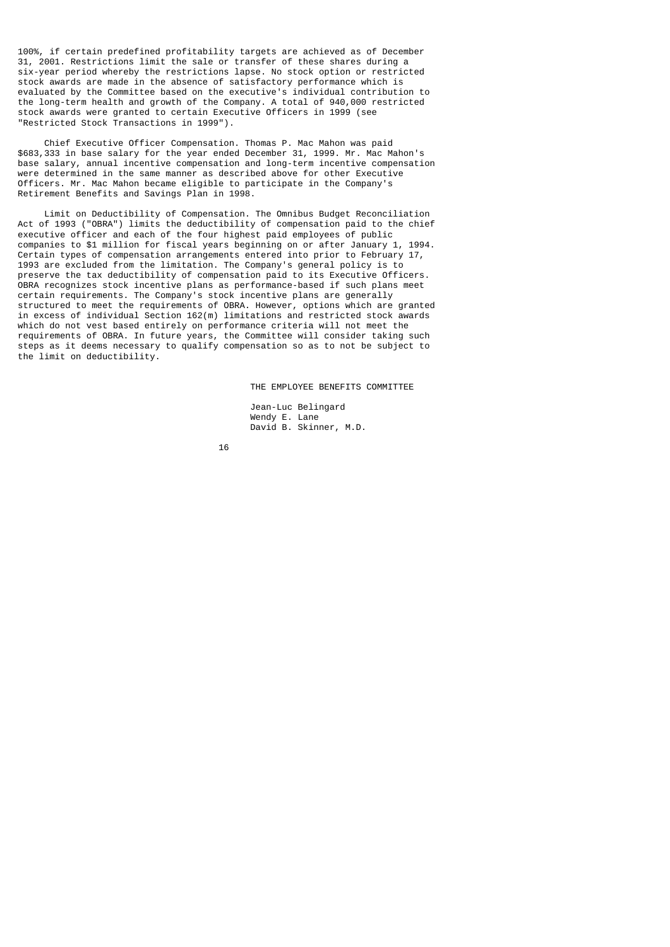100%, if certain predefined profitability targets are achieved as of December 31, 2001. Restrictions limit the sale or transfer of these shares during a six-year period whereby the restrictions lapse. No stock option or restricted stock awards are made in the absence of satisfactory performance which is evaluated by the Committee based on the executive's individual contribution to the long-term health and growth of the Company. A total of 940,000 restricted stock awards were granted to certain Executive Officers in 1999 (see "Restricted Stock Transactions in 1999").

 Chief Executive Officer Compensation. Thomas P. Mac Mahon was paid \$683,333 in base salary for the year ended December 31, 1999. Mr. Mac Mahon's base salary, annual incentive compensation and long-term incentive compensation were determined in the same manner as described above for other Executive Officers. Mr. Mac Mahon became eligible to participate in the Company's Retirement Benefits and Savings Plan in 1998.

 Limit on Deductibility of Compensation. The Omnibus Budget Reconciliation Act of 1993 ("OBRA") limits the deductibility of compensation paid to the chief executive officer and each of the four highest paid employees of public companies to \$1 million for fiscal years beginning on or after January 1, 1994. Certain types of compensation arrangements entered into prior to February 17, 1993 are excluded from the limitation. The Company's general policy is to preserve the tax deductibility of compensation paid to its Executive Officers. OBRA recognizes stock incentive plans as performance-based if such plans meet certain requirements. The Company's stock incentive plans are generally structured to meet the requirements of OBRA. However, options which are granted in excess of individual Section 162(m) limitations and restricted stock awards which do not vest based entirely on performance criteria will not meet the requirements of OBRA. In future years, the Committee will consider taking such steps as it deems necessary to qualify compensation so as to not be subject to the limit on deductibility.

THE EMPLOYEE BENEFITS COMMITTEE

 Jean-Luc Belingard Wendy E. Lane David B. Skinner, M.D.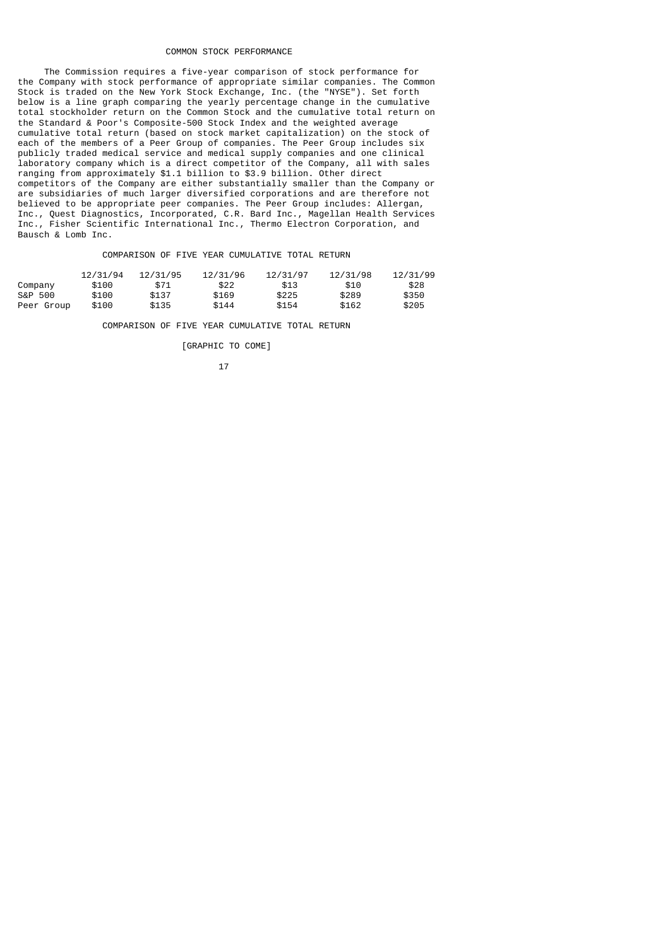#### COMMON STOCK PERFORMANCE

 The Commission requires a five-year comparison of stock performance for the Company with stock performance of appropriate similar companies. The Common Stock is traded on the New York Stock Exchange, Inc. (the "NYSE"). Set forth below is a line graph comparing the yearly percentage change in the cumulative total stockholder return on the Common Stock and the cumulative total return on the Standard & Poor's Composite-500 Stock Index and the weighted average cumulative total return (based on stock market capitalization) on the stock of each of the members of a Peer Group of companies. The Peer Group includes six publicly traded medical service and medical supply companies and one clinical laboratory company which is a direct competitor of the Company, all with sales ranging from approximately \$1.1 billion to \$3.9 billion. Other direct competitors of the Company are either substantially smaller than the Company or are subsidiaries of much larger diversified corporations and are therefore not believed to be appropriate peer companies. The Peer Group includes: Allergan, Inc., Quest Diagnostics, Incorporated, C.R. Bard Inc., Magellan Health Services Inc., Fisher Scientific International Inc., Thermo Electron Corporation, and Bausch & Lomb Inc.

COMPARISON OF FIVE YEAR CUMULATIVE TOTAL RETURN

|            | 12/31/94 | 12/31/95 | 12/31/96 | 12/31/97 | 12/31/98 | 12/31/99 |
|------------|----------|----------|----------|----------|----------|----------|
| Company    | \$100    | \$71     | \$22     | \$13     | \$10     | \$28     |
| S&P 500    | \$100    | \$137    | \$169    | \$225    | \$289    | \$350    |
| Peer Group | \$100    | \$135    | \$144    | \$154    | \$162    | \$205    |

COMPARISON OF FIVE YEAR CUMULATIVE TOTAL RETURN

[GRAPHIC TO COME]

$$
\begin{array}{c}\n17\n\end{array}
$$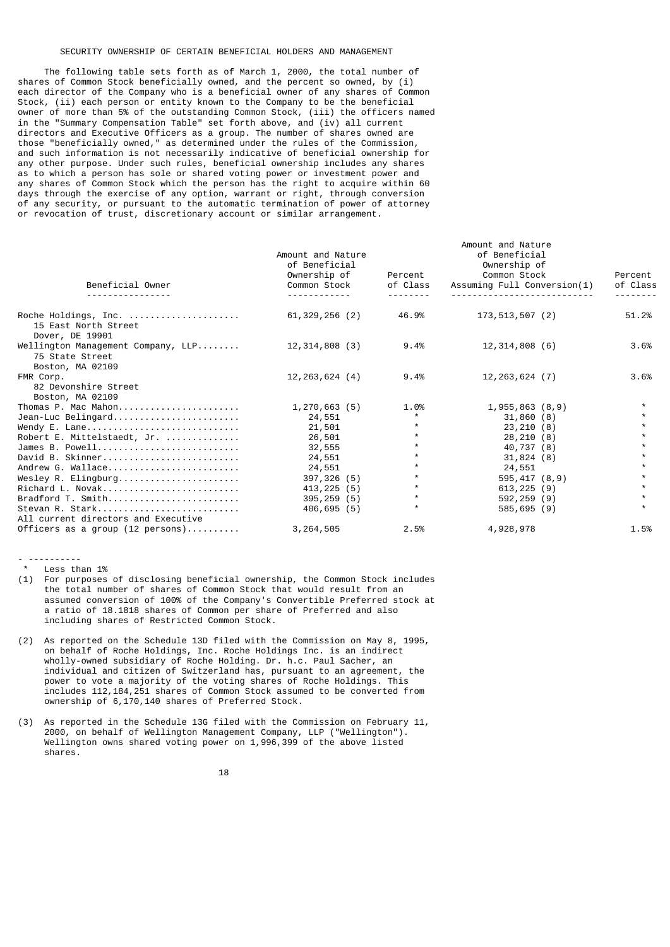### SECURITY OWNERSHIP OF CERTAIN BENEFICIAL HOLDERS AND MANAGEMENT

 The following table sets forth as of March 1, 2000, the total number of shares of Common Stock beneficially owned, and the percent so owned, by (i) each director of the Company who is a beneficial owner of any shares of Common Stock, (ii) each person or entity known to the Company to be the beneficial owner of more than 5% of the outstanding Common Stock, (iii) the officers named in the "Summary Compensation Table" set forth above, and (iv) all current directors and Executive Officers as a group. The number of shares owned are those "beneficially owned," as determined under the rules of the Commission, and such information is not necessarily indicative of beneficial ownership for any other purpose. Under such rules, beneficial ownership includes any shares as to which a person has sole or shared voting power or investment power and any shares of Common Stock which the person has the right to acquire within 60 days through the exercise of any option, warrant or right, through conversion of any security, or pursuant to the automatic termination of power of attorney or revocation of trust, discretionary account or similar arrangement.

|                                                                           |                    |          | Amount and Nature           |                 |
|---------------------------------------------------------------------------|--------------------|----------|-----------------------------|-----------------|
|                                                                           | Amount and Nature  |          | of Beneficial               |                 |
|                                                                           | of Beneficial      |          | Ownership of                |                 |
|                                                                           | Ownership of       | Percent  | Common Stock                | Percent         |
| Beneficial Owner                                                          | Common Stock       | of Class | Assuming Full Conversion(1) | of Class        |
| <u>.</u>                                                                  | <u>.</u>           | <u>.</u> |                             | - - - - - - - - |
| Roche Holdings, Inc.<br>15 East North Street<br>Dover, DE 19901           | 61,329,256 (2)     | 46.9%    | 173,513,507 (2)             | 51.2%           |
| Wellington Management Company, LLP<br>75 State Street<br>Boston, MA 02109 | 12, 314, 808 (3)   | 9.4%     | 12, 314, 808(6)             | 3.6%            |
| FMR Corp.                                                                 | $12, 263, 624$ (4) | 9.4%     | $12, 263, 624$ (7)          | 3.6%            |
| 82 Devonshire Street                                                      |                    |          |                             |                 |
| Boston, MA 02109                                                          |                    |          |                             |                 |
| Thomas P. Mac Mahon                                                       | 1, 270, 663(5)     | 1.0%     | 1,955,863(8,9)              |                 |
| Jean-Luc Belingard                                                        | 24,551             | $\star$  | 31,860(8)                   |                 |
| Wendy E. Lane                                                             | 21,501             | $\star$  | 23, 210(8)                  |                 |
| Robert E. Mittelstaedt, Jr.                                               | 26,501             | $\star$  | 28, 210(8)                  |                 |
| James B. Powell                                                           | 32,555             | $\star$  | 40,737 (8)                  |                 |
| David B. Skinner                                                          | 24,551             | $\star$  | 31,824(8)                   |                 |
| Andrew G. Wallace                                                         | 24,551             | $\star$  | 24,551                      |                 |
| Wesley R. Elingburg                                                       | 397,326 (5)        | $\star$  | 595,417(8,9)                |                 |
| Richard L. Novak                                                          | 413, 225 (5)       | $\star$  | 613, 225 (9)                | $\star$         |
| Bradford T. Smith                                                         | $395, 259$ (5)     | $\star$  | 592,259 (9)                 |                 |
| Stevan R. Stark<br>All current directors and Executive                    | 406, 695(5)        | $^\star$ | 585,695 (9)                 |                 |
| Officers as a group $(12 \text{ persons}) \dots \dots$                    | 3, 264, 505        | 2.5%     | 4,928,978                   | 1.5%            |

- ---------- Less than 1%

(1) For purposes of disclosing beneficial ownership, the Common Stock includes the total number of shares of Common Stock that would result from an assumed conversion of 100% of the Company's Convertible Preferred stock at a ratio of 18.1818 shares of Common per share of Preferred and also including shares of Restricted Common Stock.

- (2) As reported on the Schedule 13D filed with the Commission on May 8, 1995, on behalf of Roche Holdings, Inc. Roche Holdings Inc. is an indirect wholly-owned subsidiary of Roche Holding. Dr. h.c. Paul Sacher, an individual and citizen of Switzerland has, pursuant to an agreement, the power to vote a majority of the voting shares of Roche Holdings. This includes 112,184,251 shares of Common Stock assumed to be converted from ownership of 6,170,140 shares of Preferred Stock.
- (3) As reported in the Schedule 13G filed with the Commission on February 11, 2000, on behalf of Wellington Management Company, LLP ("Wellington"). Wellington owns shared voting power on 1,996,399 of the above listed shares.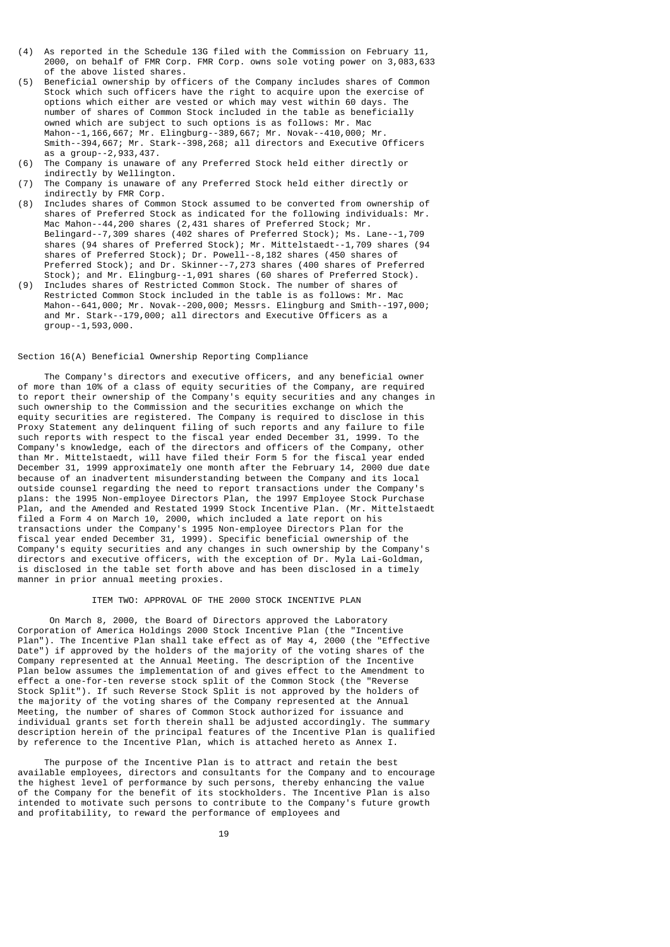- (4) As reported in the Schedule 13G filed with the Commission on February 11, 2000, on behalf of FMR Corp. FMR Corp. owns sole voting power on 3,083,633 of the above listed shares.
- (5) Beneficial ownership by officers of the Company includes shares of Common Stock which such officers have the right to acquire upon the exercise of options which either are vested or which may vest within 60 days. The number of shares of Common Stock included in the table as beneficially owned which are subject to such options is as follows: Mr. Mac Mahon--1,166,667; Mr. Elingburg--389,667; Mr. Novak--410,000; Mr. Smith--394,667; Mr. Stark--398,268; all directors and Executive Officers as a group--2,933,437.<br>(6) The Company is unaware
- The Company is unaware of any Preferred Stock held either directly or indirectly by Wellington.
- (7) The Company is unaware of any Preferred Stock held either directly or indirectly by FMR Corp.
- (8) Includes shares of Common Stock assumed to be converted from ownership of shares of Preferred Stock as indicated for the following individuals: Mr. Mac Mahon--44,200 shares (2,431 shares of Preferred Stock; Mr. Belingard--7,309 shares (402 shares of Preferred Stock); Ms. Lane--1,709 shares (94 shares of Preferred Stock); Mr. Mittelstaedt--1,709 shares (94 shares of Preferred Stock); Dr. Powell--8,182 shares (450 shares of Preferred Stock); and Dr. Skinner--7,273 shares (400 shares of Preferred Stock); and Mr. Elingburg--1,091 shares (60 shares of Preferred Stock).
- (9) Includes shares of Restricted Common Stock. The number of shares of Restricted Common Stock included in the table is as follows: Mr. Mac Mahon--641,000; Mr. Novak--200,000; Messrs. Elingburg and Smith--197,000; and Mr. Stark--179,000; all directors and Executive Officers as a group--1,593,000.

## Section 16(A) Beneficial Ownership Reporting Compliance

 The Company's directors and executive officers, and any beneficial owner of more than 10% of a class of equity securities of the Company, are required to report their ownership of the Company's equity securities and any changes in such ownership to the Commission and the securities exchange on which the equity securities are registered. The Company is required to disclose in this Proxy Statement any delinquent filing of such reports and any failure to file such reports with respect to the fiscal year ended December 31, 1999. To the Company's knowledge, each of the directors and officers of the Company, other than Mr. Mittelstaedt, will have filed their Form 5 for the fiscal year ended December 31, 1999 approximately one month after the February 14, 2000 due date because of an inadvertent misunderstanding between the Company and its local outside counsel regarding the need to report transactions under the Company's plans: the 1995 Non-employee Directors Plan, the 1997 Employee Stock Purchase Plan, and the Amended and Restated 1999 Stock Incentive Plan. (Mr. Mittelstaedt filed a Form 4 on March 10, 2000, which included a late report on his transactions under the Company's 1995 Non-employee Directors Plan for the fiscal year ended December 31, 1999). Specific beneficial ownership of the Company's equity securities and any changes in such ownership by the Company's directors and executive officers, with the exception of Dr. Myla Lai-Goldman, is disclosed in the table set forth above and has been disclosed in a timely manner in prior annual meeting proxies.

## ITEM TWO: APPROVAL OF THE 2000 STOCK INCENTIVE PLAN

 On March 8, 2000, the Board of Directors approved the Laboratory Corporation of America Holdings 2000 Stock Incentive Plan (the "Incentive Plan"). The Incentive Plan shall take effect as of May 4, 2000 (the "Effective Date") if approved by the holders of the majority of the voting shares of the Company represented at the Annual Meeting. The description of the Incentive Plan below assumes the implementation of and gives effect to the Amendment to effect a one-for-ten reverse stock split of the Common Stock (the "Reverse Stock Split"). If such Reverse Stock Split is not approved by the holders of the majority of the voting shares of the Company represented at the Annual Meeting, the number of shares of Common Stock authorized for issuance and individual grants set forth therein shall be adjusted accordingly. The summary description herein of the principal features of the Incentive Plan is qualified by reference to the Incentive Plan, which is attached hereto as Annex I.

 The purpose of the Incentive Plan is to attract and retain the best available employees, directors and consultants for the Company and to encourage the highest level of performance by such persons, thereby enhancing the value of the Company for the benefit of its stockholders. The Incentive Plan is also intended to motivate such persons to contribute to the Company's future growth and profitability, to reward the performance of employees and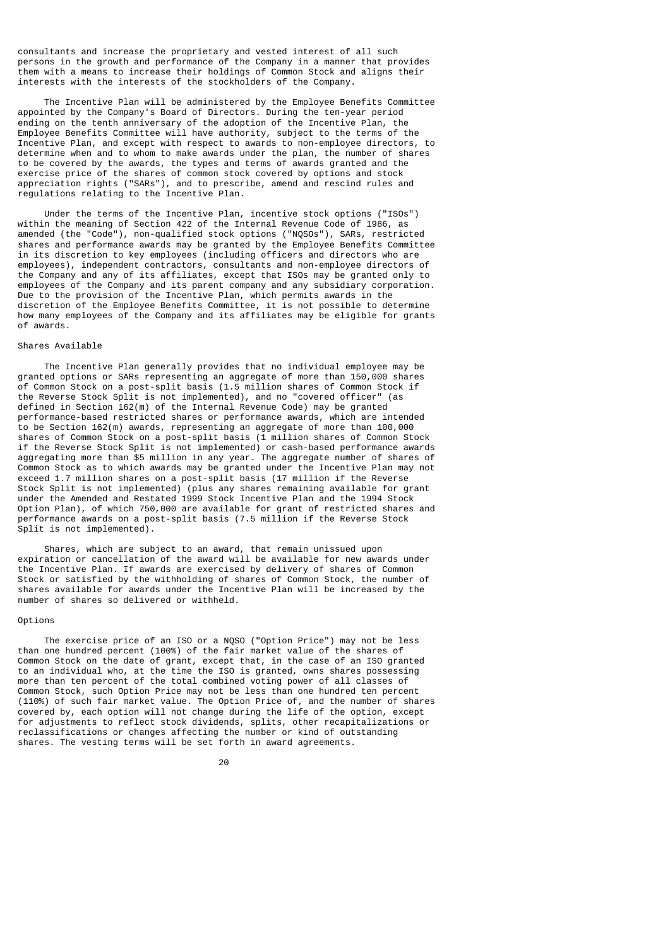consultants and increase the proprietary and vested interest of all such persons in the growth and performance of the Company in a manner that provides them with a means to increase their holdings of Common Stock and aligns their interests with the interests of the stockholders of the Company.

 The Incentive Plan will be administered by the Employee Benefits Committee appointed by the Company's Board of Directors. During the ten-year period ending on the tenth anniversary of the adoption of the Incentive Plan, the Employee Benefits Committee will have authority, subject to the terms of the Incentive Plan, and except with respect to awards to non-employee directors, to determine when and to whom to make awards under the plan, the number of shares to be covered by the awards, the types and terms of awards granted and the exercise price of the shares of common stock covered by options and stock appreciation rights ("SARs"), and to prescribe, amend and rescind rules and regulations relating to the Incentive Plan.

 Under the terms of the Incentive Plan, incentive stock options ("ISOs") within the meaning of Section 422 of the Internal Revenue Code of 1986, as amended (the "Code"), non-qualified stock options ("NQSOs"), SARs, restricted shares and performance awards may be granted by the Employee Benefits Committee in its discretion to key employees (including officers and directors who are employees), independent contractors, consultants and non-employee directors of the Company and any of its affiliates, except that ISOs may be granted only to employees of the Company and its parent company and any subsidiary corporation. Due to the provision of the Incentive Plan, which permits awards in the discretion of the Employee Benefits Committee, it is not possible to determine how many employees of the Company and its affiliates may be eligible for grants of awards.

### Shares Available

 The Incentive Plan generally provides that no individual employee may be granted options or SARs representing an aggregate of more than 150,000 shares of Common Stock on a post-split basis (1.5 million shares of Common Stock if the Reverse Stock Split is not implemented), and no "covered officer" (as defined in Section 162(m) of the Internal Revenue Code) may be granted performance-based restricted shares or performance awards, which are intended to be Section 162(m) awards, representing an aggregate of more than 100,000 shares of Common Stock on a post-split basis (1 million shares of Common Stock if the Reverse Stock Split is not implemented) or cash-based performance awards aggregating more than \$5 million in any year. The aggregate number of shares of Common Stock as to which awards may be granted under the Incentive Plan may not exceed 1.7 million shares on a post-split basis (17 million if the Reverse Stock Split is not implemented) (plus any shares remaining available for grant under the Amended and Restated 1999 Stock Incentive Plan and the 1994 Stock Option Plan), of which 750,000 are available for grant of restricted shares and performance awards on a post-split basis (7.5 million if the Reverse Stock Split is not implemented).

 Shares, which are subject to an award, that remain unissued upon expiration or cancellation of the award will be available for new awards under the Incentive Plan. If awards are exercised by delivery of shares of Common Stock or satisfied by the withholding of shares of Common Stock, the number of shares available for awards under the Incentive Plan will be increased by the number of shares so delivered or withheld.

### Options

 The exercise price of an ISO or a NQSO ("Option Price") may not be less than one hundred percent (100%) of the fair market value of the shares of Common Stock on the date of grant, except that, in the case of an ISO granted to an individual who, at the time the ISO is granted, owns shares possessing more than ten percent of the total combined voting power of all classes of Common Stock, such Option Price may not be less than one hundred ten percent (110%) of such fair market value. The Option Price of, and the number of shares covered by, each option will not change during the life of the option, except for adjustments to reflect stock dividends, splits, other recapitalizations or reclassifications or changes affecting the number or kind of outstanding shares. The vesting terms will be set forth in award agreements.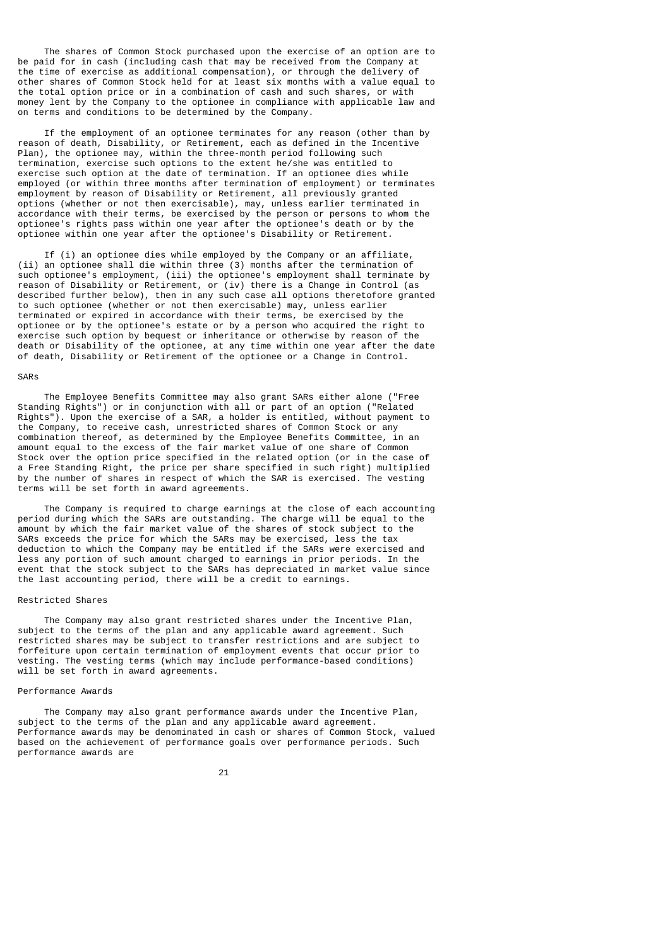The shares of Common Stock purchased upon the exercise of an option are to be paid for in cash (including cash that may be received from the Company at the time of exercise as additional compensation), or through the delivery of other shares of Common Stock held for at least six months with a value equal to the total option price or in a combination of cash and such shares, or with money lent by the Company to the optionee in compliance with applicable law and on terms and conditions to be determined by the Company.

 If the employment of an optionee terminates for any reason (other than by reason of death, Disability, or Retirement, each as defined in the Incentive Plan), the optionee may, within the three-month period following such termination, exercise such options to the extent he/she was entitled to exercise such option at the date of termination. If an optionee dies while employed (or within three months after termination of employment) or terminates employment by reason of Disability or Retirement, all previously granted options (whether or not then exercisable), may, unless earlier terminated in accordance with their terms, be exercised by the person or persons to whom the optionee's rights pass within one year after the optionee's death or by the optionee within one year after the optionee's Disability or Retirement.

 If (i) an optionee dies while employed by the Company or an affiliate, (ii) an optionee shall die within three (3) months after the termination of such optionee's employment, (iii) the optionee's employment shall terminate by reason of Disability or Retirement, or (iv) there is a Change in Control (as described further below), then in any such case all options theretofore granted to such optionee (whether or not then exercisable) may, unless earlier terminated or expired in accordance with their terms, be exercised by the optionee or by the optionee's estate or by a person who acquired the right to exercise such option by bequest or inheritance or otherwise by reason of the death or Disability of the optionee, at any time within one year after the date of death, Disability or Retirement of the optionee or a Change in Control.

## SARs

 The Employee Benefits Committee may also grant SARs either alone ("Free Standing Rights") or in conjunction with all or part of an option ("Related Rights"). Upon the exercise of a SAR, a holder is entitled, without payment to the Company, to receive cash, unrestricted shares of Common Stock or any combination thereof, as determined by the Employee Benefits Committee, in an amount equal to the excess of the fair market value of one share of Common Stock over the option price specified in the related option (or in the case of a Free Standing Right, the price per share specified in such right) multiplied by the number of shares in respect of which the SAR is exercised. The vesting terms will be set forth in award agreements.

 The Company is required to charge earnings at the close of each accounting period during which the SARs are outstanding. The charge will be equal to the amount by which the fair market value of the shares of stock subject to the SARs exceeds the price for which the SARs may be exercised, less the tax deduction to which the Company may be entitled if the SARs were exercised and less any portion of such amount charged to earnings in prior periods. In the event that the stock subject to the SARs has depreciated in market value since the last accounting period, there will be a credit to earnings.

### Restricted Shares

 The Company may also grant restricted shares under the Incentive Plan, subject to the terms of the plan and any applicable award agreement. Such restricted shares may be subject to transfer restrictions and are subject to forfeiture upon certain termination of employment events that occur prior to vesting. The vesting terms (which may include performance-based conditions) will be set forth in award agreements.

## Performance Awards

 The Company may also grant performance awards under the Incentive Plan, subject to the terms of the plan and any applicable award agreement. Performance awards may be denominated in cash or shares of Common Stock, valued based on the achievement of performance goals over performance periods. Such performance awards are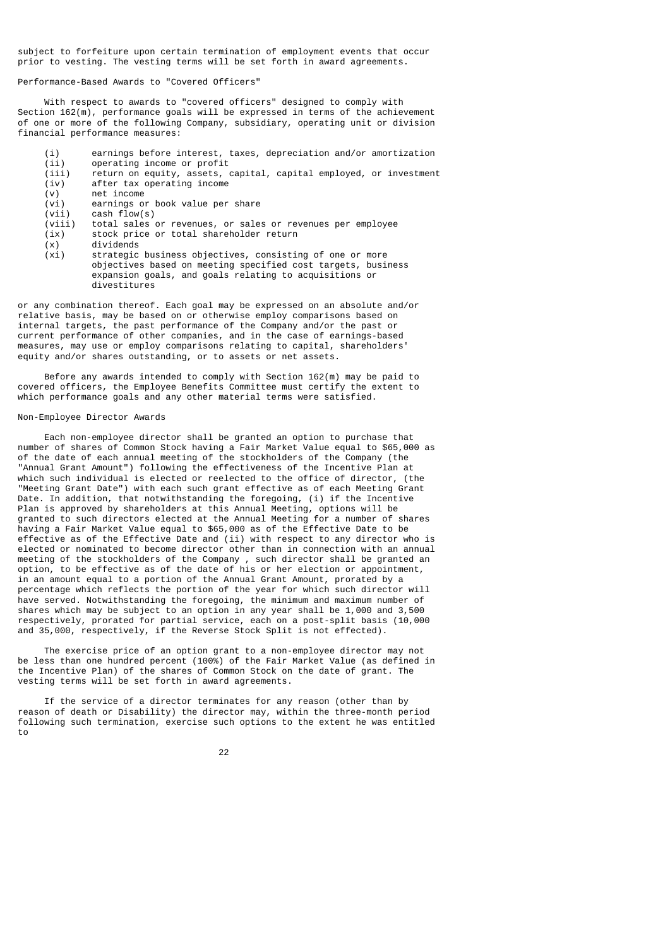subject to forfeiture upon certain termination of employment events that occur prior to vesting. The vesting terms will be set forth in award agreements.

Performance-Based Awards to "Covered Officers"

 With respect to awards to "covered officers" designed to comply with Section 162(m), performance goals will be expressed in terms of the achievement of one or more of the following Company, subsidiary, operating unit or division financial performance measures:

- (i) earnings before interest, taxes, depreciation and/or amortization<br>(ii) operating income or profit
- (ii) operating income or profit<br>(iii) return on equity, assets, o (iii) return on equity, assets, capital, capital employed, or investment<br>(iv) after tax operating income
- (iv) after tax operating income
- $(v)$  net income<br>(vi) earnings of  $(vi)$  earnings or book value per share<br>(vii) cash flow(s)
- $(vii)$  cash flow(s)<br>(viii) total sales o
- $(viii)$  total sales or revenues, or sales or revenues per employee  $(ix)$  stock price or total shareholder return stock price or total shareholder return
- 
- (x) dividends strategic business objectives, consisting of one or more objectives based on meeting specified cost targets, business expansion goals, and goals relating to acquisitions or divestitures

or any combination thereof. Each goal may be expressed on an absolute and/or relative basis, may be based on or otherwise employ comparisons based on internal targets, the past performance of the Company and/or the past or current performance of other companies, and in the case of earnings-based measures, may use or employ comparisons relating to capital, shareholders' equity and/or shares outstanding, or to assets or net assets.

 Before any awards intended to comply with Section 162(m) may be paid to covered officers, the Employee Benefits Committee must certify the extent to which performance goals and any other material terms were satisfied.

## Non-Employee Director Awards

 Each non-employee director shall be granted an option to purchase that number of shares of Common Stock having a Fair Market Value equal to \$65,000 as of the date of each annual meeting of the stockholders of the Company (the "Annual Grant Amount") following the effectiveness of the Incentive Plan at which such individual is elected or reelected to the office of director, (the "Meeting Grant Date") with each such grant effective as of each Meeting Grant Date. In addition, that notwithstanding the foregoing, (i) if the Incentive Plan is approved by shareholders at this Annual Meeting, options will be granted to such directors elected at the Annual Meeting for a number of shares having a Fair Market Value equal to \$65,000 as of the Effective Date to be effective as of the Effective Date and (ii) with respect to any director who is elected or nominated to become director other than in connection with an annual meeting of the stockholders of the Company , such director shall be granted an option, to be effective as of the date of his or her election or appointment, in an amount equal to a portion of the Annual Grant Amount, prorated by a percentage which reflects the portion of the year for which such director will have served. Notwithstanding the foregoing, the minimum and maximum number of shares which may be subject to an option in any year shall be 1,000 and 3,500 respectively, prorated for partial service, each on a post-split basis (10,000 and 35,000, respectively, if the Reverse Stock Split is not effected).

 The exercise price of an option grant to a non-employee director may not be less than one hundred percent (100%) of the Fair Market Value (as defined in the Incentive Plan) of the shares of Common Stock on the date of grant. The vesting terms will be set forth in award agreements.

 If the service of a director terminates for any reason (other than by reason of death or Disability) the director may, within the three-month period following such termination, exercise such options to the extent he was entitled to

проставление в село в 1922 године в 22 декабря 22 декабря 22 декабря 22 декабря 22 декабря 22 декабря 22 декаб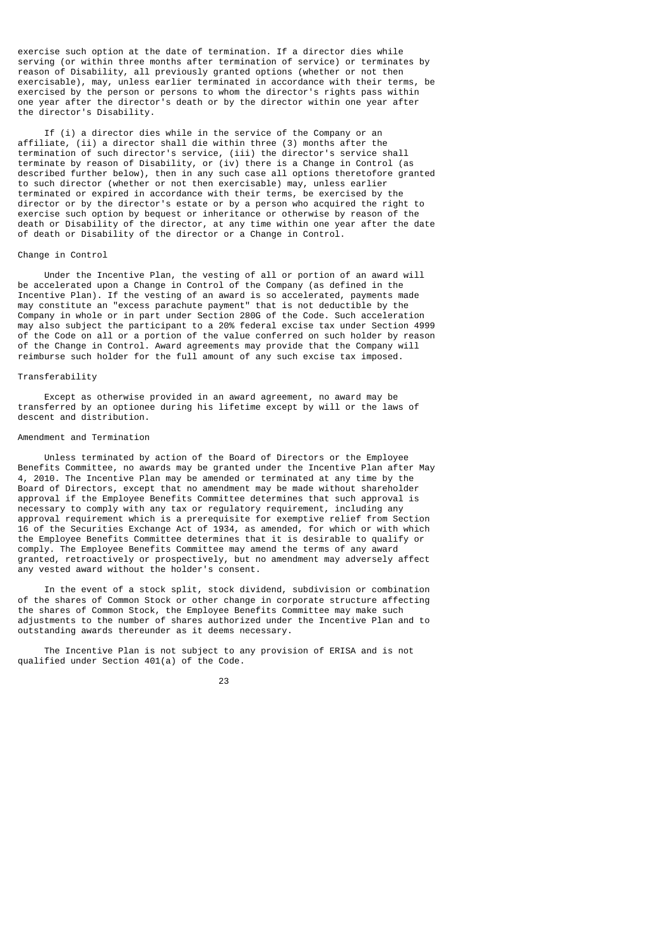exercise such option at the date of termination. If a director dies while serving (or within three months after termination of service) or terminates by reason of Disability, all previously granted options (whether or not then exercisable), may, unless earlier terminated in accordance with their terms, be exercised by the person or persons to whom the director's rights pass within one year after the director's death or by the director within one year after the director's Disability.

 If (i) a director dies while in the service of the Company or an affiliate, (ii) a director shall die within three (3) months after the termination of such director's service, (iii) the director's service shall terminate by reason of Disability, or (iv) there is a Change in Control (as described further below), then in any such case all options theretofore granted to such director (whether or not then exercisable) may, unless earlier terminated or expired in accordance with their terms, be exercised by the director or by the director's estate or by a person who acquired the right to exercise such option by bequest or inheritance or otherwise by reason of the death or Disability of the director, at any time within one year after the date of death or Disability of the director or a Change in Control.

### Change in Control

 Under the Incentive Plan, the vesting of all or portion of an award will be accelerated upon a Change in Control of the Company (as defined in the Incentive Plan). If the vesting of an award is so accelerated, payments made may constitute an "excess parachute payment" that is not deductible by the Company in whole or in part under Section 280G of the Code. Such acceleration may also subject the participant to a 20% federal excise tax under Section 4999 of the Code on all or a portion of the value conferred on such holder by reason of the Change in Control. Award agreements may provide that the Company will reimburse such holder for the full amount of any such excise tax imposed.

## Transferability

 Except as otherwise provided in an award agreement, no award may be transferred by an optionee during his lifetime except by will or the laws of descent and distribution.

## Amendment and Termination

 Unless terminated by action of the Board of Directors or the Employee Benefits Committee, no awards may be granted under the Incentive Plan after May 4, 2010. The Incentive Plan may be amended or terminated at any time by the Board of Directors, except that no amendment may be made without shareholder approval if the Employee Benefits Committee determines that such approval is necessary to comply with any tax or regulatory requirement, including any approval requirement which is a prerequisite for exemptive relief from Section 16 of the Securities Exchange Act of 1934, as amended, for which or with which the Employee Benefits Committee determines that it is desirable to qualify or comply. The Employee Benefits Committee may amend the terms of any award granted, retroactively or prospectively, but no amendment may adversely affect any vested award without the holder's consent.

 In the event of a stock split, stock dividend, subdivision or combination of the shares of Common Stock or other change in corporate structure affecting the shares of Common Stock, the Employee Benefits Committee may make such adjustments to the number of shares authorized under the Incentive Plan and to outstanding awards thereunder as it deems necessary.

 The Incentive Plan is not subject to any provision of ERISA and is not qualified under Section 401(a) of the Code.

#### <u>23 and 23 and 23 and 23 and 23 and 23 and 23 and 23 and 23 and 23 and 23 and 23 and 23 and 23 and 23 and 23 and 23 and 23 and 23 and 23 and 23 and 23 and 23 and 23 and 23 and 23 and 23 and 23 and 23 and 23 and 23 and 23 a</u>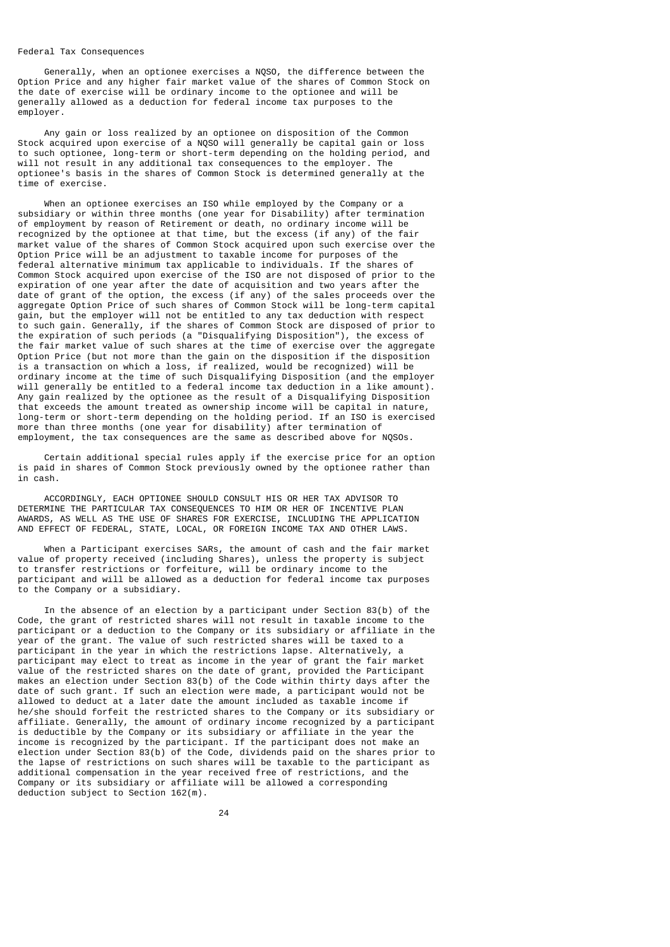#### Federal Tax Consequences

 Generally, when an optionee exercises a NQSO, the difference between the Option Price and any higher fair market value of the shares of Common Stock on the date of exercise will be ordinary income to the optionee and will be generally allowed as a deduction for federal income tax purposes to the employer.

 Any gain or loss realized by an optionee on disposition of the Common Stock acquired upon exercise of a NQSO will generally be capital gain or loss to such optionee, long-term or short-term depending on the holding period, and will not result in any additional tax consequences to the employer. The optionee's basis in the shares of Common Stock is determined generally at the time of exercise.

 When an optionee exercises an ISO while employed by the Company or a subsidiary or within three months (one year for Disability) after termination of employment by reason of Retirement or death, no ordinary income will be recognized by the optionee at that time, but the excess (if any) of the fair market value of the shares of Common Stock acquired upon such exercise over the Option Price will be an adjustment to taxable income for purposes of the federal alternative minimum tax applicable to individuals. If the shares of Common Stock acquired upon exercise of the ISO are not disposed of prior to the expiration of one year after the date of acquisition and two years after the date of grant of the option, the excess (if any) of the sales proceeds over the aggregate Option Price of such shares of Common Stock will be long-term capital gain, but the employer will not be entitled to any tax deduction with respect to such gain. Generally, if the shares of Common Stock are disposed of prior to the expiration of such periods (a "Disqualifying Disposition"), the excess of the fair market value of such shares at the time of exercise over the aggregate Option Price (but not more than the gain on the disposition if the disposition is a transaction on which a loss, if realized, would be recognized) will be ordinary income at the time of such Disqualifying Disposition (and the employer will generally be entitled to a federal income tax deduction in a like amount). Any gain realized by the optionee as the result of a Disqualifying Disposition that exceeds the amount treated as ownership income will be capital in nature, long-term or short-term depending on the holding period. If an ISO is exercised more than three months (one year for disability) after termination of employment, the tax consequences are the same as described above for NOSOs.

 Certain additional special rules apply if the exercise price for an option is paid in shares of Common Stock previously owned by the optionee rather than in cash.

 ACCORDINGLY, EACH OPTIONEE SHOULD CONSULT HIS OR HER TAX ADVISOR TO DETERMINE THE PARTICULAR TAX CONSEQUENCES TO HIM OR HER OF INCENTIVE PLAN AWARDS, AS WELL AS THE USE OF SHARES FOR EXERCISE, INCLUDING THE APPLICATION AND EFFECT OF FEDERAL, STATE, LOCAL, OR FOREIGN INCOME TAX AND OTHER LAWS.

 When a Participant exercises SARs, the amount of cash and the fair market value of property received (including Shares), unless the property is subject to transfer restrictions or forfeiture, will be ordinary income to the participant and will be allowed as a deduction for federal income tax purposes to the Company or a subsidiary.

 In the absence of an election by a participant under Section 83(b) of the Code, the grant of restricted shares will not result in taxable income to the participant or a deduction to the Company or its subsidiary or affiliate in the year of the grant. The value of such restricted shares will be taxed to a participant in the year in which the restrictions lapse. Alternatively, a participant may elect to treat as income in the year of grant the fair market value of the restricted shares on the date of grant, provided the Participant makes an election under Section 83(b) of the Code within thirty days after the date of such grant. If such an election were made, a participant would not be allowed to deduct at a later date the amount included as taxable income if he/she should forfeit the restricted shares to the Company or its subsidiary or affiliate. Generally, the amount of ordinary income recognized by a participant is deductible by the Company or its subsidiary or affiliate in the year the income is recognized by the participant. If the participant does not make an election under Section 83(b) of the Code, dividends paid on the shares prior to the lapse of restrictions on such shares will be taxable to the participant as additional compensation in the year received free of restrictions, and the Company or its subsidiary or affiliate will be allowed a corresponding deduction subject to Section 162(m).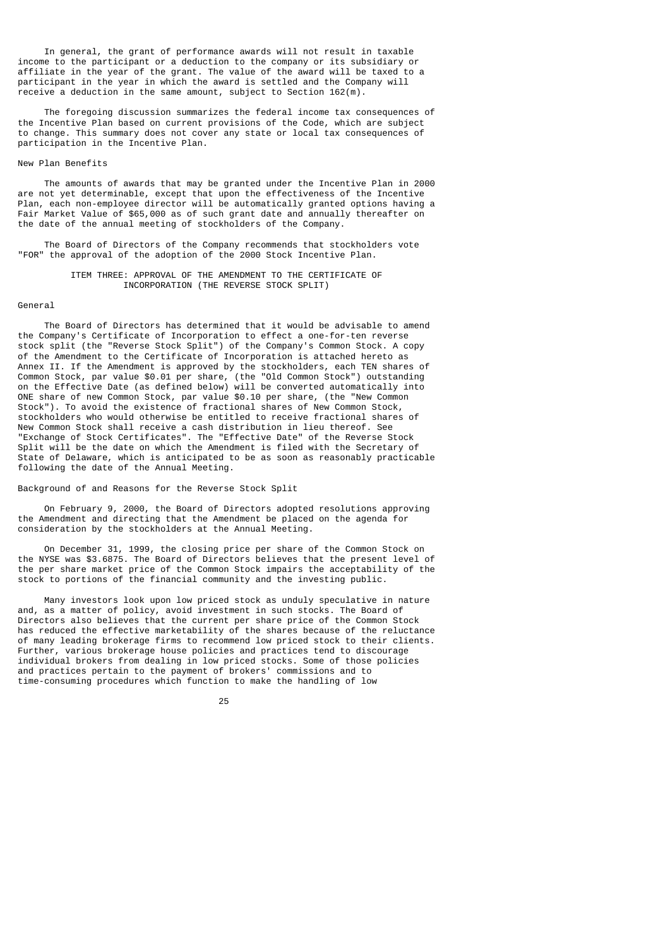In general, the grant of performance awards will not result in taxable income to the participant or a deduction to the company or its subsidiary or affiliate in the year of the grant. The value of the award will be taxed to a participant in the year in which the award is settled and the Company will  $r$ eceive a deduction in the same amount, subject to Section 162(m).

 The foregoing discussion summarizes the federal income tax consequences of the Incentive Plan based on current provisions of the Code, which are subject to change. This summary does not cover any state or local tax consequences of participation in the Incentive Plan.

#### New Plan Benefits

 The amounts of awards that may be granted under the Incentive Plan in 2000 are not yet determinable, except that upon the effectiveness of the Incentive Plan, each non-employee director will be automatically granted options having a Fair Market Value of \$65,000 as of such grant date and annually thereafter on the date of the annual meeting of stockholders of the Company.

 The Board of Directors of the Company recommends that stockholders vote "FOR" the approval of the adoption of the 2000 Stock Incentive Plan.

## ITEM THREE: APPROVAL OF THE AMENDMENT TO THE CERTIFICATE OF INCORPORATION (THE REVERSE STOCK SPLIT)

### General

 The Board of Directors has determined that it would be advisable to amend the Company's Certificate of Incorporation to effect a one-for-ten reverse stock split (the "Reverse Stock Split") of the Company's Common Stock. A copy of the Amendment to the Certificate of Incorporation is attached hereto as Annex II. If the Amendment is approved by the stockholders, each TEN shares of Common Stock, par value \$0.01 per share, (the "Old Common Stock") outstanding on the Effective Date (as defined below) will be converted automatically into ONE share of new Common Stock, par value \$0.10 per share, (the "New Common Stock"). To avoid the existence of fractional shares of New Common Stock, stockholders who would otherwise be entitled to receive fractional shares of New Common Stock shall receive a cash distribution in lieu thereof. See "Exchange of Stock Certificates". The "Effective Date" of the Reverse Stock Split will be the date on which the Amendment is filed with the Secretary of State of Delaware, which is anticipated to be as soon as reasonably practicable following the date of the Annual Meeting.

## Background of and Reasons for the Reverse Stock Split

 On February 9, 2000, the Board of Directors adopted resolutions approving the Amendment and directing that the Amendment be placed on the agenda for consideration by the stockholders at the Annual Meeting.

 On December 31, 1999, the closing price per share of the Common Stock on the NYSE was \$3.6875. The Board of Directors believes that the present level of the per share market price of the Common Stock impairs the acceptability of the stock to portions of the financial community and the investing public.

 Many investors look upon low priced stock as unduly speculative in nature and, as a matter of policy, avoid investment in such stocks. The Board of Directors also believes that the current per share price of the Common Stock has reduced the effective marketability of the shares because of the reluctance of many leading brokerage firms to recommend low priced stock to their clients. Further, various brokerage house policies and practices tend to discourage individual brokers from dealing in low priced stocks. Some of those policies and practices pertain to the payment of brokers' commissions and to time-consuming procedures which function to make the handling of low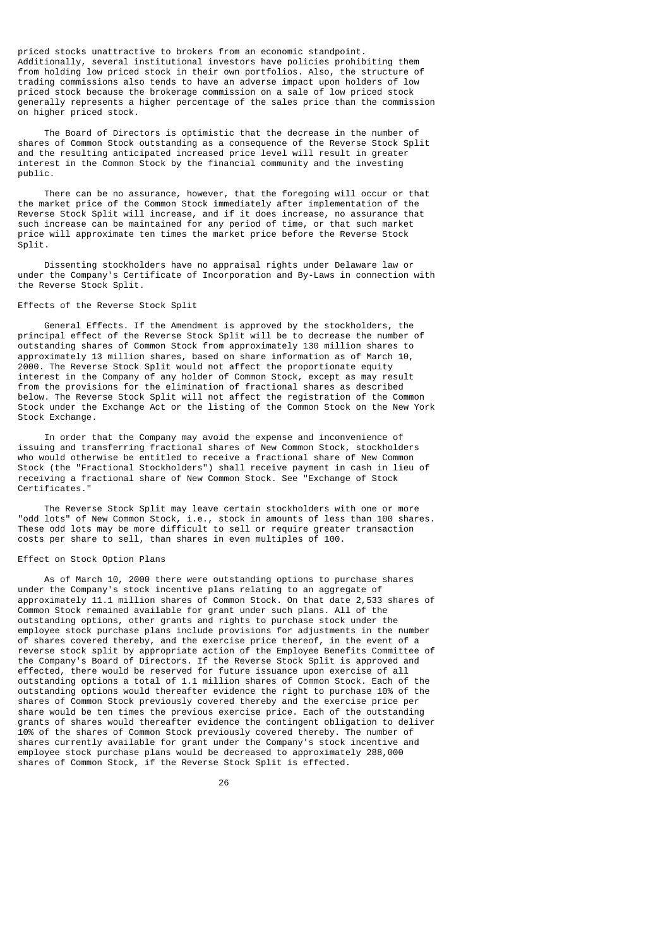priced stocks unattractive to brokers from an economic standpoint. Additionally, several institutional investors have policies prohibiting them from holding low priced stock in their own portfolios. Also, the structure of trading commissions also tends to have an adverse impact upon holders of low priced stock because the brokerage commission on a sale of low priced stock generally represents a higher percentage of the sales price than the commission on higher priced stock.

 The Board of Directors is optimistic that the decrease in the number of shares of Common Stock outstanding as a consequence of the Reverse Stock Split and the resulting anticipated increased price level will result in greater interest in the Common Stock by the financial community and the investing public.

 There can be no assurance, however, that the foregoing will occur or that the market price of the Common Stock immediately after implementation of the Reverse Stock Split will increase, and if it does increase, no assurance that such increase can be maintained for any period of time, or that such market price will approximate ten times the market price before the Reverse Stock Split.

 Dissenting stockholders have no appraisal rights under Delaware law or under the Company's Certificate of Incorporation and By-Laws in connection with the Reverse Stock Split.

### Effects of the Reverse Stock Split

 General Effects. If the Amendment is approved by the stockholders, the principal effect of the Reverse Stock Split will be to decrease the number of outstanding shares of Common Stock from approximately 130 million shares to approximately 13 million shares, based on share information as of March 10, 2000. The Reverse Stock Split would not affect the proportionate equity interest in the Company of any holder of Common Stock, except as may result from the provisions for the elimination of fractional shares as described below. The Reverse Stock Split will not affect the registration of the Common Stock under the Exchange Act or the listing of the Common Stock on the New York Stock Exchange.

 In order that the Company may avoid the expense and inconvenience of issuing and transferring fractional shares of New Common Stock, stockholders who would otherwise be entitled to receive a fractional share of New Common Stock (the "Fractional Stockholders") shall receive payment in cash in lieu of receiving a fractional share of New Common Stock. See "Exchange of Stock Certificates."

 The Reverse Stock Split may leave certain stockholders with one or more "odd lots" of New Common Stock, i.e., stock in amounts of less than 100 shares. These odd lots may be more difficult to sell or require greater transaction costs per share to sell, than shares in even multiples of 100.

## Effect on Stock Option Plans

 As of March 10, 2000 there were outstanding options to purchase shares under the Company's stock incentive plans relating to an aggregate of approximately 11.1 million shares of Common Stock. On that date 2,533 shares of Common Stock remained available for grant under such plans. All of the outstanding options, other grants and rights to purchase stock under the employee stock purchase plans include provisions for adjustments in the number of shares covered thereby, and the exercise price thereof, in the event of a reverse stock split by appropriate action of the Employee Benefits Committee of the Company's Board of Directors. If the Reverse Stock Split is approved and effected, there would be reserved for future issuance upon exercise of all outstanding options a total of 1.1 million shares of Common Stock. Each of the outstanding options would thereafter evidence the right to purchase 10% of the shares of Common Stock previously covered thereby and the exercise price per share would be ten times the previous exercise price. Each of the outstanding grants of shares would thereafter evidence the contingent obligation to deliver 10% of the shares of Common Stock previously covered thereby. The number of shares currently available for grant under the Company's stock incentive and employee stock purchase plans would be decreased to approximately 288,000 shares of Common Stock, if the Reverse Stock Split is effected.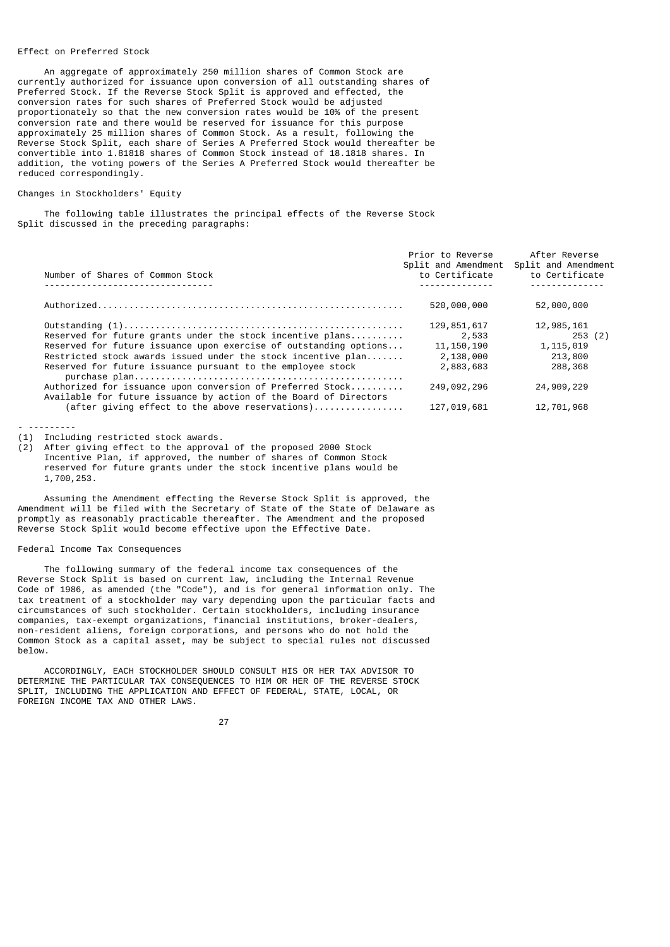## Effect on Preferred Stock

 An aggregate of approximately 250 million shares of Common Stock are currently authorized for issuance upon conversion of all outstanding shares of Preferred Stock. If the Reverse Stock Split is approved and effected, the conversion rates for such shares of Preferred Stock would be adjusted proportionately so that the new conversion rates would be 10% of the present conversion rate and there would be reserved for issuance for this purpose approximately 25 million shares of Common Stock. As a result, following the Reverse Stock Split, each share of Series A Preferred Stock would thereafter be convertible into 1.81818 shares of Common Stock instead of 18.1818 shares. In addition, the voting powers of the Series A Preferred Stock would thereafter be reduced correspondingly.

## Changes in Stockholders' Equity

 The following table illustrates the principal effects of the Reverse Stock Split discussed in the preceding paragraphs:

|                                                                                                                                 | Prior to Reverse    | After Reverse       |
|---------------------------------------------------------------------------------------------------------------------------------|---------------------|---------------------|
|                                                                                                                                 | Split and Amendment | Split and Amendment |
| Number of Shares of Common Stock                                                                                                | to Certificate      | to Certificate      |
|                                                                                                                                 |                     |                     |
|                                                                                                                                 | 520,000,000         | 52,000,000          |
|                                                                                                                                 | 129, 851, 617       | 12,985,161          |
| Reserved for future grants under the stock incentive plans                                                                      | 2,533               | 253 (2)             |
| Reserved for future issuance upon exercise of outstanding options                                                               | 11, 150, 190        | 1, 115, 019         |
| Restricted stock awards issued under the stock incentive plan                                                                   | 2,138,000           | 213,800             |
| Reserved for future issuance pursuant to the employee stock                                                                     | 2,883,683           | 288,368             |
| Authorized for issuance upon conversion of Preferred Stock<br>Available for future issuance by action of the Board of Directors | 249,092,296         | 24,909,229          |
| (after giving effect to the above reservations)                                                                                 | 127,019,681         | 12,701,968          |

- ---------

(1) Including restricted stock awards.

(2) After giving effect to the approval of the proposed 2000 Stock Incentive Plan, if approved, the number of shares of Common Stock reserved for future grants under the stock incentive plans would be 1,700,253.

 Assuming the Amendment effecting the Reverse Stock Split is approved, the Amendment will be filed with the Secretary of State of the State of Delaware as promptly as reasonably practicable thereafter. The Amendment and the proposed Reverse Stock Split would become effective upon the Effective Date.

## Federal Income Tax Consequences

 The following summary of the federal income tax consequences of the Reverse Stock Split is based on current law, including the Internal Revenue Code of 1986, as amended (the "Code"), and is for general information only. The tax treatment of a stockholder may vary depending upon the particular facts and circumstances of such stockholder. Certain stockholders, including insurance companies, tax-exempt organizations, financial institutions, broker-dealers, non-resident aliens, foreign corporations, and persons who do not hold the Common Stock as a capital asset, may be subject to special rules not discussed below.

 ACCORDINGLY, EACH STOCKHOLDER SHOULD CONSULT HIS OR HER TAX ADVISOR TO DETERMINE THE PARTICULAR TAX CONSEQUENCES TO HIM OR HER OF THE REVERSE STOCK SPLIT, INCLUDING THE APPLICATION AND EFFECT OF FEDERAL, STATE, LOCAL, OR FOREIGN INCOME TAX AND OTHER LAWS.

<u>27 and 27</u>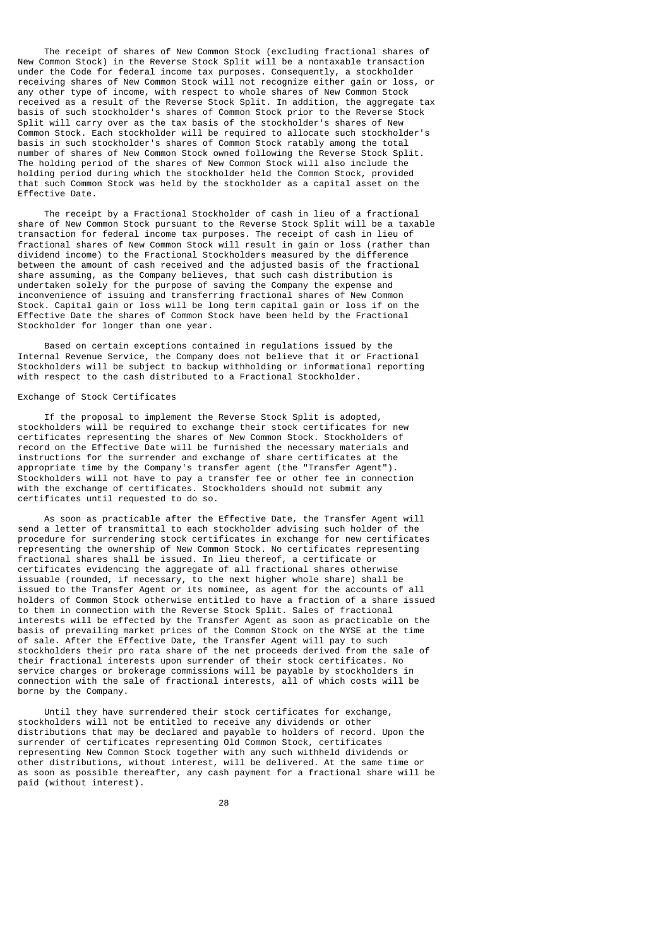The receipt of shares of New Common Stock (excluding fractional shares of New Common Stock) in the Reverse Stock Split will be a nontaxable transaction under the Code for federal income tax purposes. Consequently, a stockholder receiving shares of New Common Stock will not recognize either gain or loss, or any other type of income, with respect to whole shares of New Common Stock received as a result of the Reverse Stock Split. In addition, the aggregate tax basis of such stockholder's shares of Common Stock prior to the Reverse Stock Split will carry over as the tax basis of the stockholder's shares of New Common Stock. Each stockholder will be required to allocate such stockholder's basis in such stockholder's shares of Common Stock ratably among the total number of shares of New Common Stock owned following the Reverse Stock Split. The holding period of the shares of New Common Stock will also include the holding period during which the stockholder held the Common Stock, provided that such Common Stock was held by the stockholder as a capital asset on the Effective Date.

 The receipt by a Fractional Stockholder of cash in lieu of a fractional share of New Common Stock pursuant to the Reverse Stock Split will be a taxable transaction for federal income tax purposes. The receipt of cash in lieu of fractional shares of New Common Stock will result in gain or loss (rather than dividend income) to the Fractional Stockholders measured by the difference between the amount of cash received and the adjusted basis of the fractional share assuming, as the Company believes, that such cash distribution is undertaken solely for the purpose of saving the Company the expense and inconvenience of issuing and transferring fractional shares of New Common Stock. Capital gain or loss will be long term capital gain or loss if on the Effective Date the shares of Common Stock have been held by the Fractional Stockholder for longer than one year.

 Based on certain exceptions contained in regulations issued by the Internal Revenue Service, the Company does not believe that it or Fractional Stockholders will be subject to backup withholding or informational reporting with respect to the cash distributed to a Fractional Stockholder.

#### Exchange of Stock Certificates

 If the proposal to implement the Reverse Stock Split is adopted, stockholders will be required to exchange their stock certificates for new certificates representing the shares of New Common Stock. Stockholders of record on the Effective Date will be furnished the necessary materials and instructions for the surrender and exchange of share certificates at the appropriate time by the Company's transfer agent (the "Transfer Agent"). Stockholders will not have to pay a transfer fee or other fee in connection with the exchange of certificates. Stockholders should not submit any certificates until requested to do so.

 As soon as practicable after the Effective Date, the Transfer Agent will send a letter of transmittal to each stockholder advising such holder of the procedure for surrendering stock certificates in exchange for new certificates representing the ownership of New Common Stock. No certificates representing fractional shares shall be issued. In lieu thereof, a certificate or certificates evidencing the aggregate of all fractional shares otherwise issuable (rounded, if necessary, to the next higher whole share) shall be issued to the Transfer Agent or its nominee, as agent for the accounts of all holders of Common Stock otherwise entitled to have a fraction of a share issued to them in connection with the Reverse Stock Split. Sales of fractional interests will be effected by the Transfer Agent as soon as practicable on the basis of prevailing market prices of the Common Stock on the NYSE at the time of sale. After the Effective Date, the Transfer Agent will pay to such stockholders their pro rata share of the net proceeds derived from the sale of their fractional interests upon surrender of their stock certificates. No service charges or brokerage commissions will be payable by stockholders in connection with the sale of fractional interests, all of which costs will be borne by the Company.

Until they have surrendered their stock certificates for exchange, stockholders will not be entitled to receive any dividends or other distributions that may be declared and payable to holders of record. Upon the surrender of certificates representing Old Common Stock, certificates representing New Common Stock together with any such withheld dividends or other distributions, without interest, will be delivered. At the same time or as soon as possible thereafter, any cash payment for a fractional share will be paid (without interest).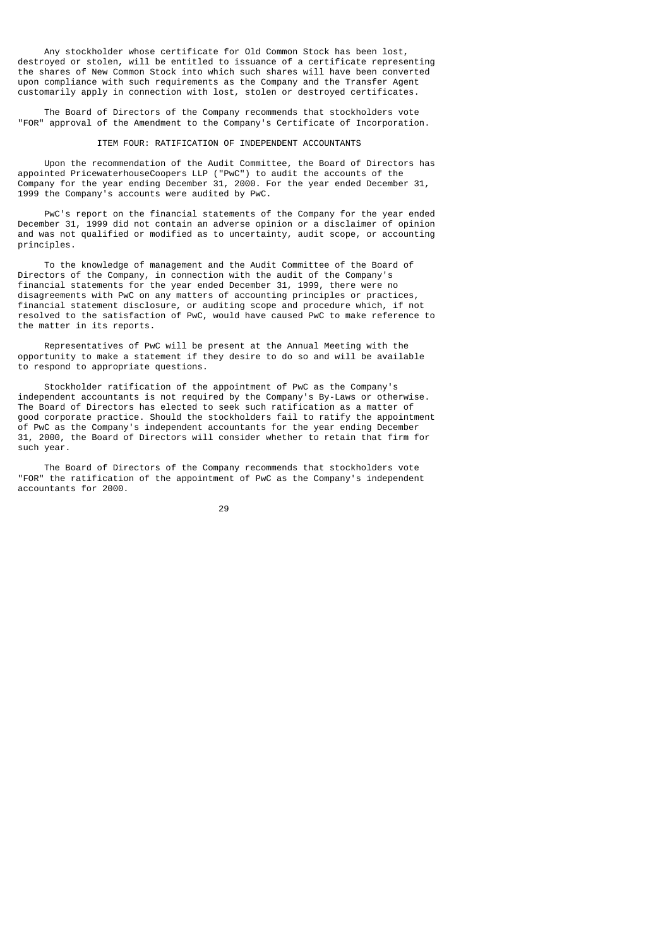Any stockholder whose certificate for Old Common Stock has been lost, destroyed or stolen, will be entitled to issuance of a certificate representing the shares of New Common Stock into which such shares will have been converted upon compliance with such requirements as the Company and the Transfer Agent customarily apply in connection with lost, stolen or destroyed certificates.

 The Board of Directors of the Company recommends that stockholders vote "FOR" approval of the Amendment to the Company's Certificate of Incorporation.

## ITEM FOUR: RATIFICATION OF INDEPENDENT ACCOUNTANTS

 Upon the recommendation of the Audit Committee, the Board of Directors has appointed PricewaterhouseCoopers LLP ("PwC") to audit the accounts of the Company for the year ending December 31, 2000. For the year ended December 31, 1999 the Company's accounts were audited by PwC.

 PwC's report on the financial statements of the Company for the year ended December 31, 1999 did not contain an adverse opinion or a disclaimer of opinion and was not qualified or modified as to uncertainty, audit scope, or accounting principles.

 To the knowledge of management and the Audit Committee of the Board of Directors of the Company, in connection with the audit of the Company's financial statements for the year ended December 31, 1999, there were no disagreements with PwC on any matters of accounting principles or practices, financial statement disclosure, or auditing scope and procedure which, if not resolved to the satisfaction of PwC, would have caused PwC to make reference to the matter in its reports.

 Representatives of PwC will be present at the Annual Meeting with the opportunity to make a statement if they desire to do so and will be available to respond to appropriate questions.

 Stockholder ratification of the appointment of PwC as the Company's independent accountants is not required by the Company's By-Laws or otherwise. The Board of Directors has elected to seek such ratification as a matter of good corporate practice. Should the stockholders fail to ratify the appointment of PwC as the Company's independent accountants for the year ending December 31, 2000, the Board of Directors will consider whether to retain that firm for such year.

 The Board of Directors of the Company recommends that stockholders vote "FOR" the ratification of the appointment of PwC as the Company's independent accountants for 2000.

<u>29 and 29 and 29 and 29 and 29 and 29 and 29 and 29 and 29 and 29 and 29 and 29 and 29 and 29 and 29 and 29 and 20</u>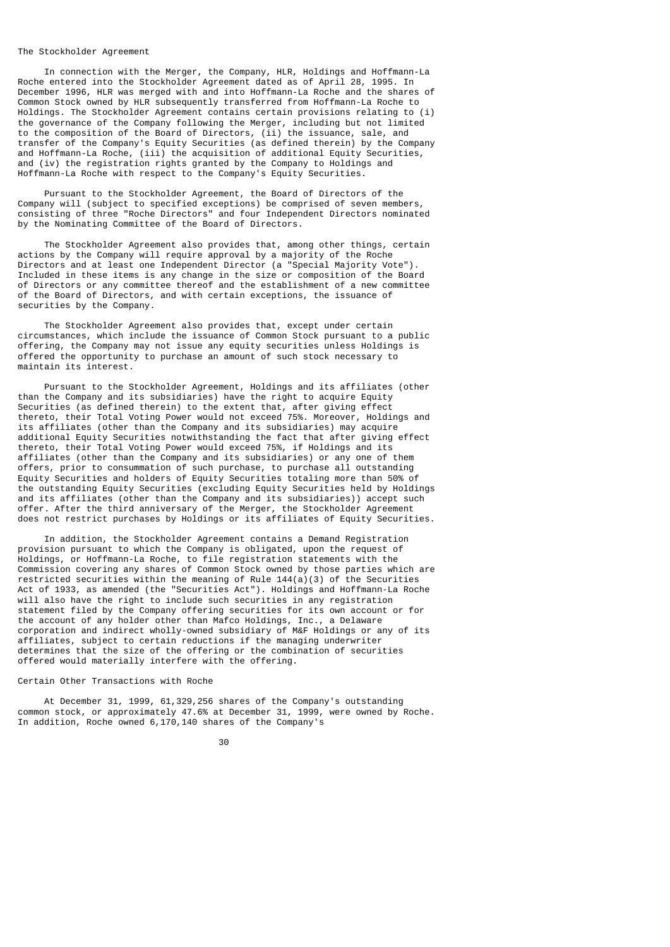#### The Stockholder Agreement

 In connection with the Merger, the Company, HLR, Holdings and Hoffmann-La Roche entered into the Stockholder Agreement dated as of April 28, 1995. In December 1996, HLR was merged with and into Hoffmann-La Roche and the shares of Common Stock owned by HLR subsequently transferred from Hoffmann-La Roche to Holdings. The Stockholder Agreement contains certain provisions relating to (i) the governance of the Company following the Merger, including but not limited to the composition of the Board of Directors, (ii) the issuance, sale, and transfer of the Company's Equity Securities (as defined therein) by the Company and Hoffmann-La Roche, (iii) the acquisition of additional Equity Securities, and (iv) the registration rights granted by the Company to Holdings and Hoffmann-La Roche with respect to the Company's Equity Securities.

 Pursuant to the Stockholder Agreement, the Board of Directors of the Company will (subject to specified exceptions) be comprised of seven members, consisting of three "Roche Directors" and four Independent Directors nominated by the Nominating Committee of the Board of Directors.

 The Stockholder Agreement also provides that, among other things, certain actions by the Company will require approval by a majority of the Roche Directors and at least one Independent Director (a "Special Majority Vote"). Included in these items is any change in the size or composition of the Board of Directors or any committee thereof and the establishment of a new committee of the Board of Directors, and with certain exceptions, the issuance of securities by the Company.

 The Stockholder Agreement also provides that, except under certain circumstances, which include the issuance of Common Stock pursuant to a public offering, the Company may not issue any equity securities unless Holdings is offered the opportunity to purchase an amount of such stock necessary to maintain its interest.

 Pursuant to the Stockholder Agreement, Holdings and its affiliates (other than the Company and its subsidiaries) have the right to acquire Equity Securities (as defined therein) to the extent that, after giving effect thereto, their Total Voting Power would not exceed 75%. Moreover, Holdings and its affiliates (other than the Company and its subsidiaries) may acquire additional Equity Securities notwithstanding the fact that after giving effect thereto, their Total Voting Power would exceed 75%, if Holdings and its affiliates (other than the Company and its subsidiaries) or any one of them offers, prior to consummation of such purchase, to purchase all outstanding Equity Securities and holders of Equity Securities totaling more than 50% of the outstanding Equity Securities (excluding Equity Securities held by Holdings and its affiliates (other than the Company and its subsidiaries)) accept such offer. After the third anniversary of the Merger, the Stockholder Agreement does not restrict purchases by Holdings or its affiliates of Equity Securities.

 In addition, the Stockholder Agreement contains a Demand Registration provision pursuant to which the Company is obligated, upon the request of Holdings, or Hoffmann-La Roche, to file registration statements with the Commission covering any shares of Common Stock owned by those parties which are restricted securities within the meaning of Rule  $144(a)(3)$  of the Securities Act of 1933, as amended (the "Securities Act"). Holdings and Hoffmann-La Roche will also have the right to include such securities in any registration statement filed by the Company offering securities for its own account or for the account of any holder other than Mafco Holdings, Inc., a Delaware corporation and indirect wholly-owned subsidiary of M&F Holdings or any of its affiliates, subject to certain reductions if the managing underwriter determines that the size of the offering or the combination of securities offered would materially interfere with the offering.

## Certain Other Transactions with Roche

 At December 31, 1999, 61,329,256 shares of the Company's outstanding common stock, or approximately 47.6% at December 31, 1999, were owned by Roche. In addition, Roche owned 6,170,140 shares of the Company's

30 and 20 and 20 and 20 and 20 and 20 and 20 and 20 and 20 and 20 and 20 and 20 and 20 and 20 and 20 and 20 an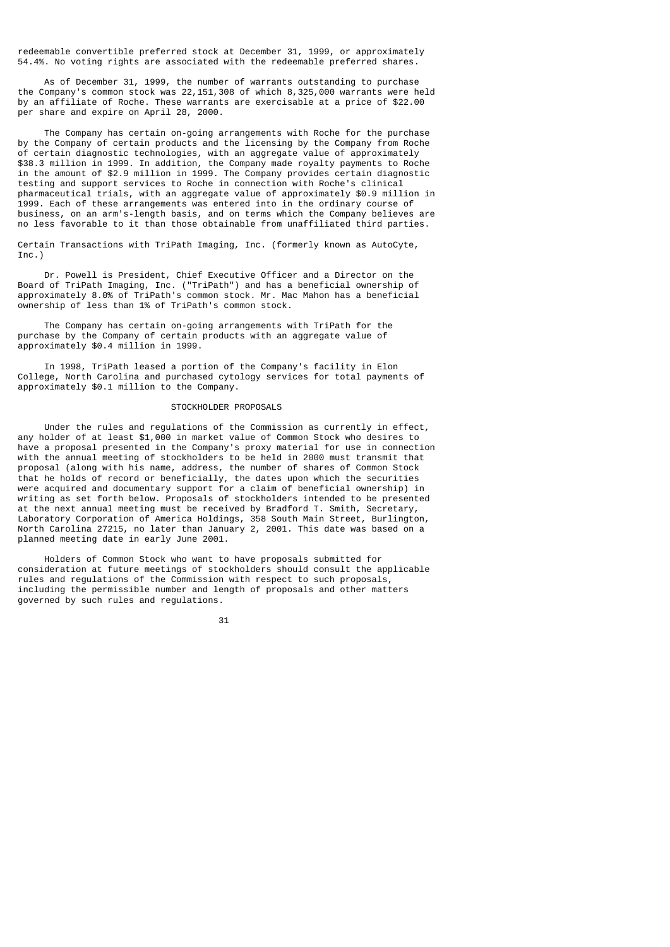redeemable convertible preferred stock at December 31, 1999, or approximately 54.4%. No voting rights are associated with the redeemable preferred shares.

 As of December 31, 1999, the number of warrants outstanding to purchase the Company's common stock was 22,151,308 of which 8,325,000 warrants were held by an affiliate of Roche. These warrants are exercisable at a price of \$22.00 per share and expire on April 28, 2000.

 The Company has certain on-going arrangements with Roche for the purchase by the Company of certain products and the licensing by the Company from Roche of certain diagnostic technologies, with an aggregate value of approximately \$38.3 million in 1999. In addition, the Company made royalty payments to Roche in the amount of \$2.9 million in 1999. The Company provides certain diagnostic testing and support services to Roche in connection with Roche's clinical pharmaceutical trials, with an aggregate value of approximately \$0.9 million in 1999. Each of these arrangements was entered into in the ordinary course of business, on an arm's-length basis, and on terms which the Company believes are no less favorable to it than those obtainable from unaffiliated third parties.

Certain Transactions with TriPath Imaging, Inc. (formerly known as AutoCyte, Inc.)

 Dr. Powell is President, Chief Executive Officer and a Director on the Board of TriPath Imaging, Inc. ("TriPath") and has a beneficial ownership of approximately 8.0% of TriPath's common stock. Mr. Mac Mahon has a beneficial ownership of less than 1% of TriPath's common stock.

 The Company has certain on-going arrangements with TriPath for the purchase by the Company of certain products with an aggregate value of approximately \$0.4 million in 1999.

 In 1998, TriPath leased a portion of the Company's facility in Elon College, North Carolina and purchased cytology services for total payments of approximately \$0.1 million to the Company.

#### STOCKHOLDER PROPOSALS

 Under the rules and regulations of the Commission as currently in effect, any holder of at least \$1,000 in market value of Common Stock who desires to have a proposal presented in the Company's proxy material for use in connection with the annual meeting of stockholders to be held in 2000 must transmit that proposal (along with his name, address, the number of shares of Common Stock that he holds of record or beneficially, the dates upon which the securities were acquired and documentary support for a claim of beneficial ownership) in writing as set forth below. Proposals of stockholders intended to be presented at the next annual meeting must be received by Bradford T. Smith, Secretary, Laboratory Corporation of America Holdings, 358 South Main Street, Burlington, North Carolina 27215, no later than January 2, 2001. This date was based on a planned meeting date in early June 2001.

 Holders of Common Stock who want to have proposals submitted for consideration at future meetings of stockholders should consult the applicable rules and regulations of the Commission with respect to such proposals, including the permissible number and length of proposals and other matters governed by such rules and regulations.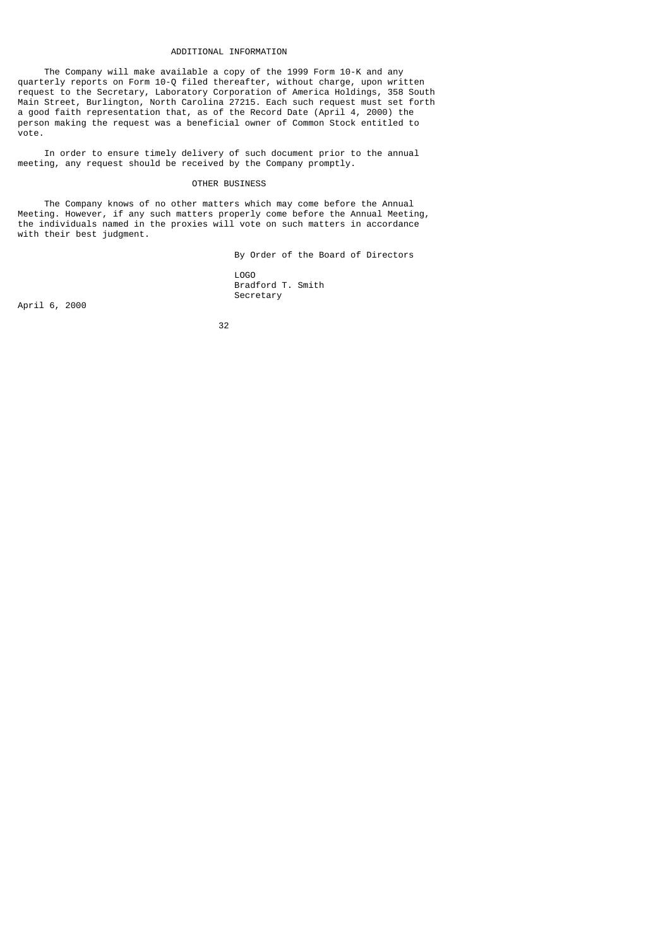#### ADDITIONAL INFORMATION

 The Company will make available a copy of the 1999 Form 10-K and any quarterly reports on Form 10-Q filed thereafter, without charge, upon written request to the Secretary, Laboratory Corporation of America Holdings, 358 South Main Street, Burlington, North Carolina 27215. Each such request must set forth a good faith representation that, as of the Record Date (April 4, 2000) the person making the request was a beneficial owner of Common Stock entitled to vote.

 In order to ensure timely delivery of such document prior to the annual meeting, any request should be received by the Company promptly.

## OTHER BUSINESS

 The Company knows of no other matters which may come before the Annual Meeting. However, if any such matters properly come before the Annual Meeting, the individuals named in the proxies will vote on such matters in accordance with their best judgment.

 By Order of the Board of Directors LOGO Bradford T. Smith Secretary

April 6, 2000

<u>32 and 2010 and 2010 and 2010 and 2010 and 2010 and 2010 and 2010 and 2010 and 2010 and 2010 and 2010 and 201</u>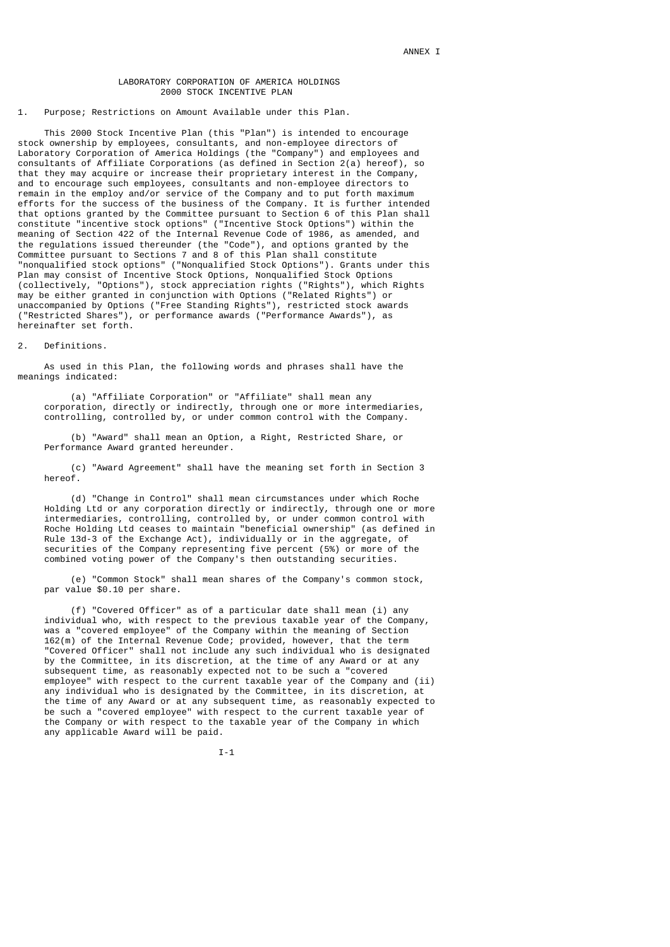## LABORATORY CORPORATION OF AMERICA HOLDINGS 2000 STOCK INCENTIVE PLAN

## 1. Purpose; Restrictions on Amount Available under this Plan.

 This 2000 Stock Incentive Plan (this "Plan") is intended to encourage stock ownership by employees, consultants, and non-employee directors of Laboratory Corporation of America Holdings (the "Company") and employees and consultants of Affiliate Corporations (as defined in Section 2(a) hereof), so that they may acquire or increase their proprietary interest in the Company, and to encourage such employees, consultants and non-employee directors to remain in the employ and/or service of the Company and to put forth maximum efforts for the success of the business of the Company. It is further intended that options granted by the Committee pursuant to Section 6 of this Plan shall constitute "incentive stock options" ("Incentive Stock Options") within the meaning of Section 422 of the Internal Revenue Code of 1986, as amended, and the regulations issued thereunder (the "Code"), and options granted by the Committee pursuant to Sections 7 and 8 of this Plan shall constitute "nonqualified stock options" ("Nonqualified Stock Options"). Grants under this Plan may consist of Incentive Stock Options, Nonqualified Stock Options (collectively, "Options"), stock appreciation rights ("Rights"), which Rights may be either granted in conjunction with Options ("Related Rights") or unaccompanied by Options ("Free Standing Rights"), restricted stock awards ("Restricted Shares"), or performance awards ("Performance Awards"), as hereinafter set forth.

#### 2. Definitions.

 As used in this Plan, the following words and phrases shall have the meanings indicated:

 (a) "Affiliate Corporation" or "Affiliate" shall mean any corporation, directly or indirectly, through one or more intermediaries, controlling, controlled by, or under common control with the Company.

 (b) "Award" shall mean an Option, a Right, Restricted Share, or Performance Award granted hereunder.

 (c) "Award Agreement" shall have the meaning set forth in Section 3 hereof.

 (d) "Change in Control" shall mean circumstances under which Roche Holding Ltd or any corporation directly or indirectly, through one or more intermediaries, controlling, controlled by, or under common control with Roche Holding Ltd ceases to maintain "beneficial ownership" (as defined in Rule 13d-3 of the Exchange Act), individually or in the aggregate, of securities of the Company representing five percent (5%) or more of the combined voting power of the Company's then outstanding securities.

 (e) "Common Stock" shall mean shares of the Company's common stock, par value \$0.10 per share.

 (f) "Covered Officer" as of a particular date shall mean (i) any individual who, with respect to the previous taxable year of the Company, was a "covered employee" of the Company within the meaning of Section 162(m) of the Internal Revenue Code; provided, however, that the term "Covered Officer" shall not include any such individual who is designated by the Committee, in its discretion, at the time of any Award or at any subsequent time, as reasonably expected not to be such a "covered employee" with respect to the current taxable year of the Company and (ii) any individual who is designated by the Committee, in its discretion, at the time of any Award or at any subsequent time, as reasonably expected to be such a "covered employee" with respect to the current taxable year of the Company or with respect to the taxable year of the Company in which any applicable Award will be paid.

I-1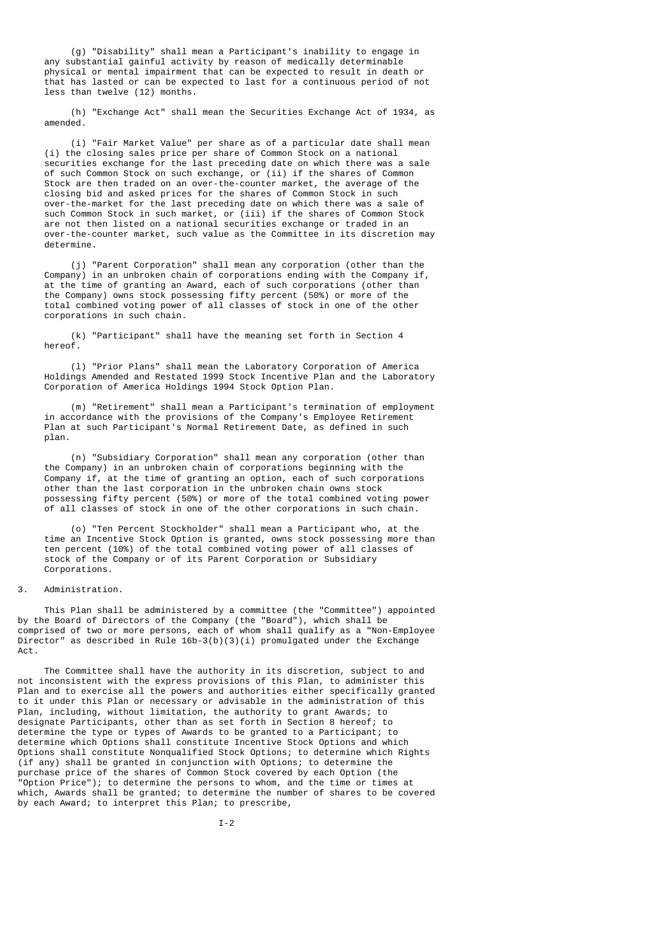(g) "Disability" shall mean a Participant's inability to engage in any substantial gainful activity by reason of medically determinable physical or mental impairment that can be expected to result in death or that has lasted or can be expected to last for a continuous period of not less than twelve (12) months.

 (h) "Exchange Act" shall mean the Securities Exchange Act of 1934, as amended.

 (i) "Fair Market Value" per share as of a particular date shall mean (i) the closing sales price per share of Common Stock on a national securities exchange for the last preceding date on which there was a sale of such Common Stock on such exchange, or (ii) if the shares of Common Stock are then traded on an over-the-counter market, the average of the closing bid and asked prices for the shares of Common Stock in such over-the-market for the last preceding date on which there was a sale of such Common Stock in such market, or (iii) if the shares of Common Stock are not then listed on a national securities exchange or traded in an over-the-counter market, such value as the Committee in its discretion may determine.

 (j) "Parent Corporation" shall mean any corporation (other than the Company) in an unbroken chain of corporations ending with the Company if, at the time of granting an Award, each of such corporations (other than the Company) owns stock possessing fifty percent (50%) or more of the total combined voting power of all classes of stock in one of the other corporations in such chain.

 (k) "Participant" shall have the meaning set forth in Section 4 hereof.

 (l) "Prior Plans" shall mean the Laboratory Corporation of America Holdings Amended and Restated 1999 Stock Incentive Plan and the Laboratory Corporation of America Holdings 1994 Stock Option Plan.

 (m) "Retirement" shall mean a Participant's termination of employment in accordance with the provisions of the Company's Employee Retirement Plan at such Participant's Normal Retirement Date, as defined in such plan.

 (n) "Subsidiary Corporation" shall mean any corporation (other than the Company) in an unbroken chain of corporations beginning with the Company if, at the time of granting an option, each of such corporations other than the last corporation in the unbroken chain owns stock possessing fifty percent (50%) or more of the total combined voting power of all classes of stock in one of the other corporations in such chain.

 (o) "Ten Percent Stockholder" shall mean a Participant who, at the time an Incentive Stock Option is granted, owns stock possessing more than ten percent (10%) of the total combined voting power of all classes of stock of the Company or of its Parent Corporation or Subsidiary Corporations.

## 3. Administration.

 This Plan shall be administered by a committee (the "Committee") appointed by the Board of Directors of the Company (the "Board"), which shall be comprised of two or more persons, each of whom shall qualify as a "Non-Employee Director" as described in Rule  $16b-3(b)(3)(i)$  promulgated under the Exchange Act.

 The Committee shall have the authority in its discretion, subject to and not inconsistent with the express provisions of this Plan, to administer this Plan and to exercise all the powers and authorities either specifically granted to it under this Plan or necessary or advisable in the administration of this Plan, including, without limitation, the authority to grant Awards; to designate Participants, other than as set forth in Section 8 hereof; to determine the type or types of Awards to be granted to a Participant; to determine which Options shall constitute Incentive Stock Options and which Options shall constitute Nonqualified Stock Options; to determine which Rights (if any) shall be granted in conjunction with Options; to determine the purchase price of the shares of Common Stock covered by each Option (the "Option Price"); to determine the persons to whom, and the time or times at which, Awards shall be granted; to determine the number of shares to be covered by each Award; to interpret this Plan; to prescribe,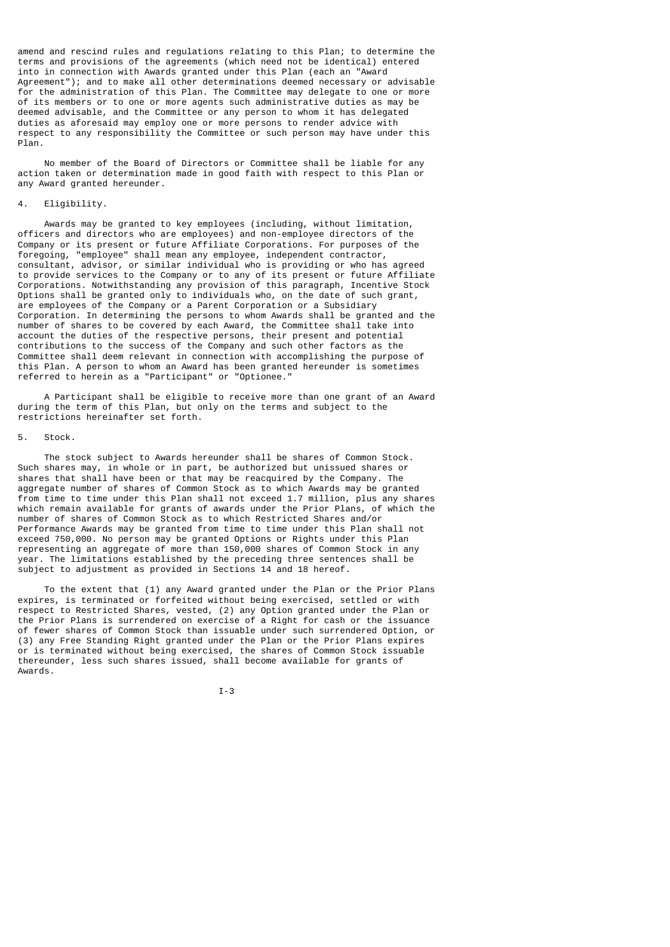amend and rescind rules and regulations relating to this Plan; to determine the terms and provisions of the agreements (which need not be identical) entered into in connection with Awards granted under this Plan (each an "Award Agreement"); and to make all other determinations deemed necessary or advisable for the administration of this Plan. The Committee may delegate to one or more of its members or to one or more agents such administrative duties as may be deemed advisable, and the Committee or any person to whom it has delegated duties as aforesaid may employ one or more persons to render advice with respect to any responsibility the Committee or such person may have under this Plan.

 No member of the Board of Directors or Committee shall be liable for any action taken or determination made in good faith with respect to this Plan or any Award granted hereunder.

# 4. Eligibility.

 Awards may be granted to key employees (including, without limitation, officers and directors who are employees) and non-employee directors of the Company or its present or future Affiliate Corporations. For purposes of the foregoing, "employee" shall mean any employee, independent contractor, consultant, advisor, or similar individual who is providing or who has agreed to provide services to the Company or to any of its present or future Affiliate Corporations. Notwithstanding any provision of this paragraph, Incentive Stock Options shall be granted only to individuals who, on the date of such grant, are employees of the Company or a Parent Corporation or a Subsidiary Corporation. In determining the persons to whom Awards shall be granted and the number of shares to be covered by each Award, the Committee shall take into account the duties of the respective persons, their present and potential contributions to the success of the Company and such other factors as the Committee shall deem relevant in connection with accomplishing the purpose of this Plan. A person to whom an Award has been granted hereunder is sometimes referred to herein as a "Participant" or "Optionee."

 A Participant shall be eligible to receive more than one grant of an Award during the term of this Plan, but only on the terms and subject to the restrictions hereinafter set forth.

## 5. Stock.

 The stock subject to Awards hereunder shall be shares of Common Stock. Such shares may, in whole or in part, be authorized but unissued shares or shares that shall have been or that may be reacquired by the Company. The aggregate number of shares of Common Stock as to which Awards may be granted from time to time under this Plan shall not exceed 1.7 million, plus any shares which remain available for grants of awards under the Prior Plans, of which the number of shares of Common Stock as to which Restricted Shares and/or Performance Awards may be granted from time to time under this Plan shall not exceed 750,000. No person may be granted Options or Rights under this Plan representing an aggregate of more than 150,000 shares of Common Stock in any year. The limitations established by the preceding three sentences shall be subject to adjustment as provided in Sections 14 and 18 hereof.

 To the extent that (1) any Award granted under the Plan or the Prior Plans expires, is terminated or forfeited without being exercised, settled or with respect to Restricted Shares, vested, (2) any Option granted under the Plan or the Prior Plans is surrendered on exercise of a Right for cash or the issuance of fewer shares of Common Stock than issuable under such surrendered Option, or (3) any Free Standing Right granted under the Plan or the Prior Plans expires or is terminated without being exercised, the shares of Common Stock issuable thereunder, less such shares issued, shall become available for grants of Awards.

$$
I-3
$$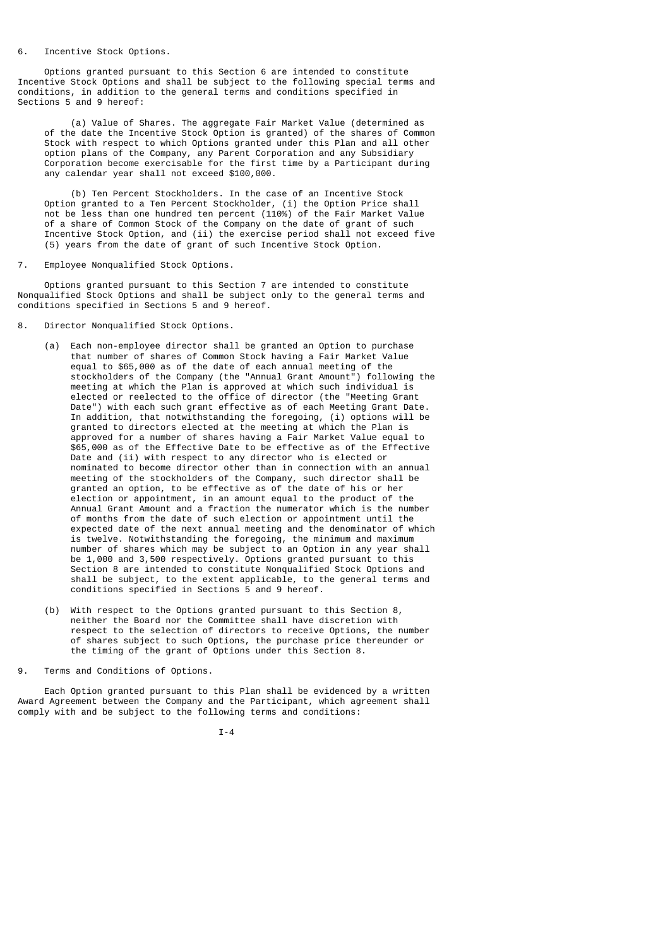#### 6. Incentive Stock Options.

 Options granted pursuant to this Section 6 are intended to constitute Incentive Stock Options and shall be subject to the following special terms and conditions, in addition to the general terms and conditions specified in Sections 5 and 9 hereof:

 (a) Value of Shares. The aggregate Fair Market Value (determined as of the date the Incentive Stock Option is granted) of the shares of Common Stock with respect to which Options granted under this Plan and all other option plans of the Company, any Parent Corporation and any Subsidiary Corporation become exercisable for the first time by a Participant during any calendar year shall not exceed \$100,000.

 (b) Ten Percent Stockholders. In the case of an Incentive Stock Option granted to a Ten Percent Stockholder, (i) the Option Price shall not be less than one hundred ten percent (110%) of the Fair Market Value of a share of Common Stock of the Company on the date of grant of such Incentive Stock Option, and (ii) the exercise period shall not exceed five (5) years from the date of grant of such Incentive Stock Option.

7. Employee Nonqualified Stock Options.

 Options granted pursuant to this Section 7 are intended to constitute Nonqualified Stock Options and shall be subject only to the general terms and conditions specified in Sections 5 and 9 hereof.

- 8. Director Nonqualified Stock Options.
	- (a) Each non-employee director shall be granted an Option to purchase that number of shares of Common Stock having a Fair Market Value equal to \$65,000 as of the date of each annual meeting of the stockholders of the Company (the "Annual Grant Amount") following the meeting at which the Plan is approved at which such individual is elected or reelected to the office of director (the "Meeting Grant Date") with each such grant effective as of each Meeting Grant Date. In addition, that notwithstanding the foregoing, (i) options will be granted to directors elected at the meeting at which the Plan is approved for a number of shares having a Fair Market Value equal to \$65,000 as of the Effective Date to be effective as of the Effective Date and (ii) with respect to any director who is elected or nominated to become director other than in connection with an annual meeting of the stockholders of the Company, such director shall be granted an option, to be effective as of the date of his or her election or appointment, in an amount equal to the product of the Annual Grant Amount and a fraction the numerator which is the number of months from the date of such election or appointment until the expected date of the next annual meeting and the denominator of which is twelve. Notwithstanding the foregoing, the minimum and maximum number of shares which may be subject to an Option in any year shall be 1,000 and 3,500 respectively. Options granted pursuant to this Section 8 are intended to constitute Nonqualified Stock Options and shall be subject, to the extent applicable, to the general terms and conditions specified in Sections 5 and 9 hereof.
	- (b) With respect to the Options granted pursuant to this Section 8, neither the Board nor the Committee shall have discretion with respect to the selection of directors to receive Options, the number of shares subject to such Options, the purchase price thereunder or the timing of the grant of Options under this Section 8.
- 9. Terms and Conditions of Options.

 Each Option granted pursuant to this Plan shall be evidenced by a written Award Agreement between the Company and the Participant, which agreement shall comply with and be subject to the following terms and conditions:

I-4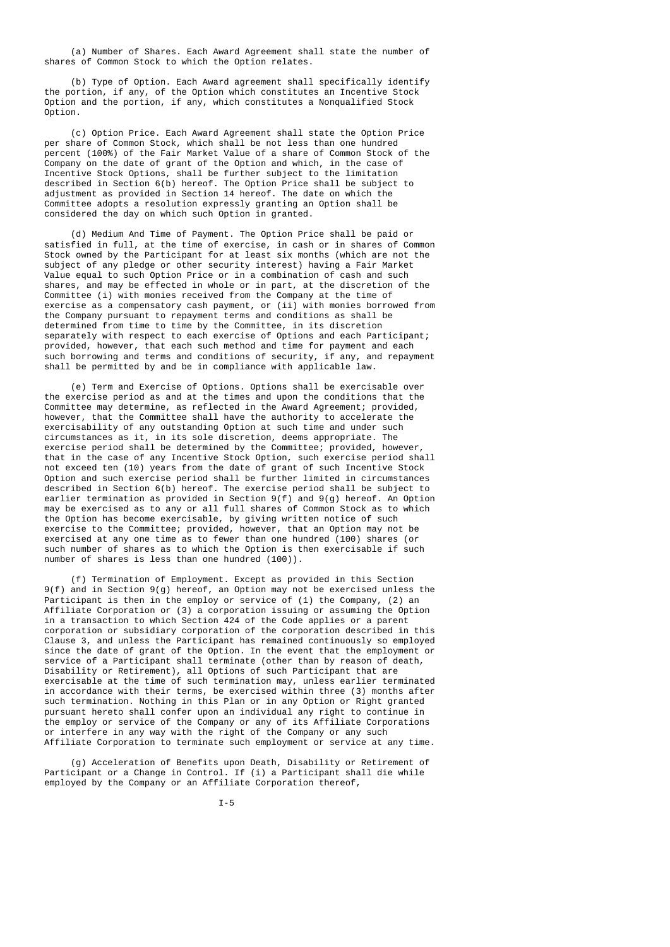(a) Number of Shares. Each Award Agreement shall state the number of shares of Common Stock to which the Option relates.

 (b) Type of Option. Each Award agreement shall specifically identify the portion, if any, of the Option which constitutes an Incentive Stock Option and the portion, if any, which constitutes a Nonqualified Stock Option.

 (c) Option Price. Each Award Agreement shall state the Option Price per share of Common Stock, which shall be not less than one hundred percent (100%) of the Fair Market Value of a share of Common Stock of the Company on the date of grant of the Option and which, in the case of Incentive Stock Options, shall be further subject to the limitation described in Section 6(b) hereof. The Option Price shall be subject to adjustment as provided in Section 14 hereof. The date on which the Committee adopts a resolution expressly granting an Option shall be considered the day on which such Option in granted.

 (d) Medium And Time of Payment. The Option Price shall be paid or satisfied in full, at the time of exercise, in cash or in shares of Common Stock owned by the Participant for at least six months (which are not the subject of any pledge or other security interest) having a Fair Market Value equal to such Option Price or in a combination of cash and such shares, and may be effected in whole or in part, at the discretion of the Committee (i) with monies received from the Company at the time of exercise as a compensatory cash payment, or (ii) with monies borrowed from the Company pursuant to repayment terms and conditions as shall be determined from time to time by the Committee, in its discretion separately with respect to each exercise of Options and each Participant; provided, however, that each such method and time for payment and each such borrowing and terms and conditions of security, if any, and repayment shall be permitted by and be in compliance with applicable law.

 (e) Term and Exercise of Options. Options shall be exercisable over the exercise period as and at the times and upon the conditions that the Committee may determine, as reflected in the Award Agreement; provided, however, that the Committee shall have the authority to accelerate the exercisability of any outstanding Option at such time and under such circumstances as it, in its sole discretion, deems appropriate. The exercise period shall be determined by the Committee; provided, however, that in the case of any Incentive Stock Option, such exercise period shall not exceed ten (10) years from the date of grant of such Incentive Stock Option and such exercise period shall be further limited in circumstances described in Section 6(b) hereof. The exercise period shall be subject to earlier termination as provided in Section  $9(f)$  and  $9(g)$  hereof. An Option may be exercised as to any or all full shares of Common Stock as to which the Option has become exercisable, by giving written notice of such exercise to the Committee; provided, however, that an Option may not be exercised at any one time as to fewer than one hundred (100) shares (or such number of shares as to which the Option is then exercisable if such number of shares is less than one hundred (100)).

 (f) Termination of Employment. Except as provided in this Section 9(f) and in Section 9(g) hereof, an Option may not be exercised unless the Participant is then in the employ or service of (1) the Company, (2) an Affiliate Corporation or (3) a corporation issuing or assuming the Option in a transaction to which Section 424 of the Code applies or a parent corporation or subsidiary corporation of the corporation described in this Clause 3, and unless the Participant has remained continuously so employed since the date of grant of the Option. In the event that the employment or service of a Participant shall terminate (other than by reason of death, Disability or Retirement), all Options of such Participant that are exercisable at the time of such termination may, unless earlier terminated in accordance with their terms, be exercised within three (3) months after such termination. Nothing in this Plan or in any Option or Right granted pursuant hereto shall confer upon an individual any right to continue in the employ or service of the Company or any of its Affiliate Corporations or interfere in any way with the right of the Company or any such Affiliate Corporation to terminate such employment or service at any time.

 (g) Acceleration of Benefits upon Death, Disability or Retirement of Participant or a Change in Control. If (i) a Participant shall die while employed by the Company or an Affiliate Corporation thereof,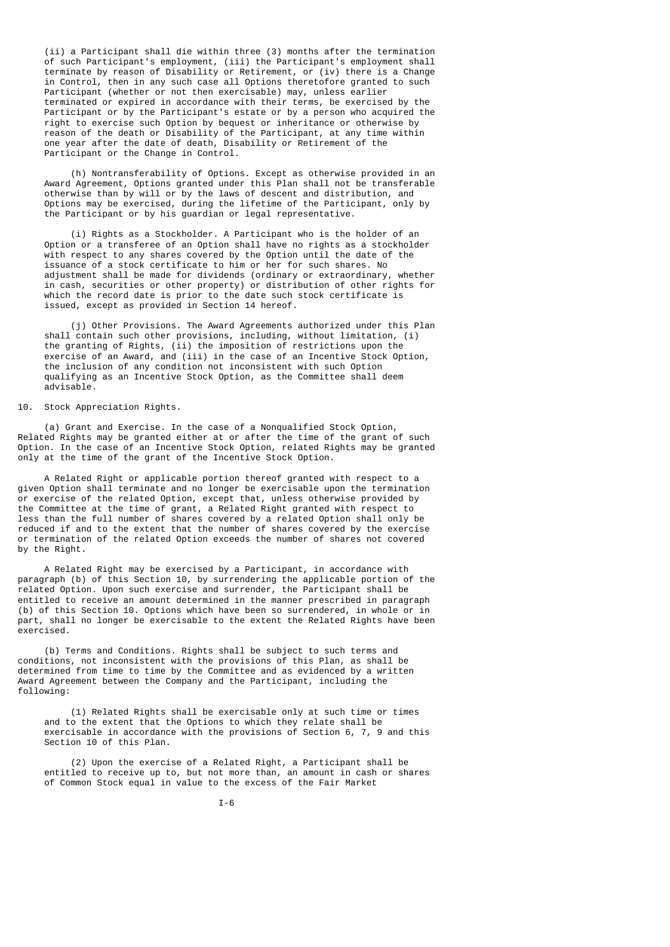(ii) a Participant shall die within three (3) months after the termination of such Participant's employment, (iii) the Participant's employment shall terminate by reason of Disability or Retirement, or (iv) there is a Change in Control, then in any such case all Options theretofore granted to such Participant (whether or not then exercisable) may, unless earlier terminated or expired in accordance with their terms, be exercised by the Participant or by the Participant's estate or by a person who acquired the right to exercise such Option by bequest or inheritance or otherwise by reason of the death or Disability of the Participant, at any time within one year after the date of death, Disability or Retirement of the Participant or the Change in Control.

 (h) Nontransferability of Options. Except as otherwise provided in an Award Agreement, Options granted under this Plan shall not be transferable otherwise than by will or by the laws of descent and distribution, and Options may be exercised, during the lifetime of the Participant, only by the Participant or by his guardian or legal representative.

 (i) Rights as a Stockholder. A Participant who is the holder of an Option or a transferee of an Option shall have no rights as a stockholder with respect to any shares covered by the Option until the date of the issuance of a stock certificate to him or her for such shares. No adjustment shall be made for dividends (ordinary or extraordinary, whether in cash, securities or other property) or distribution of other rights for which the record date is prior to the date such stock certificate is issued, except as provided in Section 14 hereof.

 (j) Other Provisions. The Award Agreements authorized under this Plan shall contain such other provisions, including, without limitation, (i) the granting of Rights, (ii) the imposition of restrictions upon the exercise of an Award, and (iii) in the case of an Incentive Stock Option, the inclusion of any condition not inconsistent with such Option qualifying as an Incentive Stock Option, as the Committee shall deem advisable.

## 10. Stock Appreciation Rights.

 (a) Grant and Exercise. In the case of a Nonqualified Stock Option, Related Rights may be granted either at or after the time of the grant of such Option. In the case of an Incentive Stock Option, related Rights may be granted only at the time of the grant of the Incentive Stock Option.

 A Related Right or applicable portion thereof granted with respect to a given Option shall terminate and no longer be exercisable upon the termination or exercise of the related Option, except that, unless otherwise provided by the Committee at the time of grant, a Related Right granted with respect to less than the full number of shares covered by a related Option shall only be reduced if and to the extent that the number of shares covered by the exercise or termination of the related Option exceeds the number of shares not covered by the Right.

 A Related Right may be exercised by a Participant, in accordance with paragraph (b) of this Section 10, by surrendering the applicable portion of the related Option. Upon such exercise and surrender, the Participant shall be entitled to receive an amount determined in the manner prescribed in paragraph (b) of this Section 10. Options which have been so surrendered, in whole or in part, shall no longer be exercisable to the extent the Related Rights have been exercised.

 (b) Terms and Conditions. Rights shall be subject to such terms and conditions, not inconsistent with the provisions of this Plan, as shall be determined from time to time by the Committee and as evidenced by a written Award Agreement between the Company and the Participant, including the following:

 (1) Related Rights shall be exercisable only at such time or times and to the extent that the Options to which they relate shall be exercisable in accordance with the provisions of Section 6, 7, 9 and this Section 10 of this Plan.

 (2) Upon the exercise of a Related Right, a Participant shall be entitled to receive up to, but not more than, an amount in cash or shares of Common Stock equal in value to the excess of the Fair Market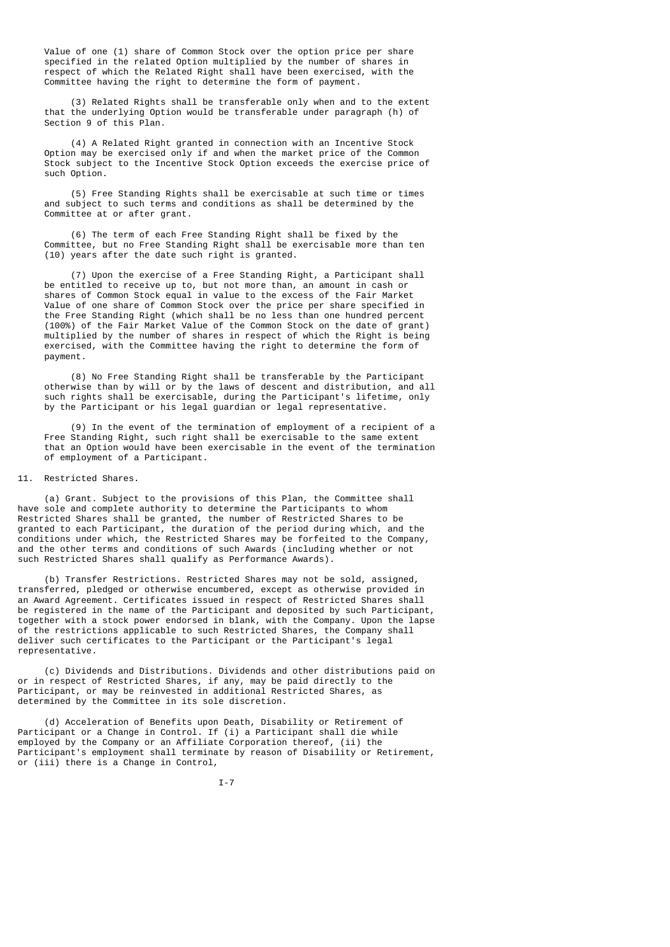Value of one (1) share of Common Stock over the option price per share specified in the related Option multiplied by the number of shares in respect of which the Related Right shall have been exercised, with the Committee having the right to determine the form of payment.

 (3) Related Rights shall be transferable only when and to the extent that the underlying Option would be transferable under paragraph (h) of Section 9 of this Plan.

 (4) A Related Right granted in connection with an Incentive Stock Option may be exercised only if and when the market price of the Common Stock subject to the Incentive Stock Option exceeds the exercise price of such Option.

 (5) Free Standing Rights shall be exercisable at such time or times and subject to such terms and conditions as shall be determined by the Committee at or after grant.

 (6) The term of each Free Standing Right shall be fixed by the Committee, but no Free Standing Right shall be exercisable more than ten (10) years after the date such right is granted.

 (7) Upon the exercise of a Free Standing Right, a Participant shall be entitled to receive up to, but not more than, an amount in cash or shares of Common Stock equal in value to the excess of the Fair Market Value of one share of Common Stock over the price per share specified in the Free Standing Right (which shall be no less than one hundred percent (100%) of the Fair Market Value of the Common Stock on the date of grant) multiplied by the number of shares in respect of which the Right is being exercised, with the Committee having the right to determine the form of payment.

 (8) No Free Standing Right shall be transferable by the Participant otherwise than by will or by the laws of descent and distribution, and all such rights shall be exercisable, during the Participant's lifetime, only by the Participant or his legal guardian or legal representative.

 (9) In the event of the termination of employment of a recipient of a Free Standing Right, such right shall be exercisable to the same extent that an Option would have been exercisable in the event of the termination of employment of a Participant.

## 11. Restricted Shares.

 (a) Grant. Subject to the provisions of this Plan, the Committee shall have sole and complete authority to determine the Participants to whom Restricted Shares shall be granted, the number of Restricted Shares to be granted to each Participant, the duration of the period during which, and the conditions under which, the Restricted Shares may be forfeited to the Company, and the other terms and conditions of such Awards (including whether or not such Restricted Shares shall qualify as Performance Awards).

 (b) Transfer Restrictions. Restricted Shares may not be sold, assigned, transferred, pledged or otherwise encumbered, except as otherwise provided in an Award Agreement. Certificates issued in respect of Restricted Shares shall be registered in the name of the Participant and deposited by such Participant, together with a stock power endorsed in blank, with the Company. Upon the lapse of the restrictions applicable to such Restricted Shares, the Company shall deliver such certificates to the Participant or the Participant's legal representative.

 (c) Dividends and Distributions. Dividends and other distributions paid on or in respect of Restricted Shares, if any, may be paid directly to the Participant, or may be reinvested in additional Restricted Shares, as determined by the Committee in its sole discretion.

 (d) Acceleration of Benefits upon Death, Disability or Retirement of Participant or a Change in Control. If (i) a Participant shall die while employed by the Company or an Affiliate Corporation thereof, (ii) the Participant's employment shall terminate by reason of Disability or Retirement, or (iii) there is a Change in Control,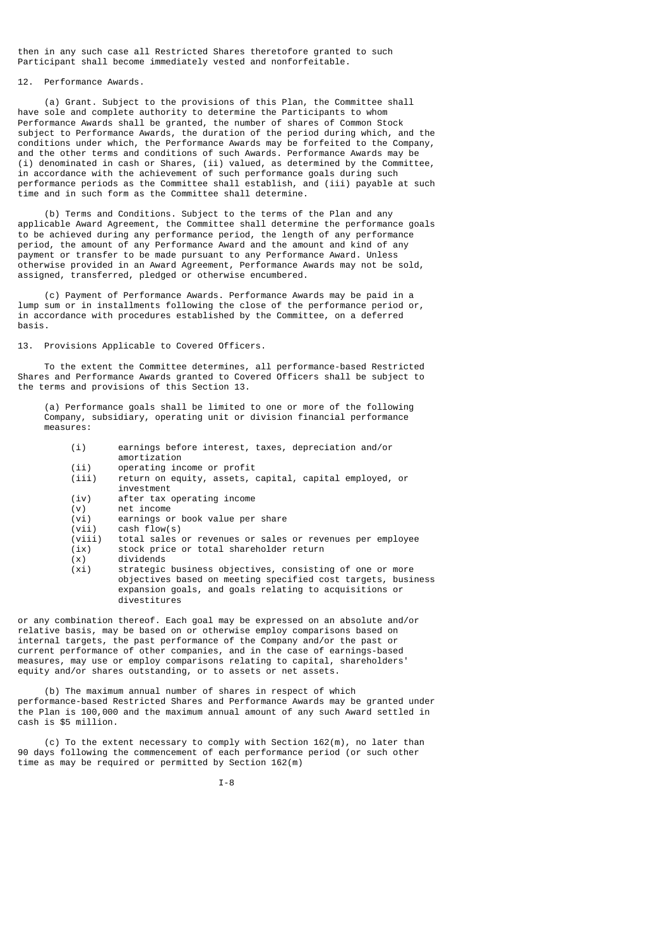then in any such case all Restricted Shares theretofore granted to such Participant shall become immediately vested and nonforfeitable.

# 12. Performance Awards.

 (a) Grant. Subject to the provisions of this Plan, the Committee shall have sole and complete authority to determine the Participants to whom Performance Awards shall be granted, the number of shares of Common Stock subject to Performance Awards, the duration of the period during which, and the conditions under which, the Performance Awards may be forfeited to the Company, and the other terms and conditions of such Awards. Performance Awards may be (i) denominated in cash or Shares, (ii) valued, as determined by the Committee, in accordance with the achievement of such performance goals during such performance periods as the Committee shall establish, and (iii) payable at such time and in such form as the Committee shall determine.

 (b) Terms and Conditions. Subject to the terms of the Plan and any applicable Award Agreement, the Committee shall determine the performance goals to be achieved during any performance period, the length of any performance period, the amount of any Performance Award and the amount and kind of any payment or transfer to be made pursuant to any Performance Award. Unless otherwise provided in an Award Agreement, Performance Awards may not be sold, assigned, transferred, pledged or otherwise encumbered.

 (c) Payment of Performance Awards. Performance Awards may be paid in a lump sum or in installments following the close of the performance period or, in accordance with procedures established by the Committee, on a deferred basis.

## 13. Provisions Applicable to Covered Officers.

 To the extent the Committee determines, all performance-based Restricted Shares and Performance Awards granted to Covered Officers shall be subject to the terms and provisions of this Section 13.

 (a) Performance goals shall be limited to one or more of the following Company, subsidiary, operating unit or division financial performance measures:

| (i)   | earnings before interest, taxes, depreciation and/or<br>amortization  |
|-------|-----------------------------------------------------------------------|
| (i)   | operating income or profit                                            |
| (iii) | return on equity, assets, capital, capital employed, or<br>investment |
| (iv)  | after tax operating income                                            |
| (v)   | net income                                                            |
| (vi)  | earnings or book value per share                                      |

- 
- (vii) cash flow(s) (viii) total sales or revenues or sales or revenues per employee<br>(ix) stock price or total shareholder return  $\begin{array}{cc} (ix) & stock \ prior\end{array}$  stock price or total shareholder return  $(x)$
- $dividends$

 (xi) strategic business objectives, consisting of one or more objectives based on meeting specified cost targets, business expansion goals, and goals relating to acquisitions or divestitures

or any combination thereof. Each goal may be expressed on an absolute and/or relative basis, may be based on or otherwise employ comparisons based on internal targets, the past performance of the Company and/or the past or current performance of other companies, and in the case of earnings-based measures, may use or employ comparisons relating to capital, shareholders' equity and/or shares outstanding, or to assets or net assets.

 (b) The maximum annual number of shares in respect of which performance-based Restricted Shares and Performance Awards may be granted under the Plan is 100,000 and the maximum annual amount of any such Award settled in cash is \$5 million.

 (c) To the extent necessary to comply with Section 162(m), no later than 90 days following the commencement of each performance period (or such other time as may be required or permitted by Section 162(m)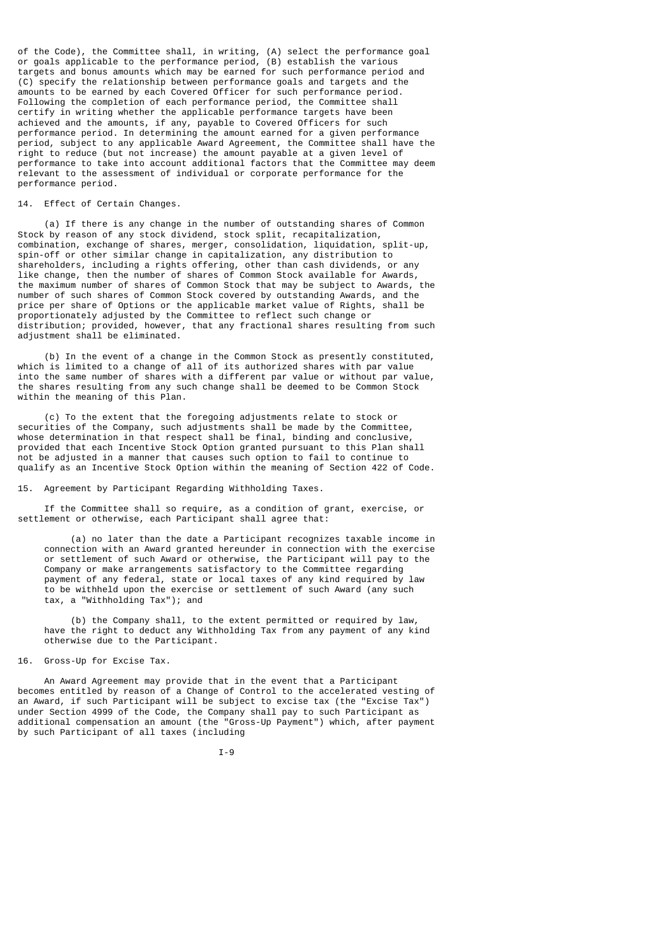of the Code), the Committee shall, in writing, (A) select the performance goal or goals applicable to the performance period, (B) establish the various targets and bonus amounts which may be earned for such performance period and (C) specify the relationship between performance goals and targets and the amounts to be earned by each Covered Officer for such performance period. Following the completion of each performance period, the Committee shall certify in writing whether the applicable performance targets have been achieved and the amounts, if any, payable to Covered Officers for such performance period. In determining the amount earned for a given performance period, subject to any applicable Award Agreement, the Committee shall have the right to reduce (but not increase) the amount payable at a given level of performance to take into account additional factors that the Committee may deem relevant to the assessment of individual or corporate performance for the performance period.

## 14. Effect of Certain Changes.

 (a) If there is any change in the number of outstanding shares of Common Stock by reason of any stock dividend, stock split, recapitalization, combination, exchange of shares, merger, consolidation, liquidation, split-up, spin-off or other similar change in capitalization, any distribution to shareholders, including a rights offering, other than cash dividends, or any like change, then the number of shares of Common Stock available for Awards, the maximum number of shares of Common Stock that may be subject to Awards, the number of such shares of Common Stock covered by outstanding Awards, and the price per share of Options or the applicable market value of Rights, shall be proportionately adjusted by the Committee to reflect such change or distribution; provided, however, that any fractional shares resulting from such adjustment shall be eliminated.

 (b) In the event of a change in the Common Stock as presently constituted, which is limited to a change of all of its authorized shares with par value into the same number of shares with a different par value or without par value, the shares resulting from any such change shall be deemed to be Common Stock within the meaning of this Plan.

 (c) To the extent that the foregoing adjustments relate to stock or securities of the Company, such adjustments shall be made by the Committee, whose determination in that respect shall be final, binding and conclusive, provided that each Incentive Stock Option granted pursuant to this Plan shall not be adjusted in a manner that causes such option to fail to continue to qualify as an Incentive Stock Option within the meaning of Section 422 of Code.

## 15. Agreement by Participant Regarding Withholding Taxes.

 If the Committee shall so require, as a condition of grant, exercise, or settlement or otherwise, each Participant shall agree that:

 (a) no later than the date a Participant recognizes taxable income in connection with an Award granted hereunder in connection with the exercise or settlement of such Award or otherwise, the Participant will pay to the Company or make arrangements satisfactory to the Committee regarding payment of any federal, state or local taxes of any kind required by law to be withheld upon the exercise or settlement of such Award (any such tax, a "Withholding Tax"); and

 (b) the Company shall, to the extent permitted or required by law, have the right to deduct any Withholding Tax from any payment of any kind otherwise due to the Participant.

# 16. Gross-Up for Excise Tax.

 An Award Agreement may provide that in the event that a Participant becomes entitled by reason of a Change of Control to the accelerated vesting of an Award, if such Participant will be subject to excise tax (the "Excise Tax") under Section 4999 of the Code, the Company shall pay to such Participant as additional compensation an amount (the "Gross-Up Payment") which, after payment by such Participant of all taxes (including

I-9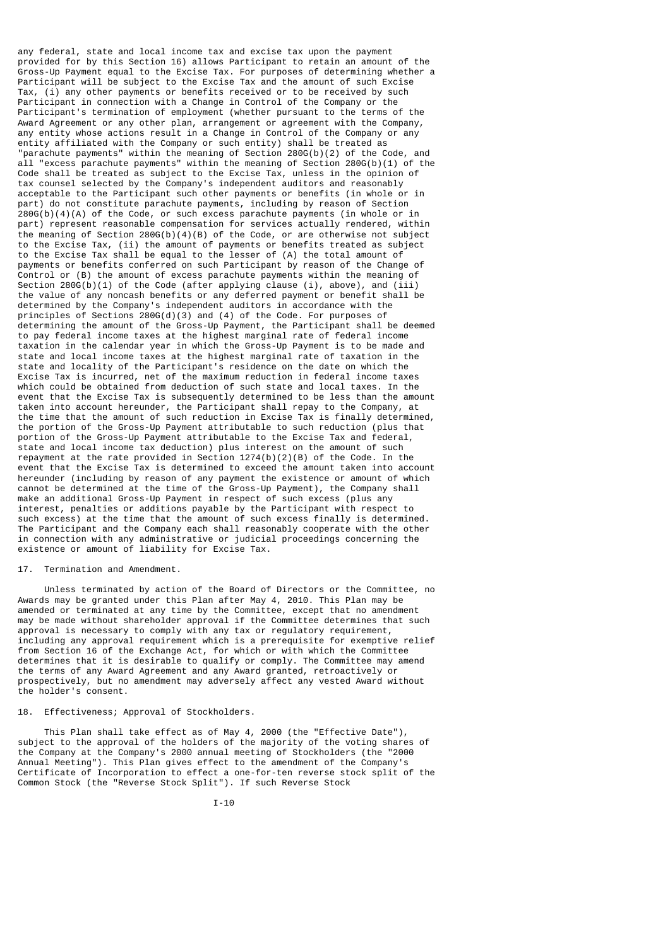any federal, state and local income tax and excise tax upon the payment provided for by this Section 16) allows Participant to retain an amount of the Gross-Up Payment equal to the Excise Tax. For purposes of determining whether a Participant will be subject to the Excise Tax and the amount of such Excise Tax, (i) any other payments or benefits received or to be received by such Participant in connection with a Change in Control of the Company or the Participant's termination of employment (whether pursuant to the terms of the Award Agreement or any other plan, arrangement or agreement with the Company, any entity whose actions result in a Change in Control of the Company or any entity affiliated with the Company or such entity) shall be treated as "parachute payments" within the meaning of Section 280G(b)(2) of the Code, and all "excess parachute payments" within the meaning of Section 280G(b)(1) of the Code shall be treated as subject to the Excise Tax, unless in the opinion of tax counsel selected by the Company's independent auditors and reasonably acceptable to the Participant such other payments or benefits (in whole or in part) do not constitute parachute payments, including by reason of Section 280G(b)(4)(A) of the Code, or such excess parachute payments (in whole or in part) represent reasonable compensation for services actually rendered, within the meaning of Section 280G(b)(4)(B) of the Code, or are otherwise not subject to the Excise Tax, (ii) the amount of payments or benefits treated as subject to the Excise Tax shall be equal to the lesser of (A) the total amount of payments or benefits conferred on such Participant by reason of the Change of Control or (B) the amount of excess parachute payments within the meaning of Section 280G(b)(1) of the Code (after applying clause (i), above), and (iii) the value of any noncash benefits or any deferred payment or benefit shall be determined by the Company's independent auditors in accordance with the principles of Sections 280G(d)(3) and (4) of the Code. For purposes of determining the amount of the Gross-Up Payment, the Participant shall be deemed to pay federal income taxes at the highest marginal rate of federal income taxation in the calendar year in which the Gross-Up Payment is to be made and state and local income taxes at the highest marginal rate of taxation in the state and locality of the Participant's residence on the date on which the Excise Tax is incurred, net of the maximum reduction in federal income taxes which could be obtained from deduction of such state and local taxes. In the event that the Excise Tax is subsequently determined to be less than the amount taken into account hereunder, the Participant shall repay to the Company, at the time that the amount of such reduction in Excise Tax is finally determined, the portion of the Gross-Up Payment attributable to such reduction (plus that portion of the Gross-Up Payment attributable to the Excise Tax and federal, state and local income tax deduction) plus interest on the amount of such repayment at the rate provided in Section  $1274(b)(2)(B)$  of the Code. In the event that the Excise Tax is determined to exceed the amount taken into account hereunder (including by reason of any payment the existence or amount of which cannot be determined at the time of the Gross-Up Payment), the Company shall make an additional Gross-Up Payment in respect of such excess (plus any interest, penalties or additions payable by the Participant with respect to such excess) at the time that the amount of such excess finally is determined. The Participant and the Company each shall reasonably cooperate with the other in connection with any administrative or judicial proceedings concerning the existence or amount of liability for Excise Tax.

## 17. Termination and Amendment.

 Unless terminated by action of the Board of Directors or the Committee, no Awards may be granted under this Plan after May 4, 2010. This Plan may be amended or terminated at any time by the Committee, except that no amendment may be made without shareholder approval if the Committee determines that such approval is necessary to comply with any tax or regulatory requirement, including any approval requirement which is a prerequisite for exemptive relief from Section 16 of the Exchange Act, for which or with which the Committee determines that it is desirable to qualify or comply. The Committee may amend the terms of any Award Agreement and any Award granted, retroactively or prospectively, but no amendment may adversely affect any vested Award without the holder's consent.

# 18. Effectiveness; Approval of Stockholders.

 This Plan shall take effect as of May 4, 2000 (the "Effective Date"), subject to the approval of the holders of the majority of the voting shares of the Company at the Company's 2000 annual meeting of Stockholders (the "2000 Annual Meeting"). This Plan gives effect to the amendment of the Company's Certificate of Incorporation to effect a one-for-ten reverse stock split of the Common Stock (the "Reverse Stock Split"). If such Reverse Stock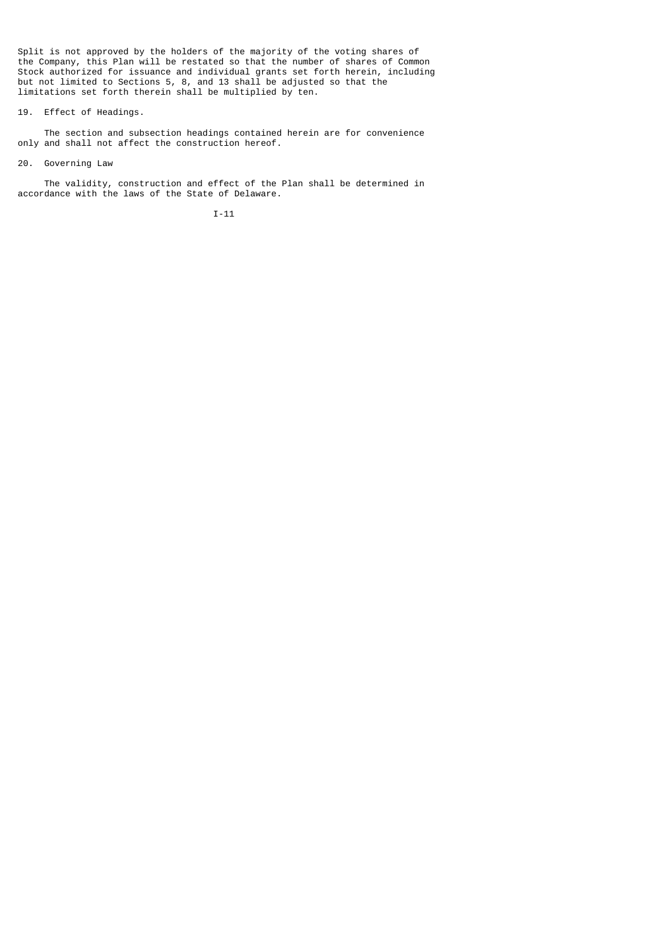Split is not approved by the holders of the majority of the voting shares of the Company, this Plan will be restated so that the number of shares of Common Stock authorized for issuance and individual grants set forth herein, including but not limited to Sections 5, 8, and 13 shall be adjusted so that the limitations set forth therein shall be multiplied by ten.

## 19. Effect of Headings.

 The section and subsection headings contained herein are for convenience only and shall not affect the construction hereof.

## 20. Governing Law

 The validity, construction and effect of the Plan shall be determined in accordance with the laws of the State of Delaware.

I-11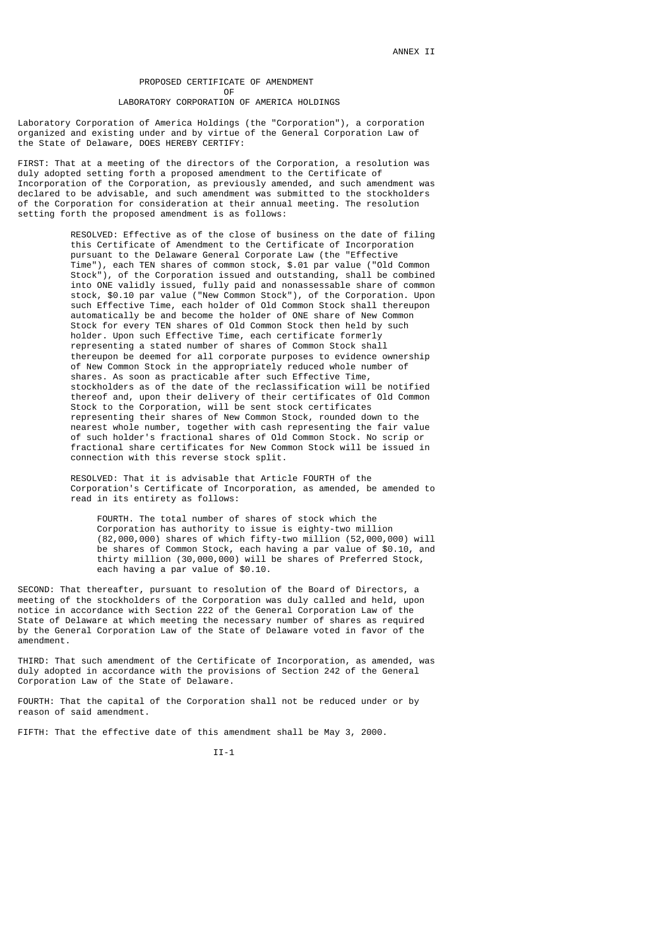## PROPOSED CERTIFICATE OF AMENDMENT **OF OF** LABORATORY CORPORATION OF AMERICA HOLDINGS

Laboratory Corporation of America Holdings (the "Corporation"), a corporation organized and existing under and by virtue of the General Corporation Law of the State of Delaware, DOES HEREBY CERTIFY:

FIRST: That at a meeting of the directors of the Corporation, a resolution was duly adopted setting forth a proposed amendment to the Certificate of Incorporation of the Corporation, as previously amended, and such amendment was declared to be advisable, and such amendment was submitted to the stockholders of the Corporation for consideration at their annual meeting. The resolution setting forth the proposed amendment is as follows:

 RESOLVED: Effective as of the close of business on the date of filing this Certificate of Amendment to the Certificate of Incorporation pursuant to the Delaware General Corporate Law (the "Effective Time"), each TEN shares of common stock, \$.01 par value ("Old Common Stock"), of the Corporation issued and outstanding, shall be combined into ONE validly issued, fully paid and nonassessable share of common stock, \$0.10 par value ("New Common Stock"), of the Corporation. Upon such Effective Time, each holder of Old Common Stock shall thereupon automatically be and become the holder of ONE share of New Common Stock for every TEN shares of Old Common Stock then held by such holder. Upon such Effective Time, each certificate formerly representing a stated number of shares of Common Stock shall thereupon be deemed for all corporate purposes to evidence ownership of New Common Stock in the appropriately reduced whole number of shares. As soon as practicable after such Effective Time, stockholders as of the date of the reclassification will be notified thereof and, upon their delivery of their certificates of Old Common Stock to the Corporation, will be sent stock certificates representing their shares of New Common Stock, rounded down to the nearest whole number, together with cash representing the fair value of such holder's fractional shares of Old Common Stock. No scrip or fractional share certificates for New Common Stock will be issued in connection with this reverse stock split.

> RESOLVED: That it is advisable that Article FOURTH of the Corporation's Certificate of Incorporation, as amended, be amended to read in its entirety as follows:

 FOURTH. The total number of shares of stock which the Corporation has authority to issue is eighty-two million (82,000,000) shares of which fifty-two million (52,000,000) will be shares of Common Stock, each having a par value of \$0.10, and thirty million (30,000,000) will be shares of Preferred Stock, each having a par value of \$0.10.

SECOND: That thereafter, pursuant to resolution of the Board of Directors, a meeting of the stockholders of the Corporation was duly called and held, upon notice in accordance with Section 222 of the General Corporation Law of the State of Delaware at which meeting the necessary number of shares as required by the General Corporation Law of the State of Delaware voted in favor of the amendment.

THIRD: That such amendment of the Certificate of Incorporation, as amended, was duly adopted in accordance with the provisions of Section 242 of the General Corporation Law of the State of Delaware.

FOURTH: That the capital of the Corporation shall not be reduced under or by reason of said amendment.

FIFTH: That the effective date of this amendment shall be May 3, 2000.

II-1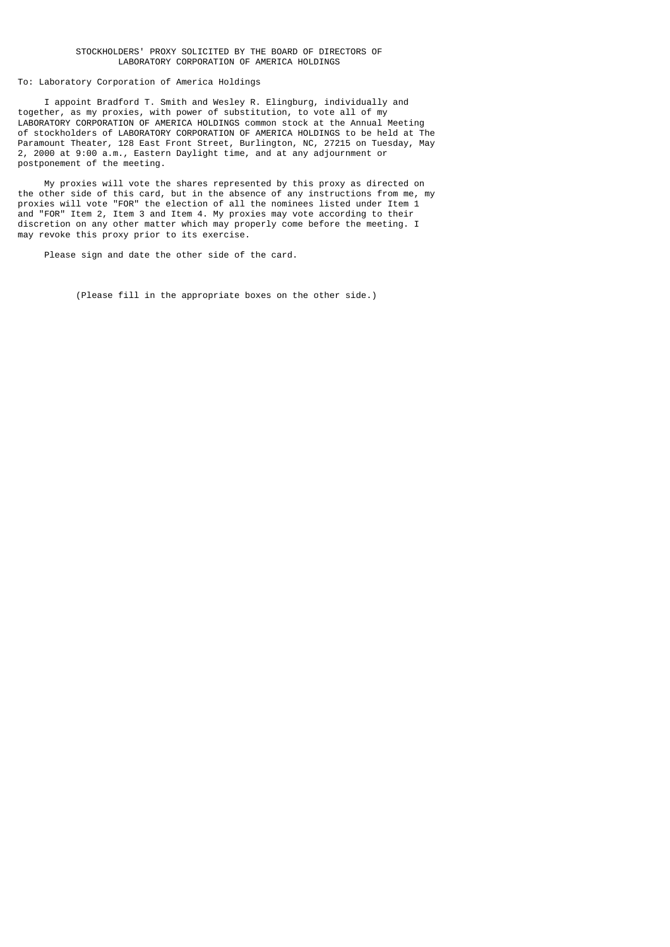## STOCKHOLDERS' PROXY SOLICITED BY THE BOARD OF DIRECTORS OF LABORATORY CORPORATION OF AMERICA HOLDINGS

# To: Laboratory Corporation of America Holdings

 I appoint Bradford T. Smith and Wesley R. Elingburg, individually and together, as my proxies, with power of substitution, to vote all of my LABORATORY CORPORATION OF AMERICA HOLDINGS common stock at the Annual Meeting of stockholders of LABORATORY CORPORATION OF AMERICA HOLDINGS to be held at The Paramount Theater, 128 East Front Street, Burlington, NC, 27215 on Tuesday, May 2, 2000 at 9:00 a.m., Eastern Daylight time, and at any adjournment or postponement of the meeting.

 My proxies will vote the shares represented by this proxy as directed on the other side of this card, but in the absence of any instructions from me, my proxies will vote "FOR" the election of all the nominees listed under Item 1 and "FOR" Item 2, Item 3 and Item 4. My proxies may vote according to their discretion on any other matter which may properly come before the meeting. I may revoke this proxy prior to its exercise.

Please sign and date the other side of the card.

(Please fill in the appropriate boxes on the other side.)